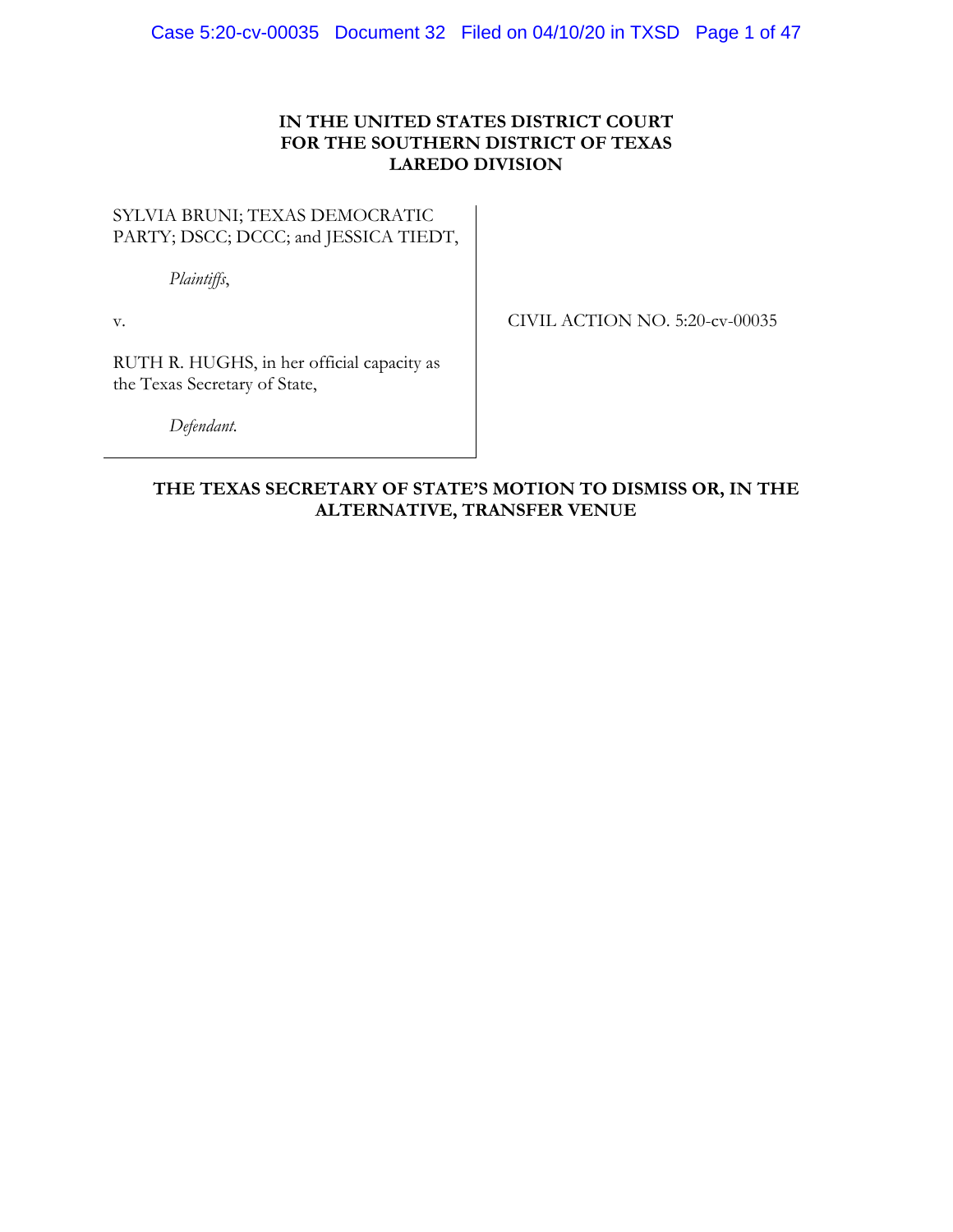# **IN THE UNITED STATES DISTRICT COURT FOR THE SOUTHERN DISTRICT OF TEXAS LAREDO DIVISION**

# SYLVIA BRUNI; TEXAS DEMOCRATIC PARTY; DSCC; DCCC; and JESSICA TIEDT,

*Plaintiffs*,

v.

CIVIL ACTION NO. 5:20-cv-00035

RUTH R. HUGHS, in her official capacity as the Texas Secretary of State,

*Defendant.* 

# **THE TEXAS SECRETARY OF STATE'S MOTION TO DISMISS OR, IN THE ALTERNATIVE, TRANSFER VENUE**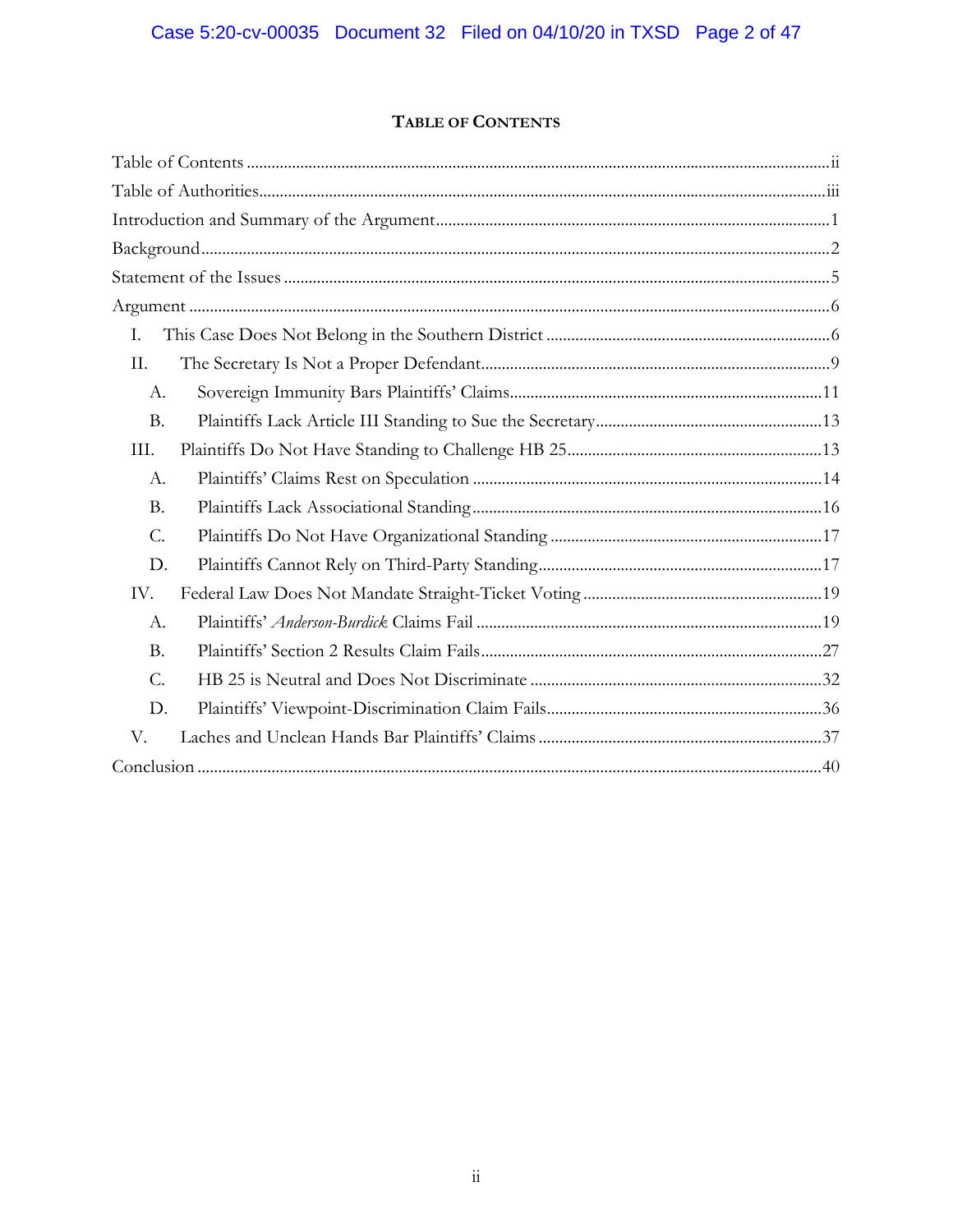# TABLE OF CONTENTS

| I.              |  |
|-----------------|--|
| II.             |  |
| A.              |  |
| <b>B.</b>       |  |
| III.            |  |
| A.              |  |
| <b>B.</b>       |  |
| $\mathcal{C}$ . |  |
| D.              |  |
| IV.             |  |
| A.              |  |
| <b>B.</b>       |  |
| $\mathcal{C}$ . |  |
| D.              |  |
| V.              |  |
|                 |  |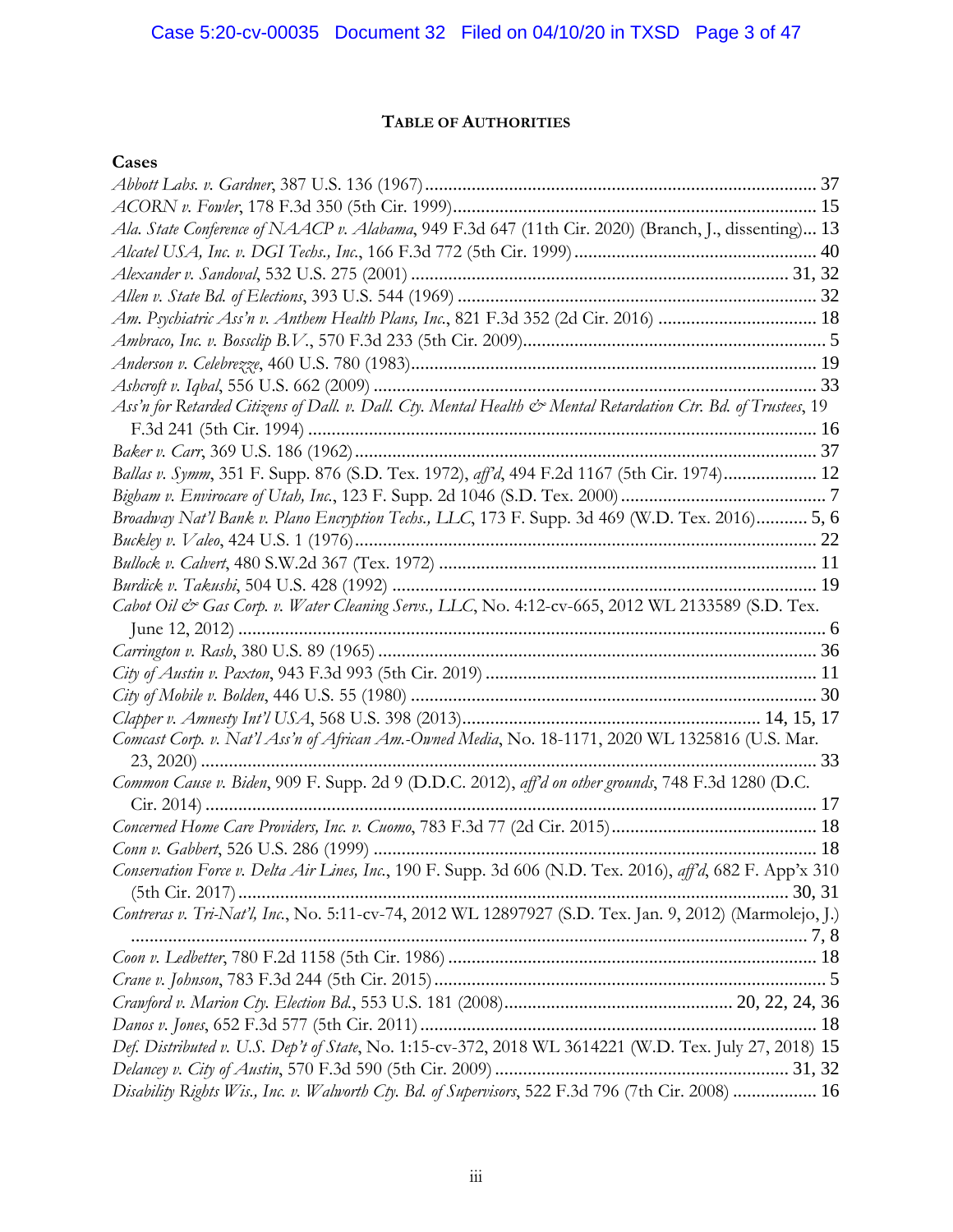# **TABLE OF AUTHORITIES**

# **Cases**

| Ala. State Conference of NAACP v. Alabama, 949 F.3d 647 (11th Cir. 2020) (Branch, J., dissenting) 13           |  |
|----------------------------------------------------------------------------------------------------------------|--|
|                                                                                                                |  |
|                                                                                                                |  |
|                                                                                                                |  |
| Am. Psychiatric Ass'n v. Anthem Health Plans, Inc., 821 F.3d 352 (2d Cir. 2016)  18                            |  |
|                                                                                                                |  |
|                                                                                                                |  |
|                                                                                                                |  |
| Ass'n for Retarded Citizens of Dall. v. Dall. Cty. Mental Health & Mental Retardation Ctr. Bd. of Trustees, 19 |  |
|                                                                                                                |  |
|                                                                                                                |  |
| Ballas v. Symm, 351 F. Supp. 876 (S.D. Tex. 1972), aff'd, 494 F.2d 1167 (5th Cir. 1974) 12                     |  |
|                                                                                                                |  |
| Broadway Nat'l Bank v. Plano Encryption Techs., LLC, 173 F. Supp. 3d 469 (W.D. Tex. 2016) 5, 6                 |  |
|                                                                                                                |  |
|                                                                                                                |  |
|                                                                                                                |  |
| Cabot Oil & Gas Corp. v. Water Cleaning Servs., LLC, No. 4:12-cv-665, 2012 WL 2133589 (S.D. Tex.               |  |
|                                                                                                                |  |
|                                                                                                                |  |
|                                                                                                                |  |
|                                                                                                                |  |
|                                                                                                                |  |
| Comcast Corp. v. Nat'l Ass'n of African Am.-Owned Media, No. 18-1171, 2020 WL 1325816 (U.S. Mar.               |  |
|                                                                                                                |  |
| Common Cause v. Biden, 909 F. Supp. 2d 9 (D.D.C. 2012), aff'd on other grounds, 748 F.3d 1280 (D.C.            |  |
|                                                                                                                |  |
|                                                                                                                |  |
|                                                                                                                |  |
| Conservation Force v. Delta Air Lines, Inc., 190 F. Supp. 3d 606 (N.D. Tex. 2016), aff'd, 682 F. App'x 310     |  |
|                                                                                                                |  |
| Contreras v. Tri-Nat'l, Inc., No. 5:11-cv-74, 2012 WL 12897927 (S.D. Tex. Jan. 9, 2012) (Marmolejo, J.)        |  |
|                                                                                                                |  |
|                                                                                                                |  |
|                                                                                                                |  |
|                                                                                                                |  |
| Def. Distributed v. U.S. Dep't of State, No. 1:15-cv-372, 2018 WL 3614221 (W.D. Tex. July 27, 2018) 15         |  |
|                                                                                                                |  |
| Disability Rights Wis., Inc. v. Walworth Cty. Bd. of Supervisors, 522 F.3d 796 (7th Cir. 2008)  16             |  |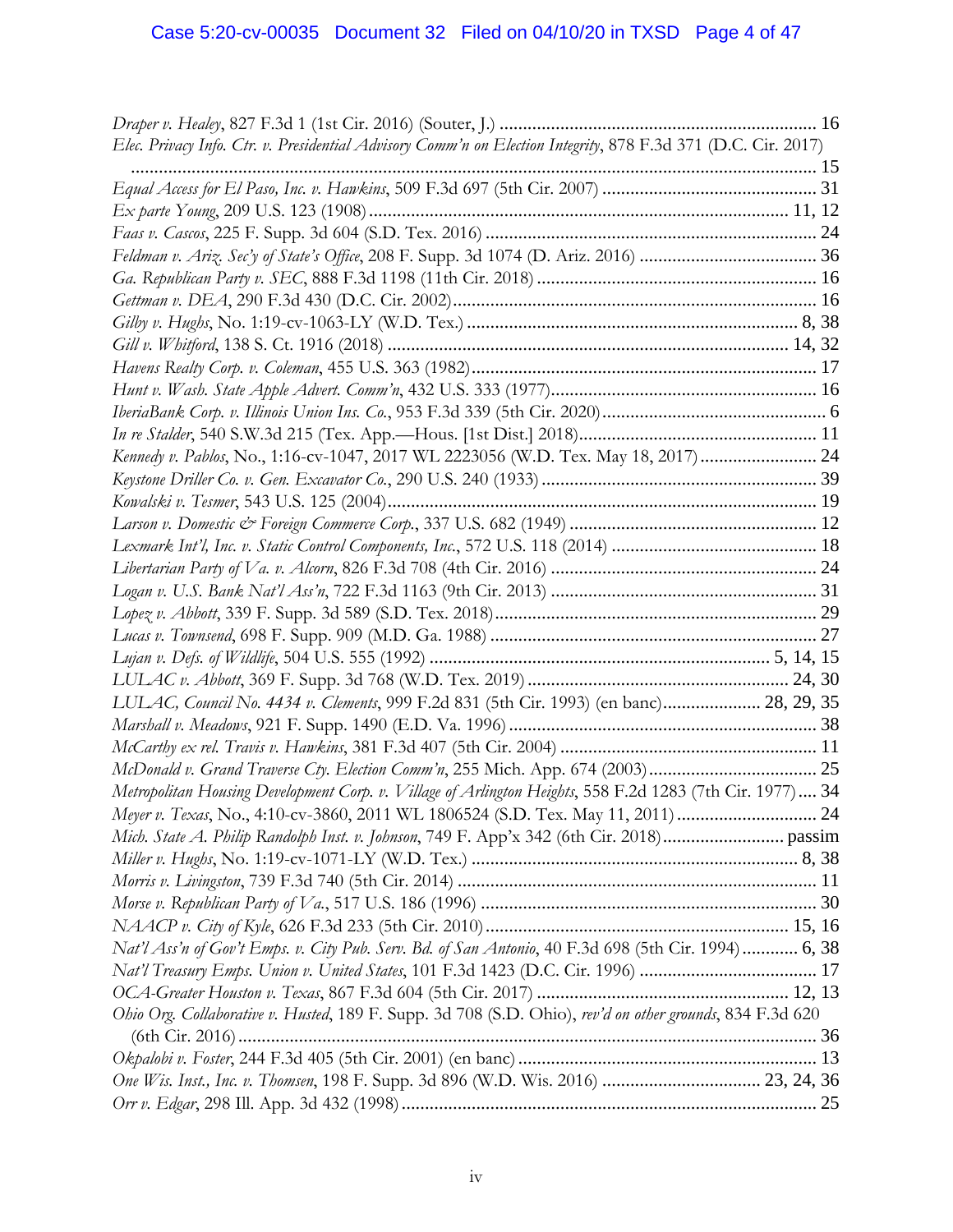| Elec. Privacy Info. Ctr. v. Presidential Advisory Comm'n on Election Integrity, 878 F.3d 371 (D.C. Cir. 2017) |  |
|---------------------------------------------------------------------------------------------------------------|--|
|                                                                                                               |  |
|                                                                                                               |  |
|                                                                                                               |  |
|                                                                                                               |  |
|                                                                                                               |  |
|                                                                                                               |  |
|                                                                                                               |  |
|                                                                                                               |  |
|                                                                                                               |  |
|                                                                                                               |  |
|                                                                                                               |  |
|                                                                                                               |  |
|                                                                                                               |  |
| Kennedy v. Pablos, No., 1:16-cv-1047, 2017 WL 2223056 (W.D. Tex. May 18, 2017) 24                             |  |
|                                                                                                               |  |
|                                                                                                               |  |
|                                                                                                               |  |
|                                                                                                               |  |
|                                                                                                               |  |
|                                                                                                               |  |
|                                                                                                               |  |
|                                                                                                               |  |
|                                                                                                               |  |
|                                                                                                               |  |
| LULAC, Council No. 4434 v. Clements, 999 F.2d 831 (5th Cir. 1993) (en banc) 28, 29, 35                        |  |
|                                                                                                               |  |
|                                                                                                               |  |
|                                                                                                               |  |
| Metropolitan Housing Development Corp. v. Village of Arlington Heights, 558 F.2d 1283 (7th Cir. 1977) 34      |  |
|                                                                                                               |  |
|                                                                                                               |  |
|                                                                                                               |  |
|                                                                                                               |  |
|                                                                                                               |  |
|                                                                                                               |  |
| Nat'l Ass'n of Gov't Emps. v. City Pub. Serv. Bd. of San Antonio, 40 F.3d 698 (5th Cir. 1994) 6, 38           |  |
| Nat'l Treasury Emps. Union v. United States, 101 F.3d 1423 (D.C. Cir. 1996)  17                               |  |
|                                                                                                               |  |
| Ohio Org. Collaborative v. Husted, 189 F. Supp. 3d 708 (S.D. Ohio), rev'd on other grounds, 834 F.3d 620      |  |
|                                                                                                               |  |
|                                                                                                               |  |
| One Wis. Inst., Inc. v. Thomsen, 198 F. Supp. 3d 896 (W.D. Wis. 2016)  23, 24, 36                             |  |
|                                                                                                               |  |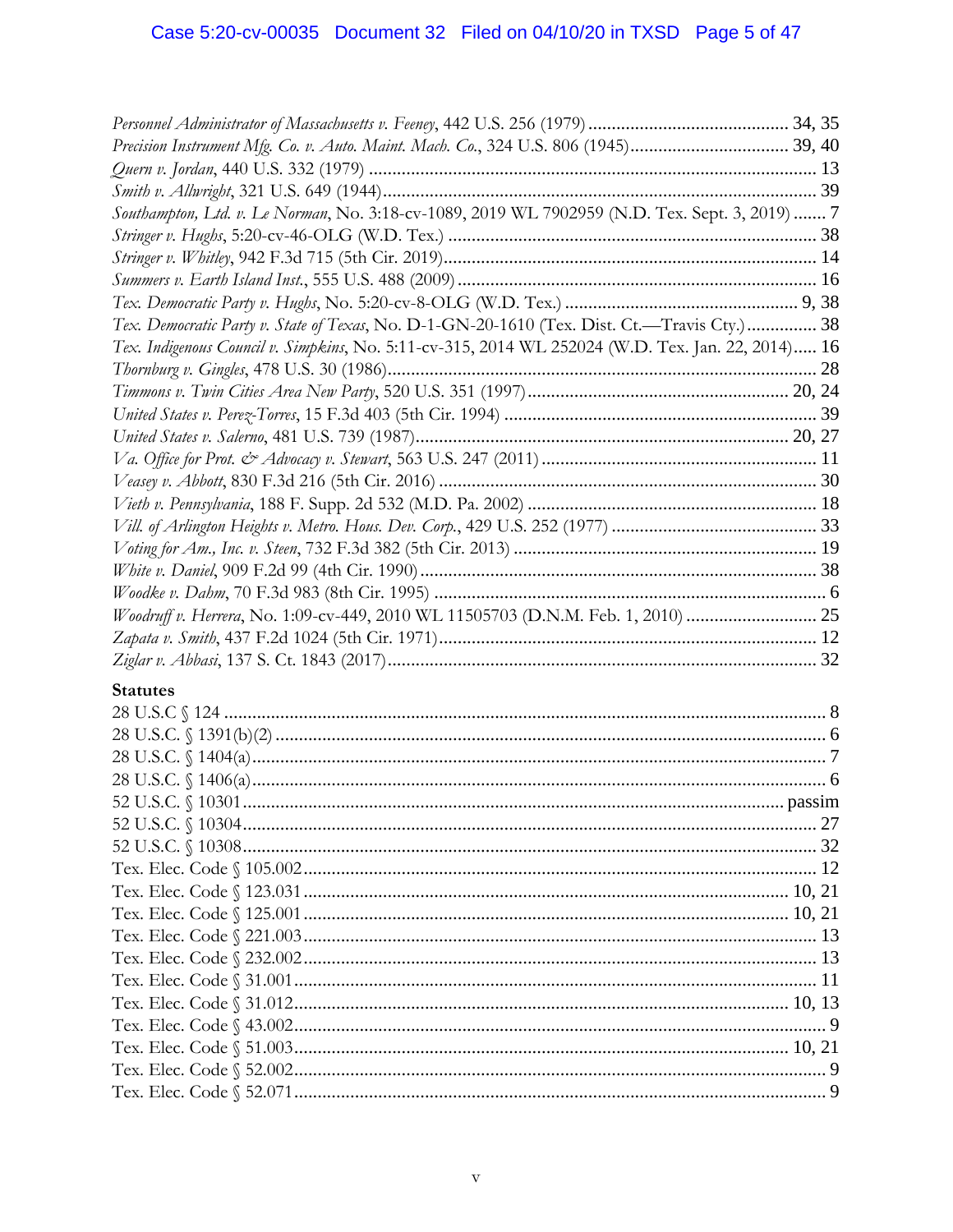| Precision Instrument Mfg. Co. v. Auto. Maint. Mach. Co., 324 U.S. 806 (1945) 39, 40               |  |
|---------------------------------------------------------------------------------------------------|--|
|                                                                                                   |  |
|                                                                                                   |  |
| Southampton, Ltd. v. Le Norman, No. 3:18-cv-1089, 2019 WL 7902959 (N.D. Tex. Sept. 3, 2019)  7    |  |
|                                                                                                   |  |
|                                                                                                   |  |
|                                                                                                   |  |
|                                                                                                   |  |
| Tex. Democratic Party v. State of Texas, No. D-1-GN-20-1610 (Tex. Dist. Ct.-Travis Cty.) 38       |  |
| Tex. Indigenous Council v. Simpkins, No. 5:11-cv-315, 2014 WL 252024 (W.D. Tex. Jan. 22, 2014) 16 |  |
|                                                                                                   |  |
|                                                                                                   |  |
|                                                                                                   |  |
|                                                                                                   |  |
|                                                                                                   |  |
|                                                                                                   |  |
|                                                                                                   |  |
|                                                                                                   |  |
|                                                                                                   |  |
|                                                                                                   |  |
|                                                                                                   |  |
| Woodruff v. Herrera, No. 1:09-cv-449, 2010 WL 11505703 (D.N.M. Feb. 1, 2010)  25                  |  |
|                                                                                                   |  |
|                                                                                                   |  |
| <b>Statutes</b>                                                                                   |  |
|                                                                                                   |  |
|                                                                                                   |  |
|                                                                                                   |  |
|                                                                                                   |  |
|                                                                                                   |  |
|                                                                                                   |  |
|                                                                                                   |  |
|                                                                                                   |  |
|                                                                                                   |  |
|                                                                                                   |  |
|                                                                                                   |  |
|                                                                                                   |  |
|                                                                                                   |  |
|                                                                                                   |  |
|                                                                                                   |  |
|                                                                                                   |  |
|                                                                                                   |  |
|                                                                                                   |  |
|                                                                                                   |  |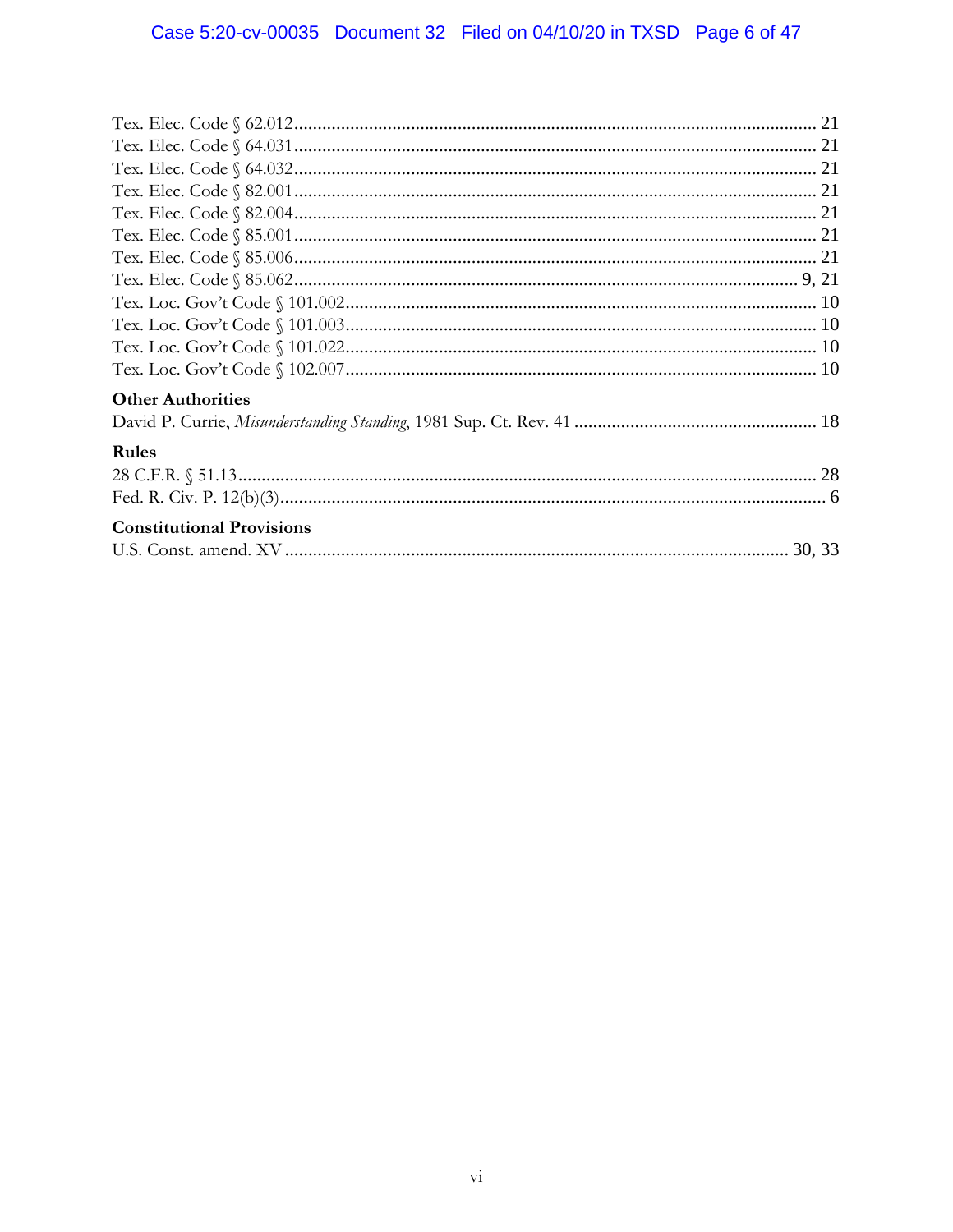| <b>Other Authorities</b>         |  |
|----------------------------------|--|
|                                  |  |
| <b>Rules</b>                     |  |
|                                  |  |
|                                  |  |
| <b>Constitutional Provisions</b> |  |
|                                  |  |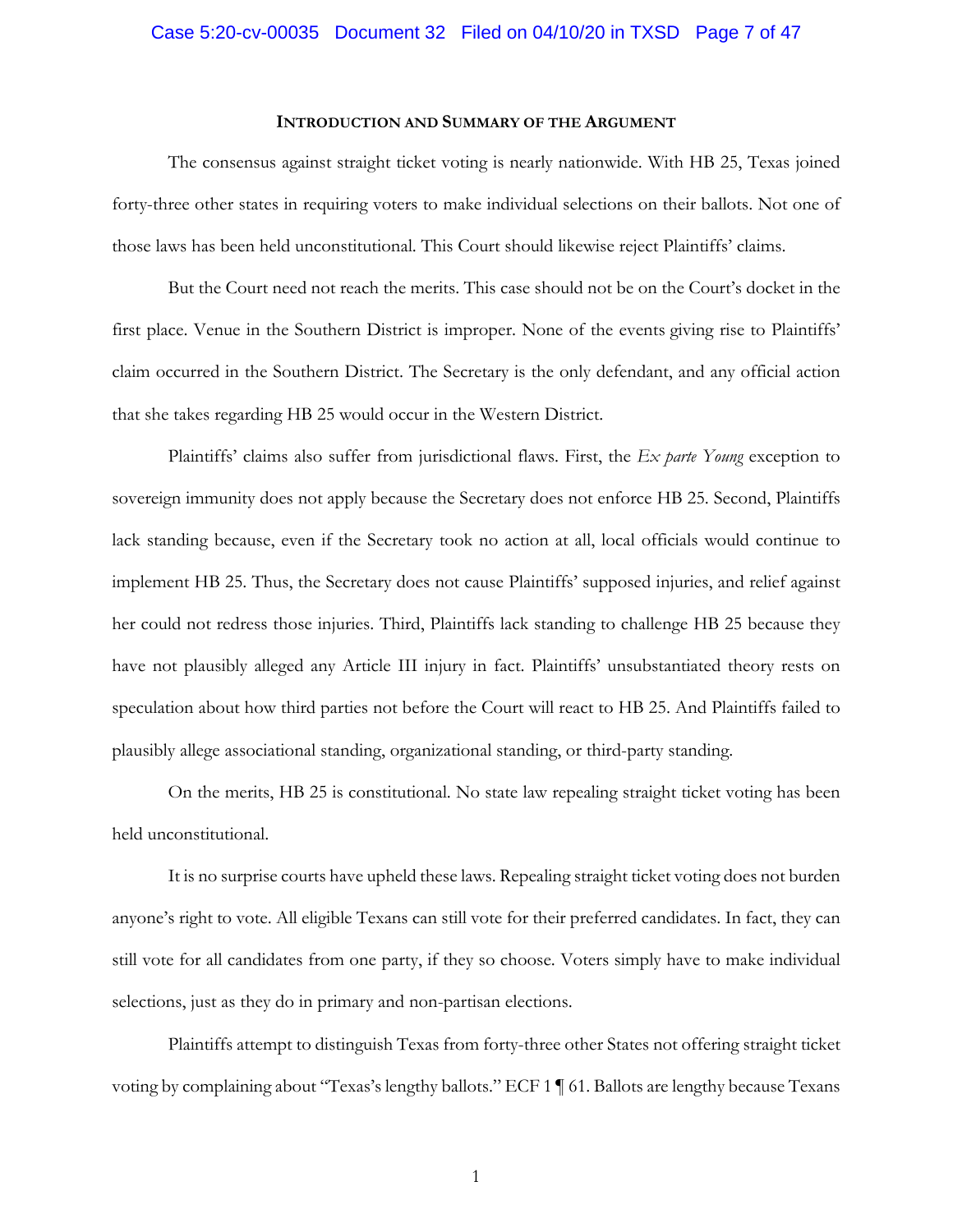## Case 5:20-cv-00035 Document 32 Filed on 04/10/20 in TXSD Page 7 of 47

#### **INTRODUCTION AND SUMMARY OF THE ARGUMENT**

The consensus against straight ticket voting is nearly nationwide. With HB 25, Texas joined forty-three other states in requiring voters to make individual selections on their ballots. Not one of those laws has been held unconstitutional. This Court should likewise reject Plaintiffs' claims.

But the Court need not reach the merits. This case should not be on the Court's docket in the first place. Venue in the Southern District is improper. None of the events giving rise to Plaintiffs' claim occurred in the Southern District. The Secretary is the only defendant, and any official action that she takes regarding HB 25 would occur in the Western District.

Plaintiffs' claims also suffer from jurisdictional flaws. First, the *Ex parte Young* exception to sovereign immunity does not apply because the Secretary does not enforce HB 25. Second, Plaintiffs lack standing because, even if the Secretary took no action at all, local officials would continue to implement HB 25. Thus, the Secretary does not cause Plaintiffs' supposed injuries, and relief against her could not redress those injuries. Third, Plaintiffs lack standing to challenge HB 25 because they have not plausibly alleged any Article III injury in fact. Plaintiffs' unsubstantiated theory rests on speculation about how third parties not before the Court will react to HB 25. And Plaintiffs failed to plausibly allege associational standing, organizational standing, or third-party standing.

On the merits, HB 25 is constitutional. No state law repealing straight ticket voting has been held unconstitutional.

It is no surprise courts have upheld these laws. Repealing straight ticket voting does not burden anyone's right to vote. All eligible Texans can still vote for their preferred candidates. In fact, they can still vote for all candidates from one party, if they so choose. Voters simply have to make individual selections, just as they do in primary and non-partisan elections.

Plaintiffs attempt to distinguish Texas from forty-three other States not offering straight ticket voting by complaining about "Texas's lengthy ballots." ECF 1 ¶ 61. Ballots are lengthy because Texans

1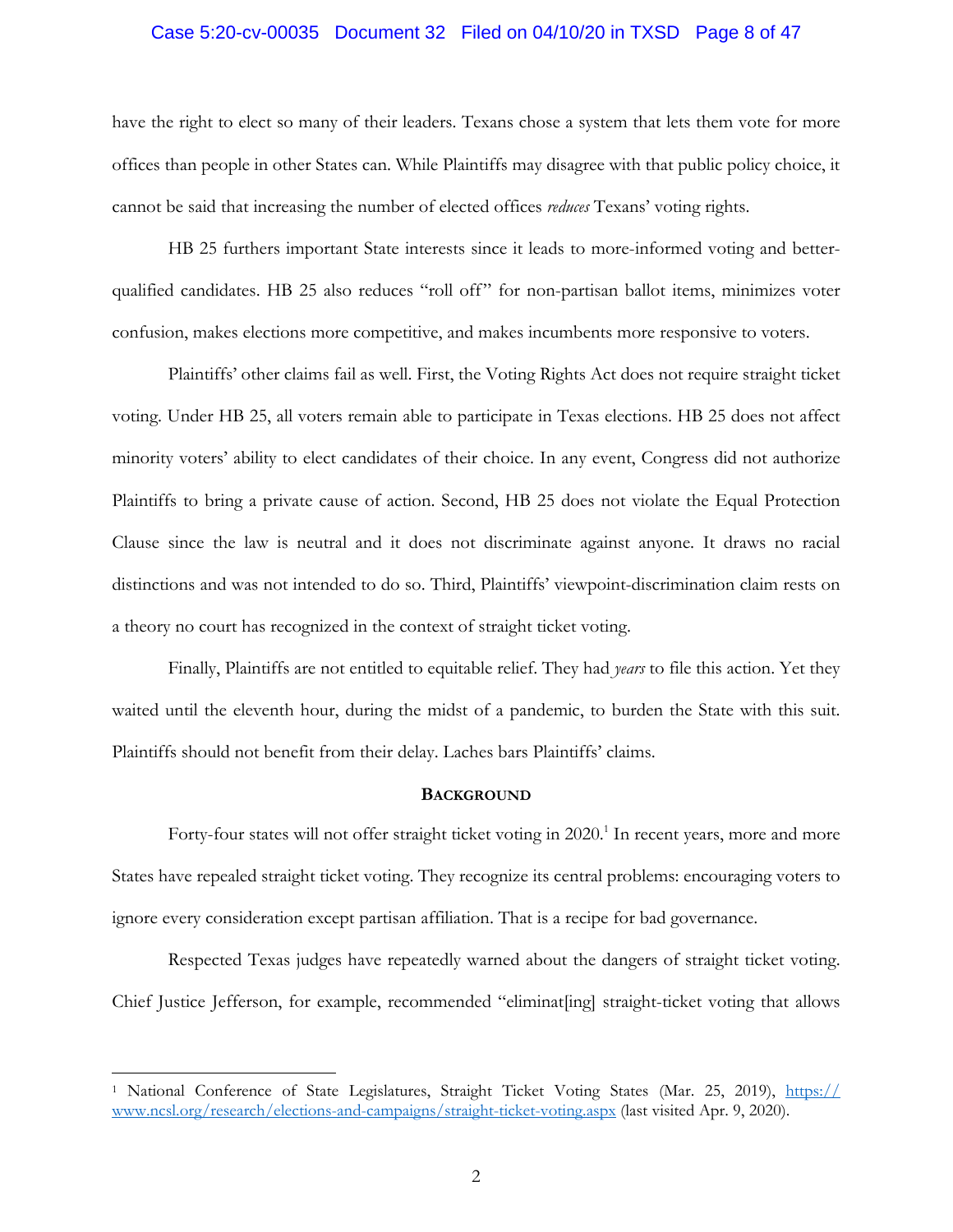## Case 5:20-cv-00035 Document 32 Filed on 04/10/20 in TXSD Page 8 of 47

have the right to elect so many of their leaders. Texans chose a system that lets them vote for more offices than people in other States can. While Plaintiffs may disagree with that public policy choice, it cannot be said that increasing the number of elected offices *reduces* Texans' voting rights.

HB 25 furthers important State interests since it leads to more-informed voting and betterqualified candidates. HB 25 also reduces "roll off" for non-partisan ballot items, minimizes voter confusion, makes elections more competitive, and makes incumbents more responsive to voters.

Plaintiffs' other claims fail as well. First, the Voting Rights Act does not require straight ticket voting. Under HB 25, all voters remain able to participate in Texas elections. HB 25 does not affect minority voters' ability to elect candidates of their choice. In any event, Congress did not authorize Plaintiffs to bring a private cause of action. Second, HB 25 does not violate the Equal Protection Clause since the law is neutral and it does not discriminate against anyone. It draws no racial distinctions and was not intended to do so. Third, Plaintiffs' viewpoint-discrimination claim rests on a theory no court has recognized in the context of straight ticket voting.

Finally, Plaintiffs are not entitled to equitable relief. They had *years* to file this action. Yet they waited until the eleventh hour, during the midst of a pandemic, to burden the State with this suit. Plaintiffs should not benefit from their delay. Laches bars Plaintiffs' claims.

## **BACKGROUND**

Forty-four states will not offer straight ticket voting in 2020.<sup>1</sup> In recent years, more and more States have repealed straight ticket voting. They recognize its central problems: encouraging voters to ignore every consideration except partisan affiliation. That is a recipe for bad governance.

Respected Texas judges have repeatedly warned about the dangers of straight ticket voting. Chief Justice Jefferson, for example, recommended "eliminat[ing] straight-ticket voting that allows

<sup>&</sup>lt;sup>1</sup> National Conference of State Legislatures, Straight Ticket Voting States (Mar. 25, 2019), https:// www.ncsl.org/research/elections-and-campaigns/straight-ticket-voting.aspx (last visited Apr. 9, 2020).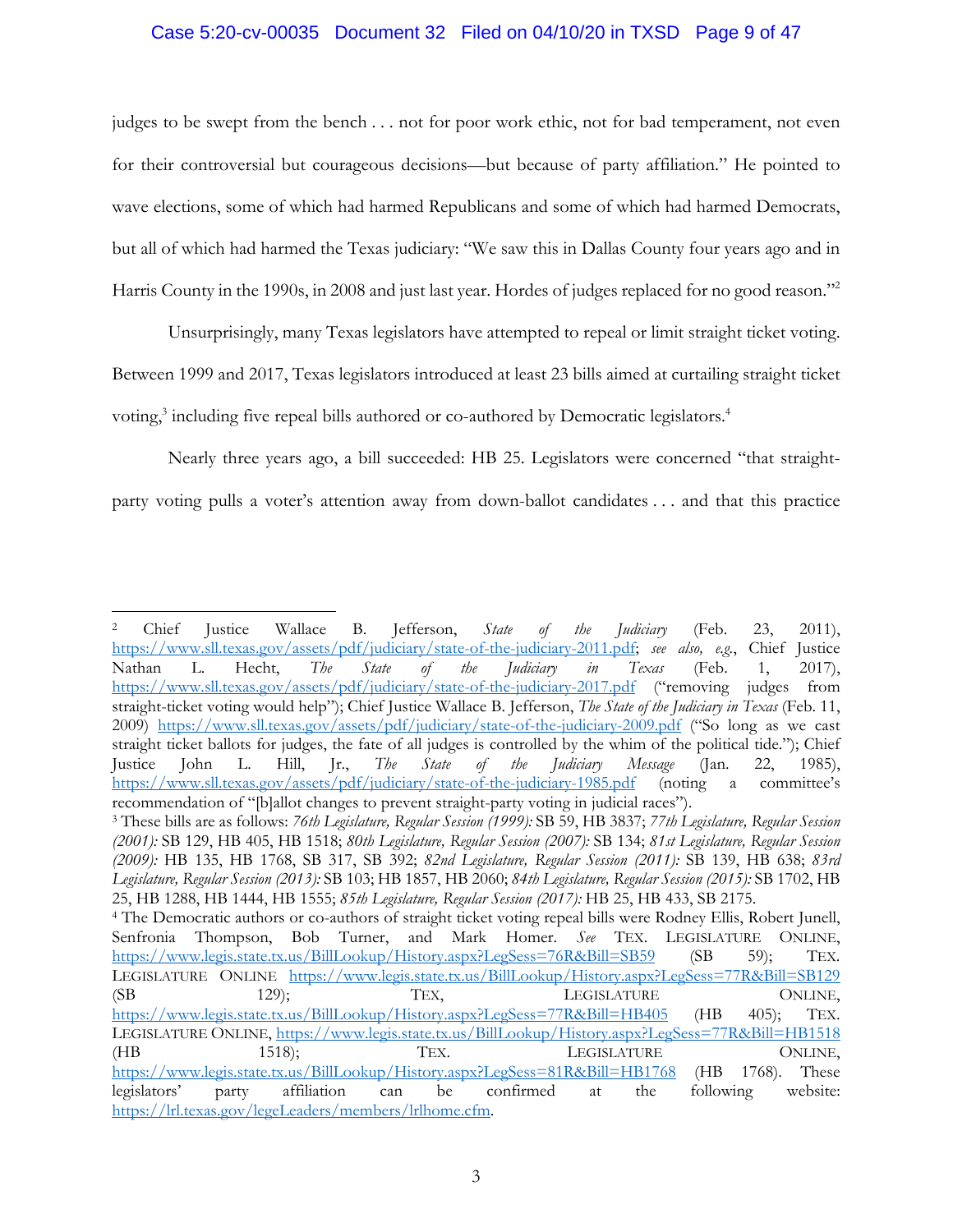## Case 5:20-cv-00035 Document 32 Filed on 04/10/20 in TXSD Page 9 of 47

judges to be swept from the bench . . . not for poor work ethic, not for bad temperament, not even for their controversial but courageous decisions—but because of party affiliation." He pointed to wave elections, some of which had harmed Republicans and some of which had harmed Democrats, but all of which had harmed the Texas judiciary: "We saw this in Dallas County four years ago and in Harris County in the 1990s, in 2008 and just last year. Hordes of judges replaced for no good reason."<sup>2</sup>

Unsurprisingly, many Texas legislators have attempted to repeal or limit straight ticket voting. Between 1999 and 2017, Texas legislators introduced at least 23 bills aimed at curtailing straight ticket voting,<sup>3</sup> including five repeal bills authored or co-authored by Democratic legislators.<sup>4</sup>

Nearly three years ago, a bill succeeded: HB 25. Legislators were concerned "that straightparty voting pulls a voter's attention away from down-ballot candidates . . . and that this practice

<sup>2</sup> Chief Justice Wallace B. Jefferson, *State of the Judiciary* (Feb. 23, 2011), https://www.sll.texas.gov/assets/pdf/judiciary/state-of-the-judiciary-2011.pdf; *see also, e.g.*, Chief Justice Nathan L. Hecht, *The State of the Judiciary in Texas* (Feb. 1, 2017), https://www.sll.texas.gov/assets/pdf/judiciary/state-of-the-judiciary-2017.pdf ("removing judges from straight-ticket voting would help"); Chief Justice Wallace B. Jefferson, *The State of the Judiciary in Texas* (Feb. 11, 2009) https://www.sll.texas.gov/assets/pdf/judiciary/state-of-the-judiciary-2009.pdf ("So long as we cast straight ticket ballots for judges, the fate of all judges is controlled by the whim of the political tide."); Chief Justice John L. Hill, Jr., *The State of the Judiciary Message* (Jan. 22, 1985), https://www.sll.texas.gov/assets/pdf/judiciary/state-of-the-judiciary-1985.pdf (noting a committee's recommendation of "[b]allot changes to prevent straight-party voting in judicial races").

<sup>3</sup> These bills are as follows: *76th Legislature, Regular Session (1999):* SB 59, HB 3837; *77th Legislature, Regular Session (2001):* SB 129, HB 405, HB 1518; *80th Legislature, Regular Session (2007):* SB 134; *81st Legislature, Regular Session (2009):* HB 135, HB 1768, SB 317, SB 392; *82nd Legislature, Regular Session (2011):* SB 139, HB 638; *83rd Legislature, Regular Session (2013):* SB 103; HB 1857, HB 2060; *84th Legislature, Regular Session (2015):* SB 1702, HB 25, HB 1288, HB 1444, HB 1555; *85th Legislature, Regular Session (2017):* HB 25, HB 433, SB 2175.

<sup>4</sup> The Democratic authors or co-authors of straight ticket voting repeal bills were Rodney Ellis, Robert Junell, Senfronia Thompson, Bob Turner, and Mark Homer. *See* TEX. LEGISLATURE ONLINE, https://www.legis.state.tx.us/BillLookup/History.aspx?LegSess=76R&Bill=SB59 (SB 59); TEX. LEGISLATURE ONLINE https://www.legis.state.tx.us/BillLookup/History.aspx?LegSess=77R&Bill=SB129 (SB 129); TEX, LEGISLATURE ONLINE, https://www.legis.state.tx.us/BillLookup/History.aspx?LegSess=77R&Bill=HB405 (HB 405); TEX. LEGISLATURE ONLINE, https://www.legis.state.tx.us/BillLookup/History.aspx?LegSess=77R&Bill=HB1518 (HB 1518); TEX. LEGISLATURE ONLINE, https://www.legis.state.tx.us/BillLookup/History.aspx?LegSess=81R&Bill=HB1768 (HB 1768). These legislators' party affiliation can be confirmed at the following website: https://lrl.texas.gov/legeLeaders/members/lrlhome.cfm.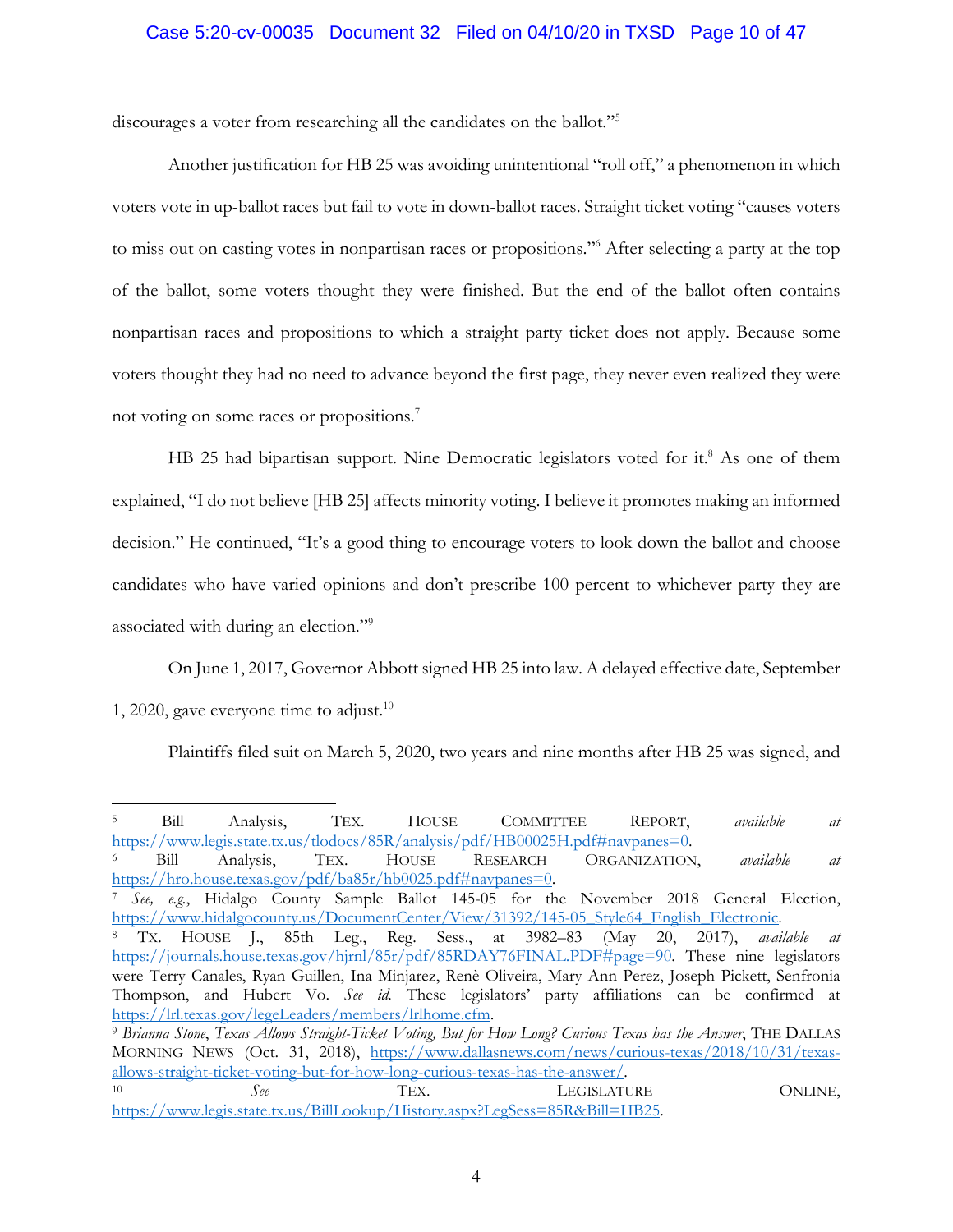## Case 5:20-cv-00035 Document 32 Filed on 04/10/20 in TXSD Page 10 of 47

discourages a voter from researching all the candidates on the ballot."5

Another justification for HB 25 was avoiding unintentional "roll off," a phenomenon in which voters vote in up-ballot races but fail to vote in down-ballot races. Straight ticket voting "causes voters to miss out on casting votes in nonpartisan races or propositions."6 After selecting a party at the top of the ballot, some voters thought they were finished. But the end of the ballot often contains nonpartisan races and propositions to which a straight party ticket does not apply. Because some voters thought they had no need to advance beyond the first page, they never even realized they were not voting on some races or propositions.7

HB 25 had bipartisan support. Nine Democratic legislators voted for it.<sup>8</sup> As one of them explained, "I do not believe [HB 25] affects minority voting. I believe it promotes making an informed decision." He continued, "It's a good thing to encourage voters to look down the ballot and choose candidates who have varied opinions and don't prescribe 100 percent to whichever party they are associated with during an election."<sup>9</sup>

On June 1, 2017, Governor Abbott signed HB 25 into law. A delayed effective date, September 1, 2020, gave everyone time to adjust.<sup>10</sup>

Plaintiffs filed suit on March 5, 2020, two years and nine months after HB 25 was signed, and

<sup>5</sup> Bill Analysis, TEX. HOUSE COMMITTEE REPORT, *available at*  https://www.legis.state.tx.us/tlodocs/85R/analysis/pdf/HB00025H.pdf#navpanes=0. 6 Bill Analysis, TEX. HOUSE RESEARCH ORGANIZATION, *available at* 

https://hro.house.texas.gov/pdf/ba85r/hb0025.pdf#navpanes=0.

<sup>7</sup> *See, e.g.*, Hidalgo County Sample Ballot 145-05 for the November 2018 General Election, https://www.hidalgocounty.us/DocumentCenter/View/31392/145-05\_Style64\_English\_Electronic. 8 TX. HOUSE J., 85th Leg., Reg. Sess., at 3982–83 (May 20, 2017), *available at*

https://journals.house.texas.gov/hjrnl/85r/pdf/85RDAY76FINAL.PDF#page=90. These nine legislators were Terry Canales, Ryan Guillen, Ina Minjarez, Renè Oliveira, Mary Ann Perez, Joseph Pickett, Senfronia Thompson, and Hubert Vo. *See id.* These legislators' party affiliations can be confirmed at https://lrl.texas.gov/legeLeaders/members/lrlhome.cfm. 9 *Brianna Stone*, *Texas Allows Straight-Ticket Voting, But for How Long? Curious Texas has the Answer*, THE DALLAS

MORNING NEWS (Oct. 31, 2018), https://www.dallasnews.com/news/curious-texas/2018/10/31/texasallows-straight-ticket-voting-but-for-how-long-curious-texas-has-the-answer/. 10 *See* TEX. LEGISLATURE ONLINE,

https://www.legis.state.tx.us/BillLookup/History.aspx?LegSess=85R&Bill=HB25.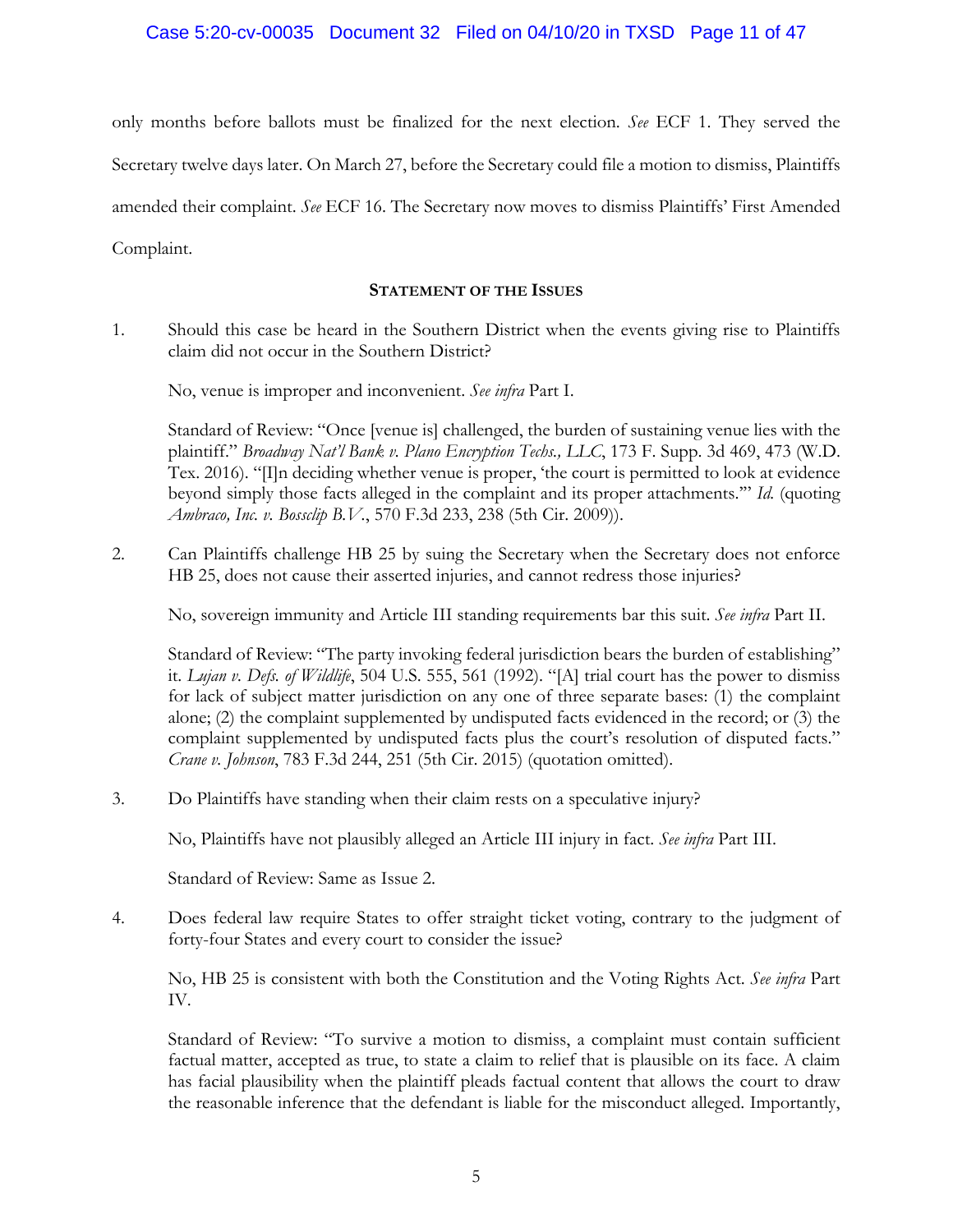only months before ballots must be finalized for the next election. *See* ECF 1. They served the Secretary twelve days later. On March 27, before the Secretary could file a motion to dismiss, Plaintiffs amended their complaint. *See* ECF 16. The Secretary now moves to dismiss Plaintiffs' First Amended Complaint.

## **STATEMENT OF THE ISSUES**

1. Should this case be heard in the Southern District when the events giving rise to Plaintiffs claim did not occur in the Southern District?

No, venue is improper and inconvenient. *See infra* Part I.

Standard of Review: "Once [venue is] challenged, the burden of sustaining venue lies with the plaintiff." *Broadway Nat'l Bank v. Plano Encryption Techs., LLC*, 173 F. Supp. 3d 469, 473 (W.D. Tex. 2016). "[I]n deciding whether venue is proper, 'the court is permitted to look at evidence beyond simply those facts alleged in the complaint and its proper attachments.'" *Id.* (quoting *Ambraco, Inc. v. Bossclip B.V.*, 570 F.3d 233, 238 (5th Cir. 2009)).

2. Can Plaintiffs challenge HB 25 by suing the Secretary when the Secretary does not enforce HB 25, does not cause their asserted injuries, and cannot redress those injuries?

No, sovereign immunity and Article III standing requirements bar this suit. *See infra* Part II.

 Standard of Review: "The party invoking federal jurisdiction bears the burden of establishing" it. *Lujan v. Defs. of Wildlife*, 504 U.S. 555, 561 (1992). "[A] trial court has the power to dismiss for lack of subject matter jurisdiction on any one of three separate bases: (1) the complaint alone; (2) the complaint supplemented by undisputed facts evidenced in the record; or (3) the complaint supplemented by undisputed facts plus the court's resolution of disputed facts." *Crane v. Johnson*, 783 F.3d 244, 251 (5th Cir. 2015) (quotation omitted).

3. Do Plaintiffs have standing when their claim rests on a speculative injury?

No, Plaintiffs have not plausibly alleged an Article III injury in fact. *See infra* Part III.

Standard of Review: Same as Issue 2.

4. Does federal law require States to offer straight ticket voting, contrary to the judgment of forty-four States and every court to consider the issue?

 No, HB 25 is consistent with both the Constitution and the Voting Rights Act. *See infra* Part IV.

 Standard of Review: "To survive a motion to dismiss, a complaint must contain sufficient factual matter, accepted as true, to state a claim to relief that is plausible on its face. A claim has facial plausibility when the plaintiff pleads factual content that allows the court to draw the reasonable inference that the defendant is liable for the misconduct alleged. Importantly,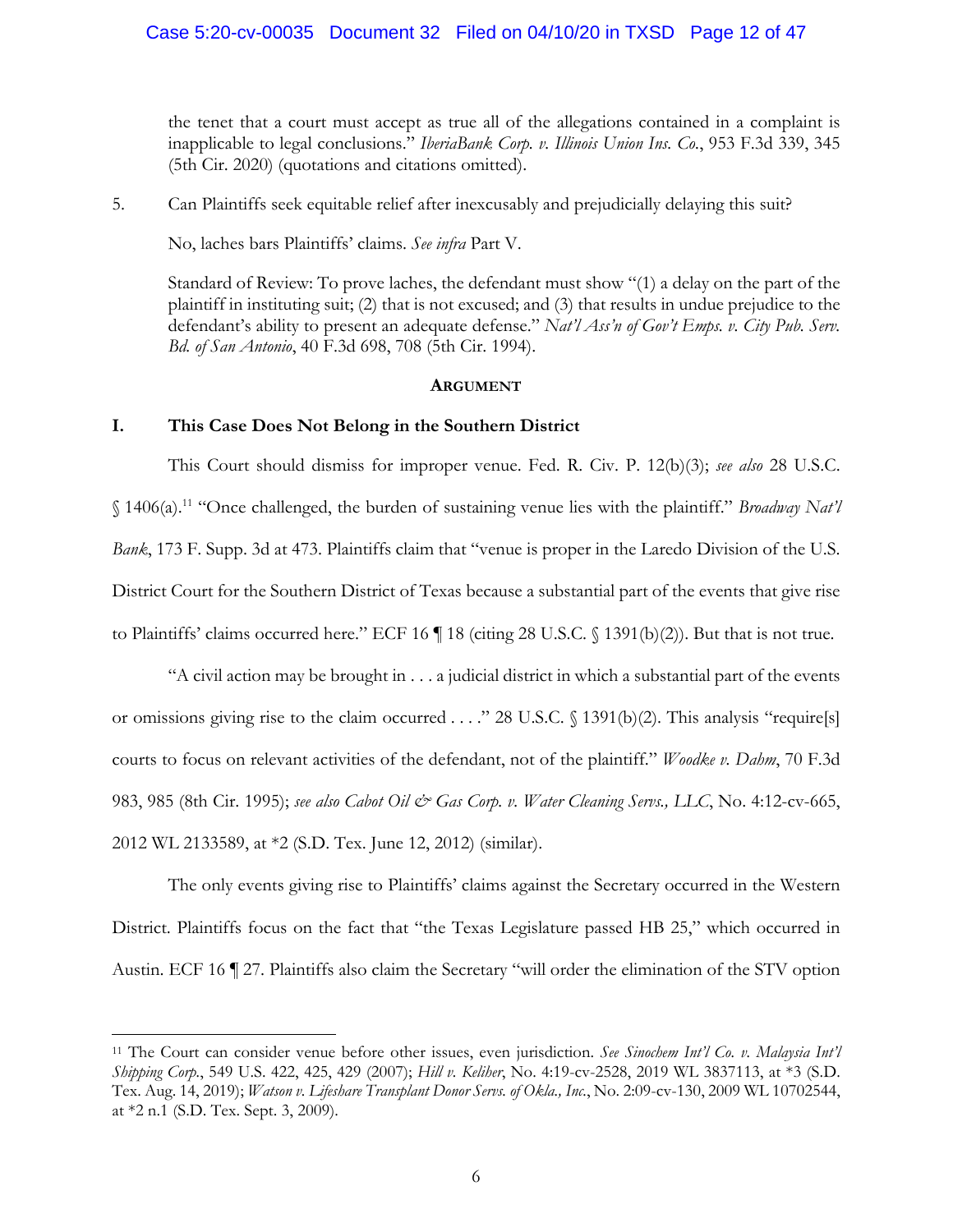## Case 5:20-cv-00035 Document 32 Filed on 04/10/20 in TXSD Page 12 of 47

the tenet that a court must accept as true all of the allegations contained in a complaint is inapplicable to legal conclusions." *IberiaBank Corp. v. Illinois Union Ins. Co.*, 953 F.3d 339, 345 (5th Cir. 2020) (quotations and citations omitted).

5. Can Plaintiffs seek equitable relief after inexcusably and prejudicially delaying this suit?

No, laches bars Plaintiffs' claims. *See infra* Part V.

 Standard of Review: To prove laches, the defendant must show "(1) a delay on the part of the plaintiff in instituting suit; (2) that is not excused; and (3) that results in undue prejudice to the defendant's ability to present an adequate defense." *Nat'l Ass'n of Gov't Emps. v. City Pub. Serv. Bd. of San Antonio*, 40 F.3d 698, 708 (5th Cir. 1994).

#### **ARGUMENT**

## **I. This Case Does Not Belong in the Southern District**

 $\overline{a}$ 

This Court should dismiss for improper venue. Fed. R. Civ. P. 12(b)(3); *see also* 28 U.S.C. § 1406(a).11 "Once challenged, the burden of sustaining venue lies with the plaintiff." *Broadway Nat'l Bank*, 173 F. Supp. 3d at 473. Plaintiffs claim that "venue is proper in the Laredo Division of the U.S. District Court for the Southern District of Texas because a substantial part of the events that give rise to Plaintiffs' claims occurred here." ECF 16 ¶ 18 (citing 28 U.S.C. § 1391(b)(2)). But that is not true.

"A civil action may be brought in . . . a judicial district in which a substantial part of the events or omissions giving rise to the claim occurred . . . ." 28 U.S.C. § 1391(b)(2). This analysis "require[s] courts to focus on relevant activities of the defendant, not of the plaintiff." *Woodke v. Dahm*, 70 F.3d 983, 985 (8th Cir. 1995); *see also Cabot Oil & Gas Corp. v. Water Cleaning Servs., LLC*, No. 4:12-cv-665, 2012 WL 2133589, at \*2 (S.D. Tex. June 12, 2012) (similar).

The only events giving rise to Plaintiffs' claims against the Secretary occurred in the Western District. Plaintiffs focus on the fact that "the Texas Legislature passed HB 25," which occurred in Austin. ECF 16 ¶ 27. Plaintiffs also claim the Secretary "will order the elimination of the STV option

<sup>11</sup> The Court can consider venue before other issues, even jurisdiction. *See Sinochem Int'l Co. v. Malaysia Int'l Shipping Corp.*, 549 U.S. 422, 425, 429 (2007); *Hill v. Keliher*, No. 4:19-cv-2528, 2019 WL 3837113, at \*3 (S.D. Tex. Aug. 14, 2019); *Watson v. Lifeshare Transplant Donor Servs. of Okla., Inc.*, No. 2:09-cv-130, 2009 WL 10702544, at \*2 n.1 (S.D. Tex. Sept. 3, 2009).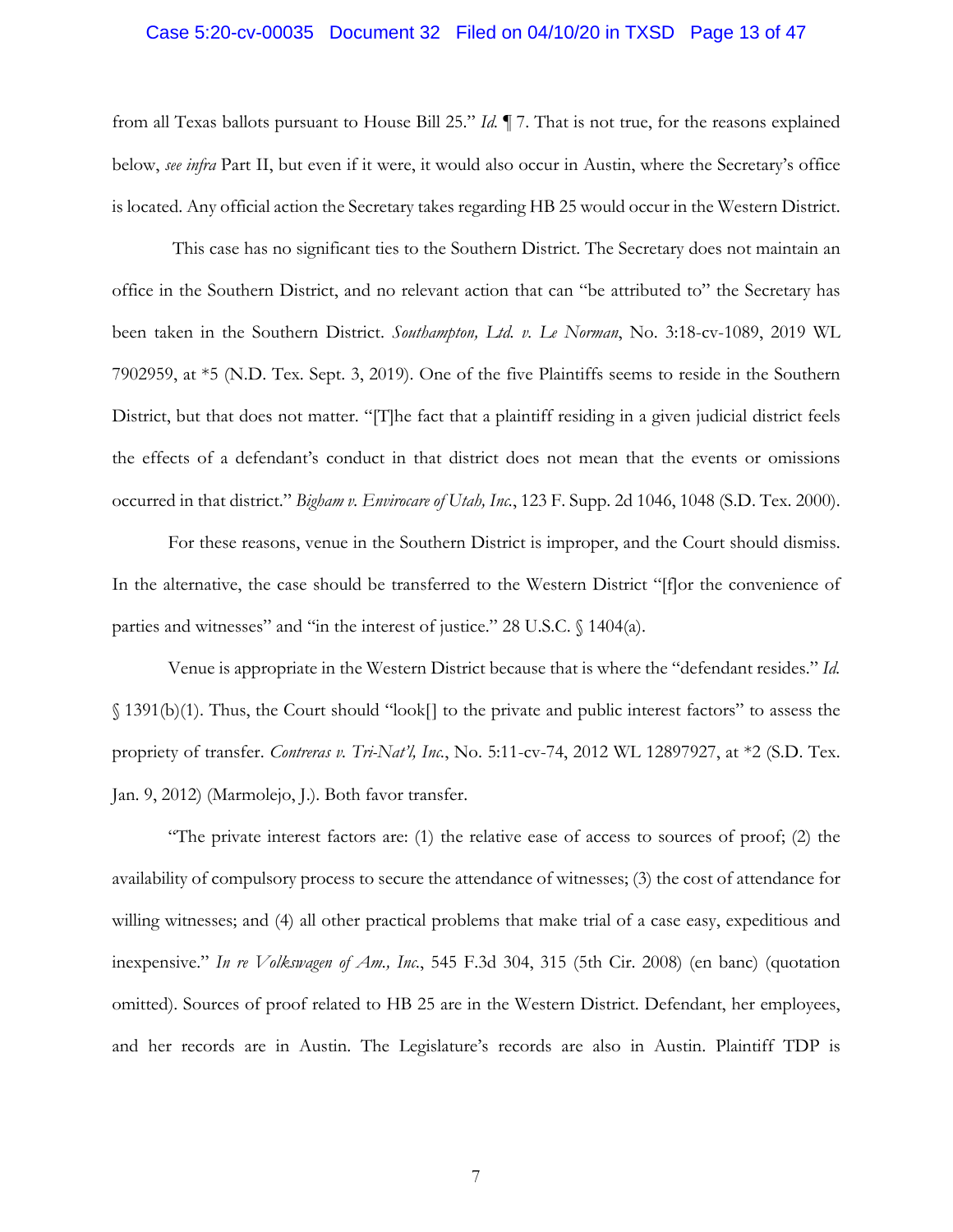#### Case 5:20-cv-00035 Document 32 Filed on 04/10/20 in TXSD Page 13 of 47

from all Texas ballots pursuant to House Bill 25." *Id.* ¶ 7. That is not true, for the reasons explained below, *see infra* Part II, but even if it were, it would also occur in Austin, where the Secretary's office is located. Any official action the Secretary takes regarding HB 25 would occur in the Western District.

 This case has no significant ties to the Southern District. The Secretary does not maintain an office in the Southern District, and no relevant action that can "be attributed to" the Secretary has been taken in the Southern District. *Southampton, Ltd. v. Le Norman*, No. 3:18-cv-1089, 2019 WL 7902959, at \*5 (N.D. Tex. Sept. 3, 2019). One of the five Plaintiffs seems to reside in the Southern District, but that does not matter. "[T]he fact that a plaintiff residing in a given judicial district feels the effects of a defendant's conduct in that district does not mean that the events or omissions occurred in that district." *Bigham v. Envirocare of Utah, Inc.*, 123 F. Supp. 2d 1046, 1048 (S.D. Tex. 2000).

For these reasons, venue in the Southern District is improper, and the Court should dismiss. In the alternative, the case should be transferred to the Western District "[f]or the convenience of parties and witnesses" and "in the interest of justice." 28 U.S.C. § 1404(a).

Venue is appropriate in the Western District because that is where the "defendant resides." *Id.* § 1391(b)(1). Thus, the Court should "look[] to the private and public interest factors" to assess the propriety of transfer. *Contreras v. Tri-Nat'l, Inc.*, No. 5:11-cv-74, 2012 WL 12897927, at \*2 (S.D. Tex. Jan. 9, 2012) (Marmolejo, J.). Both favor transfer.

"The private interest factors are: (1) the relative ease of access to sources of proof; (2) the availability of compulsory process to secure the attendance of witnesses; (3) the cost of attendance for willing witnesses; and (4) all other practical problems that make trial of a case easy, expeditious and inexpensive." *In re Volkswagen of Am., Inc.*, 545 F.3d 304, 315 (5th Cir. 2008) (en banc) (quotation omitted). Sources of proof related to HB 25 are in the Western District. Defendant, her employees, and her records are in Austin. The Legislature's records are also in Austin. Plaintiff TDP is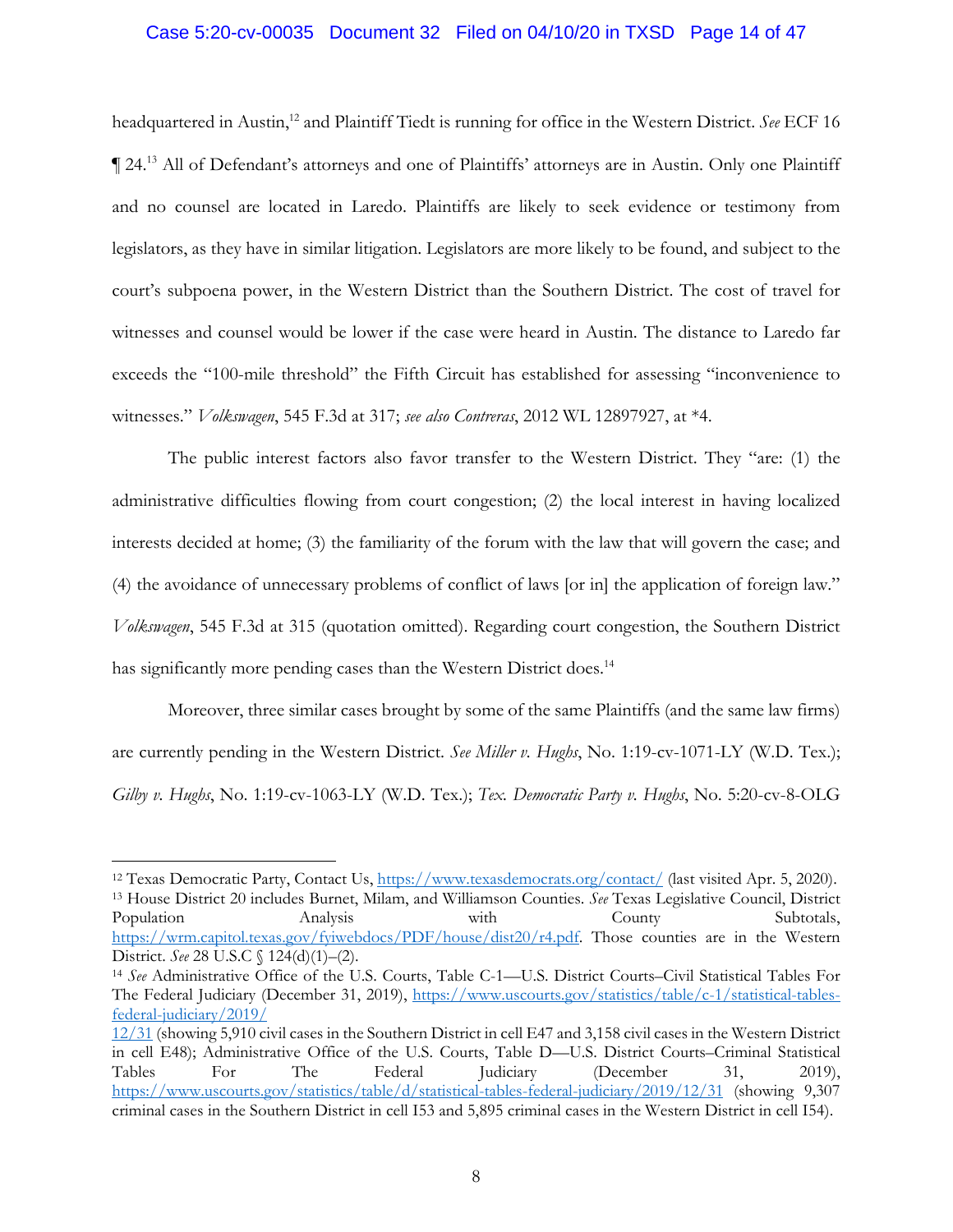#### Case 5:20-cv-00035 Document 32 Filed on 04/10/20 in TXSD Page 14 of 47

headquartered in Austin,<sup>12</sup> and Plaintiff Tiedt is running for office in the Western District. *See* ECF 16 ¶ 24.13 All of Defendant's attorneys and one of Plaintiffs' attorneys are in Austin. Only one Plaintiff and no counsel are located in Laredo. Plaintiffs are likely to seek evidence or testimony from legislators, as they have in similar litigation. Legislators are more likely to be found, and subject to the court's subpoena power, in the Western District than the Southern District. The cost of travel for witnesses and counsel would be lower if the case were heard in Austin. The distance to Laredo far exceeds the "100-mile threshold" the Fifth Circuit has established for assessing "inconvenience to witnesses." *Volkswagen*, 545 F.3d at 317; *see also Contreras*, 2012 WL 12897927, at \*4.

The public interest factors also favor transfer to the Western District. They "are: (1) the administrative difficulties flowing from court congestion; (2) the local interest in having localized interests decided at home; (3) the familiarity of the forum with the law that will govern the case; and (4) the avoidance of unnecessary problems of conflict of laws [or in] the application of foreign law." *Volkswagen*, 545 F.3d at 315 (quotation omitted). Regarding court congestion, the Southern District has significantly more pending cases than the Western District does.<sup>14</sup>

Moreover, three similar cases brought by some of the same Plaintiffs (and the same law firms) are currently pending in the Western District. *See Miller v. Hughs*, No. 1:19-cv-1071-LY (W.D. Tex.); *Gilby v. Hughs*, No. 1:19-cv-1063-LY (W.D. Tex.); *Tex. Democratic Party v. Hughs*, No. 5:20-cv-8-OLG

<sup>&</sup>lt;sup>12</sup> Texas Democratic Party, Contact Us, https://www.texasdemocrats.org/contact/ (last visited Apr. 5, 2020). 13 House District 20 includes Burnet, Milam, and Williamson Counties. *See* Texas Legislative Council, District Population Analysis with County Subtotals, https://wrm.capitol.texas.gov/fyiwebdocs/PDF/house/dist20/r4.pdf. Those counties are in the Western District. *See* 28 U.S.C § 124(d)(1)–(2).

<sup>14</sup> *See* Administrative Office of the U.S. Courts, Table C-1—U.S. District Courts–Civil Statistical Tables For The Federal Judiciary (December 31, 2019), https://www.uscourts.gov/statistics/table/c-1/statistical-tablesfederal-judiciary/2019/

<sup>12/31 (</sup>showing 5,910 civil cases in the Southern District in cell E47 and 3,158 civil cases in the Western District in cell E48); Administrative Office of the U.S. Courts, Table D—U.S. District Courts–Criminal Statistical Tables For The Federal Judiciary (December 31, 2019), https://www.uscourts.gov/statistics/table/d/statistical-tables-federal-judiciary/2019/12/31 (showing 9,307 criminal cases in the Southern District in cell I53 and 5,895 criminal cases in the Western District in cell I54).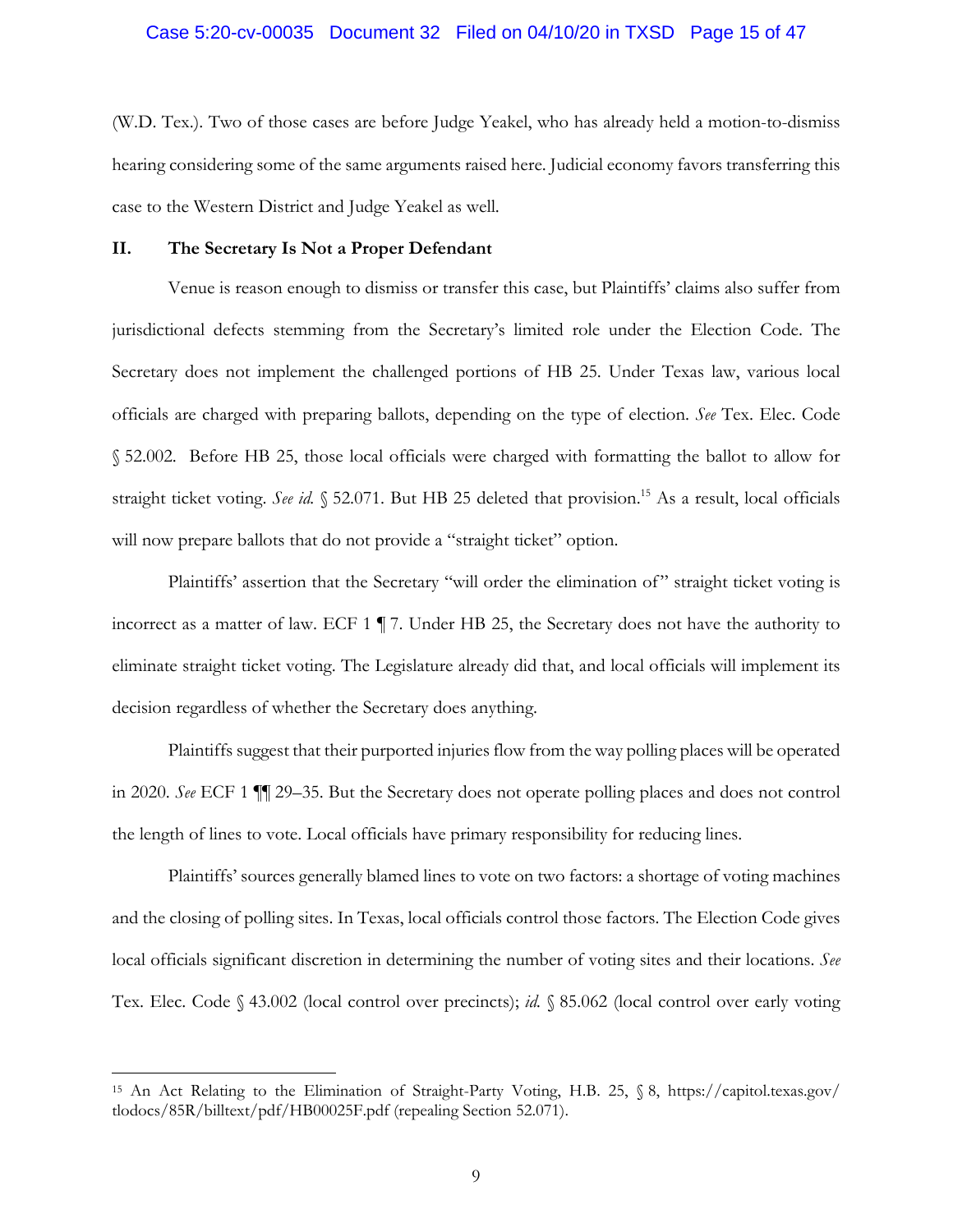#### Case 5:20-cv-00035 Document 32 Filed on 04/10/20 in TXSD Page 15 of 47

(W.D. Tex.). Two of those cases are before Judge Yeakel, who has already held a motion-to-dismiss hearing considering some of the same arguments raised here. Judicial economy favors transferring this case to the Western District and Judge Yeakel as well.

## **II. The Secretary Is Not a Proper Defendant**

 $\overline{a}$ 

Venue is reason enough to dismiss or transfer this case, but Plaintiffs' claims also suffer from jurisdictional defects stemming from the Secretary's limited role under the Election Code. The Secretary does not implement the challenged portions of HB 25. Under Texas law, various local officials are charged with preparing ballots, depending on the type of election. *See* Tex. Elec. Code § 52.002. Before HB 25, those local officials were charged with formatting the ballot to allow for straight ticket voting. *See id.* § 52.071. But HB 25 deleted that provision.<sup>15</sup> As a result, local officials will now prepare ballots that do not provide a "straight ticket" option.

Plaintiffs' assertion that the Secretary "will order the elimination of" straight ticket voting is incorrect as a matter of law. ECF 1 ¶ 7. Under HB 25, the Secretary does not have the authority to eliminate straight ticket voting. The Legislature already did that, and local officials will implement its decision regardless of whether the Secretary does anything.

Plaintiffs suggest that their purported injuries flow from the way polling places will be operated in 2020. *See* ECF 1 ¶¶ 29–35. But the Secretary does not operate polling places and does not control the length of lines to vote. Local officials have primary responsibility for reducing lines.

Plaintiffs' sources generally blamed lines to vote on two factors: a shortage of voting machines and the closing of polling sites. In Texas, local officials control those factors. The Election Code gives local officials significant discretion in determining the number of voting sites and their locations. *See* Tex. Elec. Code § 43.002 (local control over precincts); *id.* § 85.062 (local control over early voting

<sup>15</sup> An Act Relating to the Elimination of Straight-Party Voting, H.B. 25, § 8, https://capitol.texas.gov/ tlodocs/85R/billtext/pdf/HB00025F.pdf (repealing Section 52.071).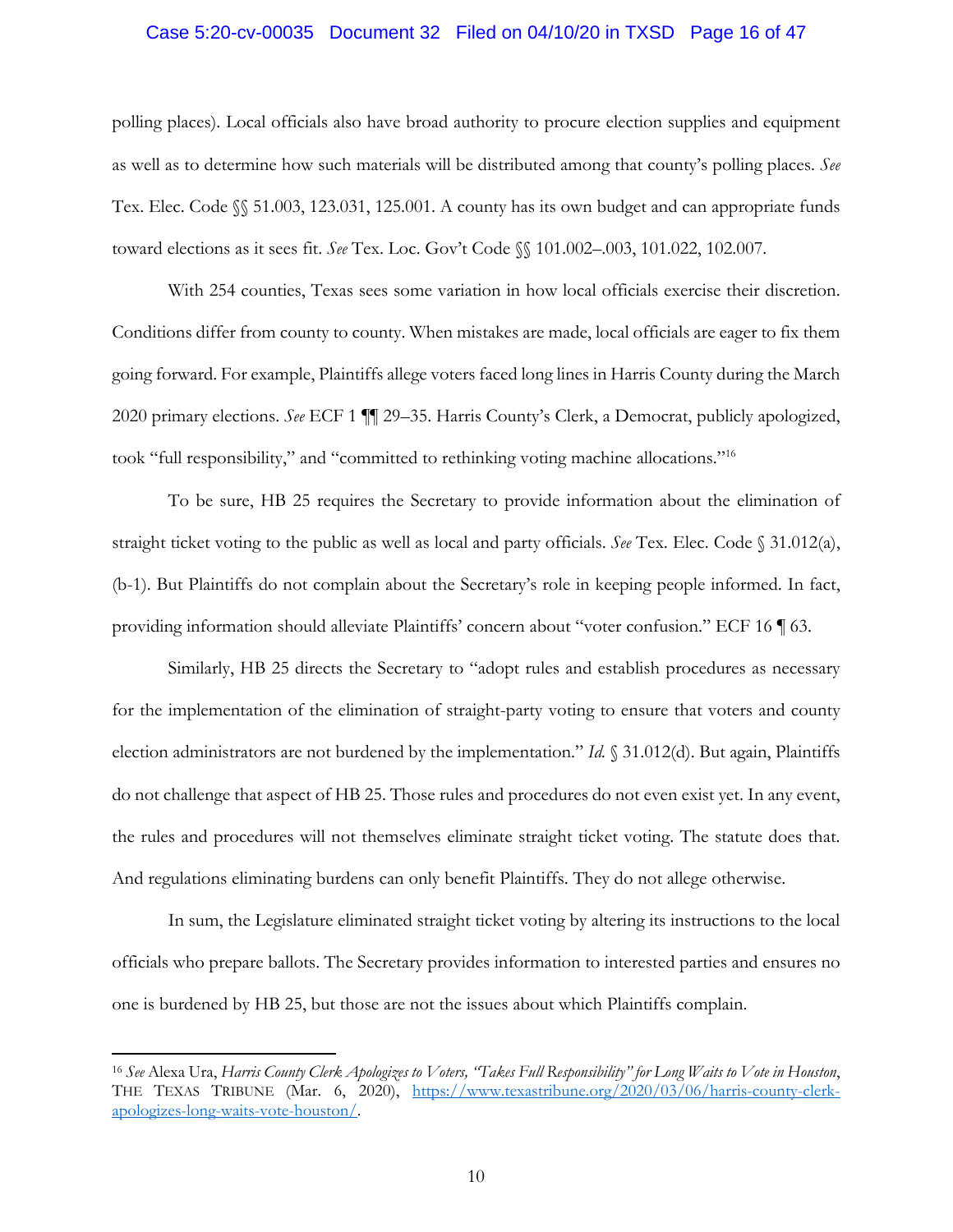#### Case 5:20-cv-00035 Document 32 Filed on 04/10/20 in TXSD Page 16 of 47

polling places). Local officials also have broad authority to procure election supplies and equipment as well as to determine how such materials will be distributed among that county's polling places. *See*  Tex. Elec. Code §§ 51.003, 123.031, 125.001. A county has its own budget and can appropriate funds toward elections as it sees fit. *See* Tex. Loc. Gov't Code §§ 101.002–.003, 101.022, 102.007.

With 254 counties, Texas sees some variation in how local officials exercise their discretion. Conditions differ from county to county. When mistakes are made, local officials are eager to fix them going forward. For example, Plaintiffs allege voters faced long lines in Harris County during the March 2020 primary elections. *See* ECF 1 ¶¶ 29–35. Harris County's Clerk, a Democrat, publicly apologized, took "full responsibility," and "committed to rethinking voting machine allocations."16

To be sure, HB 25 requires the Secretary to provide information about the elimination of straight ticket voting to the public as well as local and party officials. *See* Tex. Elec. Code § 31.012(a), (b-1). But Plaintiffs do not complain about the Secretary's role in keeping people informed. In fact, providing information should alleviate Plaintiffs' concern about "voter confusion." ECF 16 ¶ 63.

Similarly, HB 25 directs the Secretary to "adopt rules and establish procedures as necessary for the implementation of the elimination of straight-party voting to ensure that voters and county election administrators are not burdened by the implementation." *Id.* § 31.012(d). But again, Plaintiffs do not challenge that aspect of HB 25. Those rules and procedures do not even exist yet. In any event, the rules and procedures will not themselves eliminate straight ticket voting. The statute does that. And regulations eliminating burdens can only benefit Plaintiffs. They do not allege otherwise.

In sum, the Legislature eliminated straight ticket voting by altering its instructions to the local officials who prepare ballots. The Secretary provides information to interested parties and ensures no one is burdened by HB 25, but those are not the issues about which Plaintiffs complain.

<sup>16</sup> *See* Alexa Ura, *Harris County Clerk Apologizes to Voters, "Takes Full Responsibility" for Long Waits to Vote in Houston*, THE TEXAS TRIBUNE (Mar. 6, 2020), https://www.texastribune.org/2020/03/06/harris-county-clerkapologizes-long-waits-vote-houston/.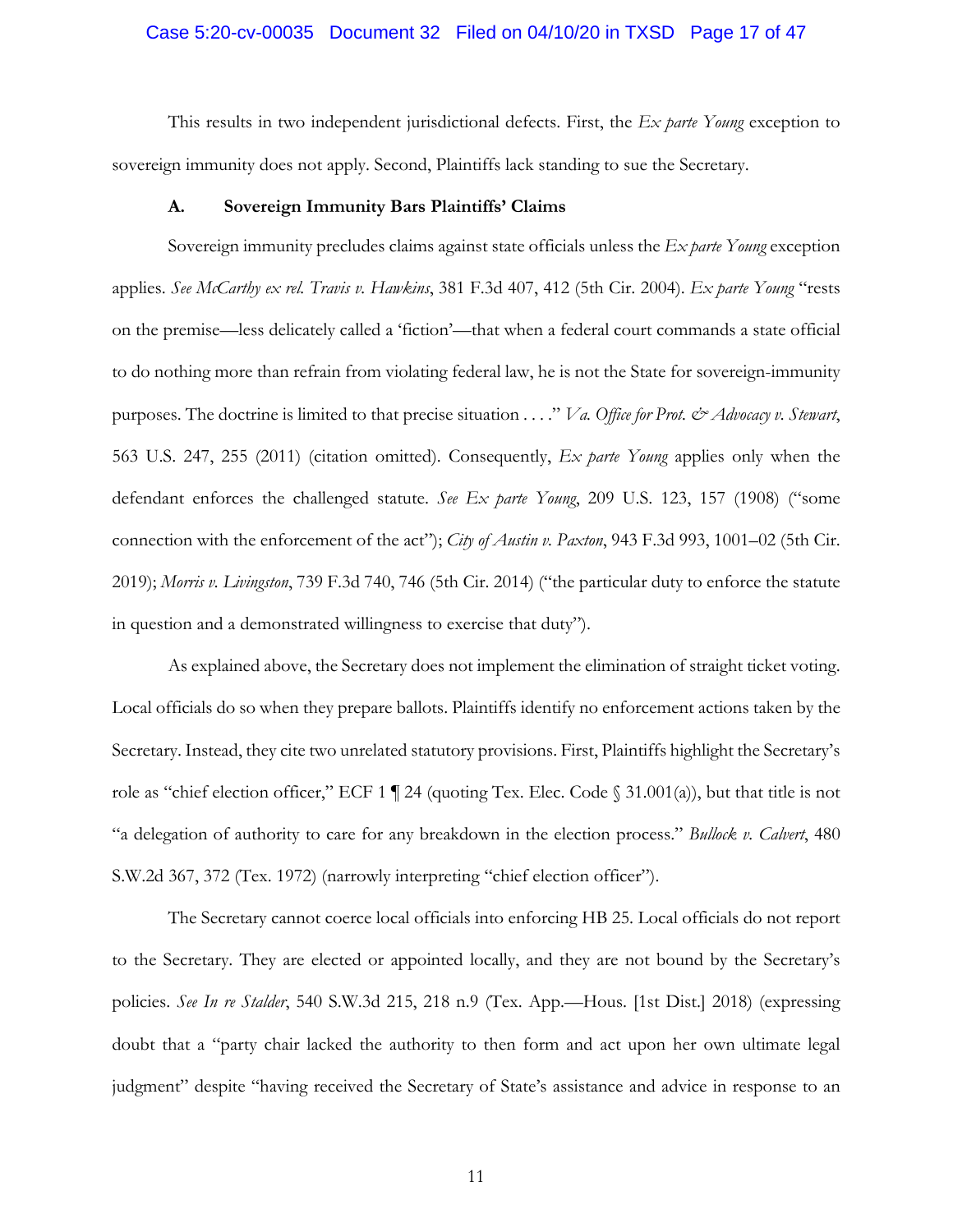#### Case 5:20-cv-00035 Document 32 Filed on 04/10/20 in TXSD Page 17 of 47

This results in two independent jurisdictional defects. First, the *Ex parte Young* exception to sovereign immunity does not apply. Second, Plaintiffs lack standing to sue the Secretary.

#### **A. Sovereign Immunity Bars Plaintiffs' Claims**

Sovereign immunity precludes claims against state officials unless the *Ex parte Young* exception applies. *See McCarthy ex rel. Travis v. Hawkins*, 381 F.3d 407, 412 (5th Cir. 2004). *Ex parte Young* "rests on the premise—less delicately called a 'fiction'—that when a federal court commands a state official to do nothing more than refrain from violating federal law, he is not the State for sovereign-immunity purposes. The doctrine is limited to that precise situation . . . ." *Va. Office for Prot. & Advocacy v. Stewart*, 563 U.S. 247, 255 (2011) (citation omitted). Consequently, *Ex parte Young* applies only when the defendant enforces the challenged statute. *See Ex parte Young*, 209 U.S. 123, 157 (1908) ("some connection with the enforcement of the act"); *City of Austin v. Paxton*, 943 F.3d 993, 1001–02 (5th Cir. 2019); *Morris v. Livingston*, 739 F.3d 740, 746 (5th Cir. 2014) ("the particular duty to enforce the statute in question and a demonstrated willingness to exercise that duty").

As explained above, the Secretary does not implement the elimination of straight ticket voting. Local officials do so when they prepare ballots. Plaintiffs identify no enforcement actions taken by the Secretary. Instead, they cite two unrelated statutory provisions. First, Plaintiffs highlight the Secretary's role as "chief election officer," ECF 1  $\P$  24 (quoting Tex. Elec. Code  $\S$  31.001(a)), but that title is not "a delegation of authority to care for any breakdown in the election process." *Bullock v. Calvert*, 480 S.W.2d 367, 372 (Tex. 1972) (narrowly interpreting "chief election officer").

The Secretary cannot coerce local officials into enforcing HB 25. Local officials do not report to the Secretary. They are elected or appointed locally, and they are not bound by the Secretary's policies. *See In re Stalder*, 540 S.W.3d 215, 218 n.9 (Tex. App.—Hous. [1st Dist.] 2018) (expressing doubt that a "party chair lacked the authority to then form and act upon her own ultimate legal judgment" despite "having received the Secretary of State's assistance and advice in response to an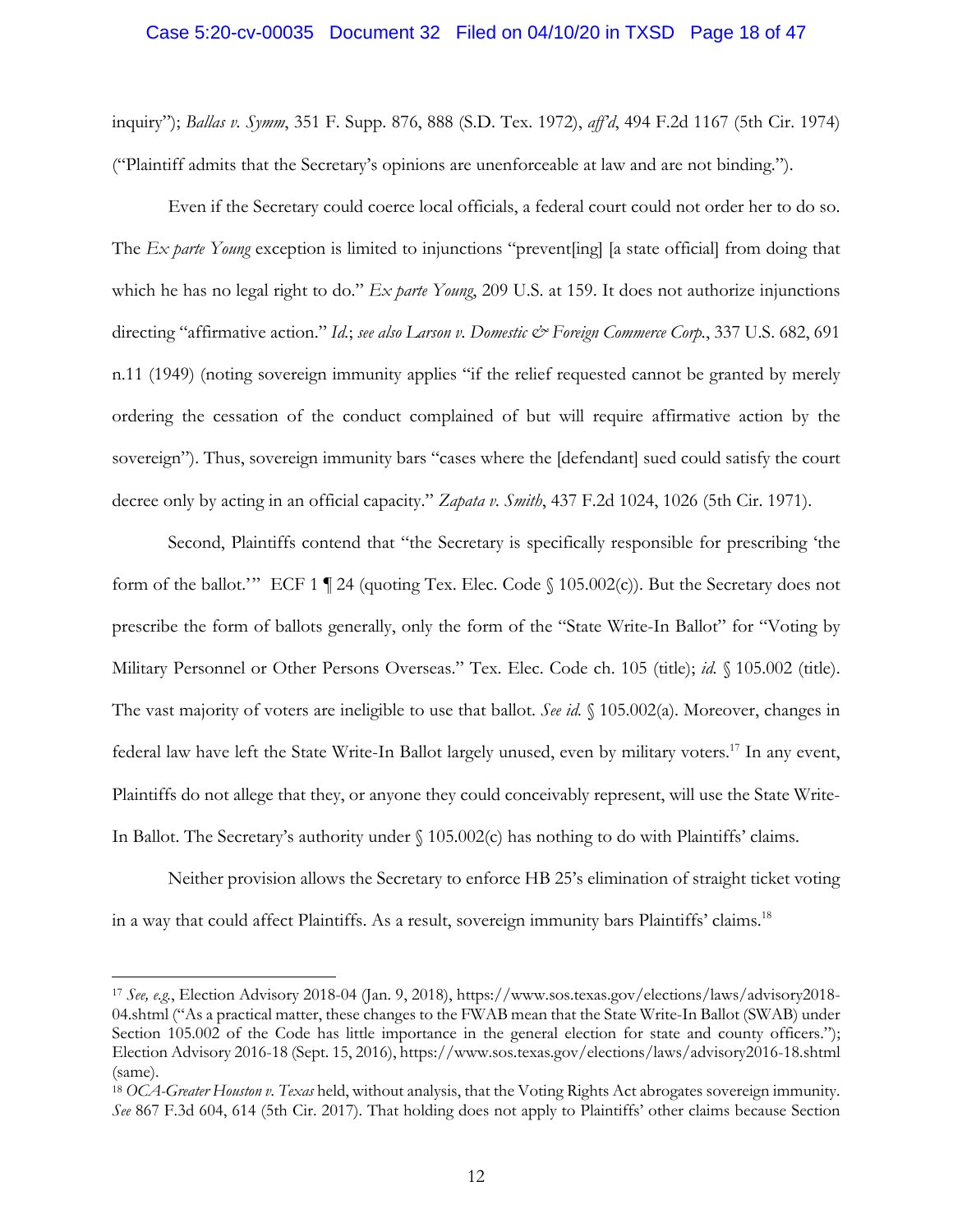## Case 5:20-cv-00035 Document 32 Filed on 04/10/20 in TXSD Page 18 of 47

inquiry"); *Ballas v. Symm*, 351 F. Supp. 876, 888 (S.D. Tex. 1972), *aff'd*, 494 F.2d 1167 (5th Cir. 1974) ("Plaintiff admits that the Secretary's opinions are unenforceable at law and are not binding.").

Even if the Secretary could coerce local officials, a federal court could not order her to do so. The *Ex parte Young* exception is limited to injunctions "prevent[ing] [a state official] from doing that which he has no legal right to do." *Ex parte Young*, 209 U.S. at 159. It does not authorize injunctions directing "affirmative action." *Id.*; *see also Larson v. Domestic & Foreign Commerce Corp.*, 337 U.S. 682, 691 n.11 (1949) (noting sovereign immunity applies "if the relief requested cannot be granted by merely ordering the cessation of the conduct complained of but will require affirmative action by the sovereign"). Thus, sovereign immunity bars "cases where the [defendant] sued could satisfy the court decree only by acting in an official capacity." *Zapata v. Smith*, 437 F.2d 1024, 1026 (5th Cir. 1971).

Second, Plaintiffs contend that "the Secretary is specifically responsible for prescribing 'the form of the ballot.'" ECF 1 | 24 (quoting Tex. Elec. Code  $\{105.002(c)\}$ ). But the Secretary does not prescribe the form of ballots generally, only the form of the "State Write-In Ballot" for "Voting by Military Personnel or Other Persons Overseas." Tex. Elec. Code ch. 105 (title); *id.* § 105.002 (title). The vast majority of voters are ineligible to use that ballot. *See id.* § 105.002(a). Moreover, changes in federal law have left the State Write-In Ballot largely unused, even by military voters.17 In any event, Plaintiffs do not allege that they, or anyone they could conceivably represent, will use the State Write-In Ballot. The Secretary's authority under  $\{(105.002(c) \text{ has nothing to do with Planit} \}$ 'claims.

Neither provision allows the Secretary to enforce HB 25's elimination of straight ticket voting in a way that could affect Plaintiffs. As a result, sovereign immunity bars Plaintiffs' claims.<sup>18</sup>

<sup>17</sup> *See, e.g.*, Election Advisory 2018-04 (Jan. 9, 2018), https://www.sos.texas.gov/elections/laws/advisory2018- 04.shtml ("As a practical matter, these changes to the FWAB mean that the State Write-In Ballot (SWAB) under Section 105.002 of the Code has little importance in the general election for state and county officers."); Election Advisory 2016-18 (Sept. 15, 2016), https://www.sos.texas.gov/elections/laws/advisory2016-18.shtml (same).

<sup>18</sup> *OCA-Greater Houston v. Texas* held, without analysis, that the Voting Rights Act abrogates sovereign immunity. *See* 867 F.3d 604, 614 (5th Cir. 2017). That holding does not apply to Plaintiffs' other claims because Section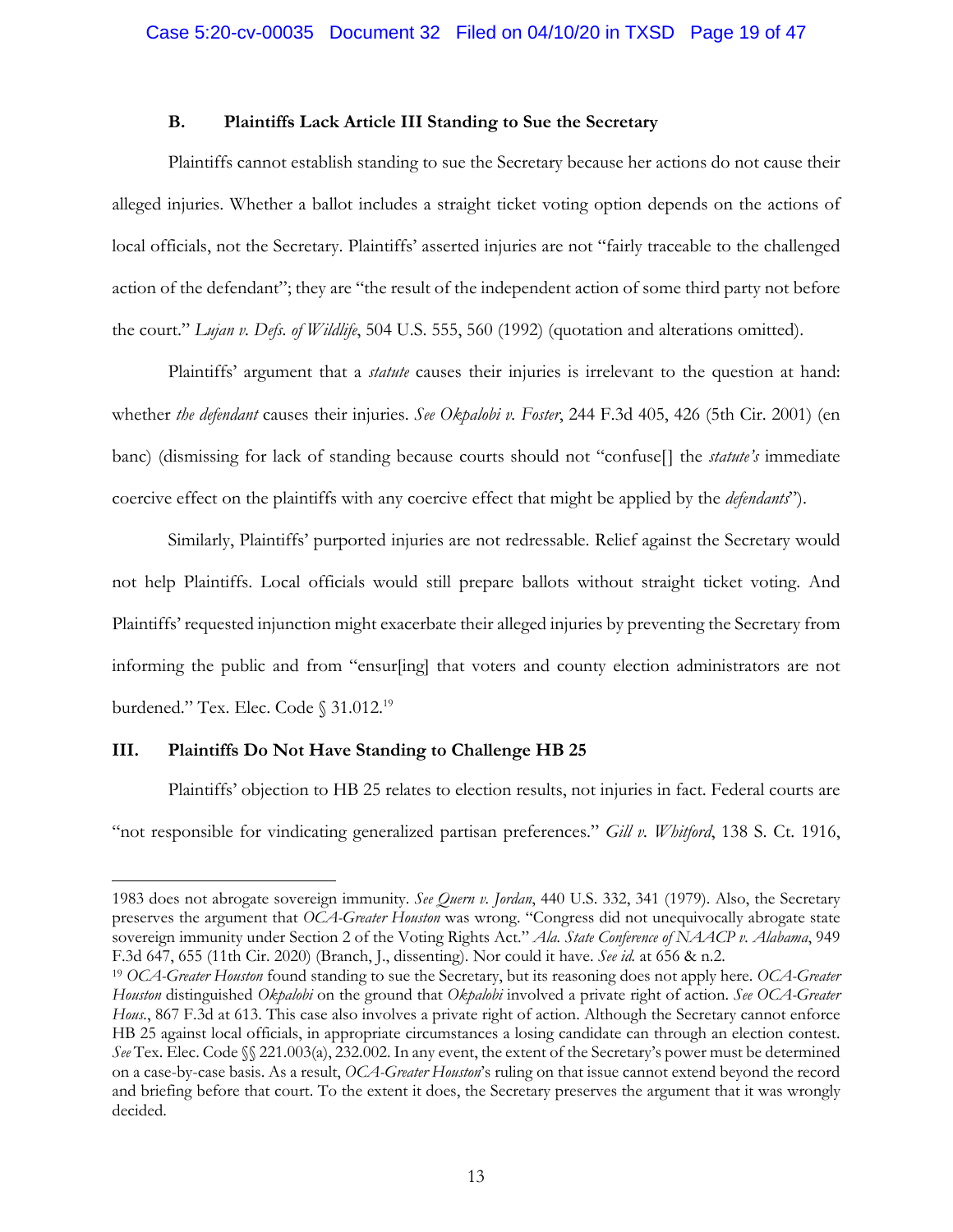## **B. Plaintiffs Lack Article III Standing to Sue the Secretary**

Plaintiffs cannot establish standing to sue the Secretary because her actions do not cause their alleged injuries. Whether a ballot includes a straight ticket voting option depends on the actions of local officials, not the Secretary. Plaintiffs' asserted injuries are not "fairly traceable to the challenged action of the defendant"; they are "the result of the independent action of some third party not before the court." *Lujan v. Defs. of Wildlife*, 504 U.S. 555, 560 (1992) (quotation and alterations omitted).

Plaintiffs' argument that a *statute* causes their injuries is irrelevant to the question at hand: whether *the defendant* causes their injuries. *See Okpalobi v. Foster*, 244 F.3d 405, 426 (5th Cir. 2001) (en banc) (dismissing for lack of standing because courts should not "confuse[] the *statute's* immediate coercive effect on the plaintiffs with any coercive effect that might be applied by the *defendants*").

Similarly, Plaintiffs' purported injuries are not redressable. Relief against the Secretary would not help Plaintiffs. Local officials would still prepare ballots without straight ticket voting. And Plaintiffs' requested injunction might exacerbate their alleged injuries by preventing the Secretary from informing the public and from "ensur[ing] that voters and county election administrators are not burdened." Tex. Elec. Code § 31.012.<sup>19</sup>

## **III. Plaintiffs Do Not Have Standing to Challenge HB 25**

1

Plaintiffs' objection to HB 25 relates to election results, not injuries in fact. Federal courts are "not responsible for vindicating generalized partisan preferences." *Gill v. Whitford*, 138 S. Ct. 1916,

<sup>1983</sup> does not abrogate sovereign immunity. *See Quern v. Jordan*, 440 U.S. 332, 341 (1979). Also, the Secretary preserves the argument that *OCA-Greater Houston* was wrong. "Congress did not unequivocally abrogate state sovereign immunity under Section 2 of the Voting Rights Act." *Ala. State Conference of NAACP v. Alabama*, 949 F.3d 647, 655 (11th Cir. 2020) (Branch, J., dissenting). Nor could it have. *See id.* at 656 & n.2.

<sup>19</sup> *OCA-Greater Houston* found standing to sue the Secretary, but its reasoning does not apply here. *OCA-Greater Houston* distinguished *Okpalobi* on the ground that *Okpalobi* involved a private right of action. *See OCA-Greater Hous.*, 867 F.3d at 613. This case also involves a private right of action. Although the Secretary cannot enforce HB 25 against local officials, in appropriate circumstances a losing candidate can through an election contest. *See* Tex. Elec. Code §§ 221.003(a), 232.002. In any event, the extent of the Secretary's power must be determined on a case-by-case basis. As a result, *OCA-Greater Houston*'s ruling on that issue cannot extend beyond the record and briefing before that court. To the extent it does, the Secretary preserves the argument that it was wrongly decided.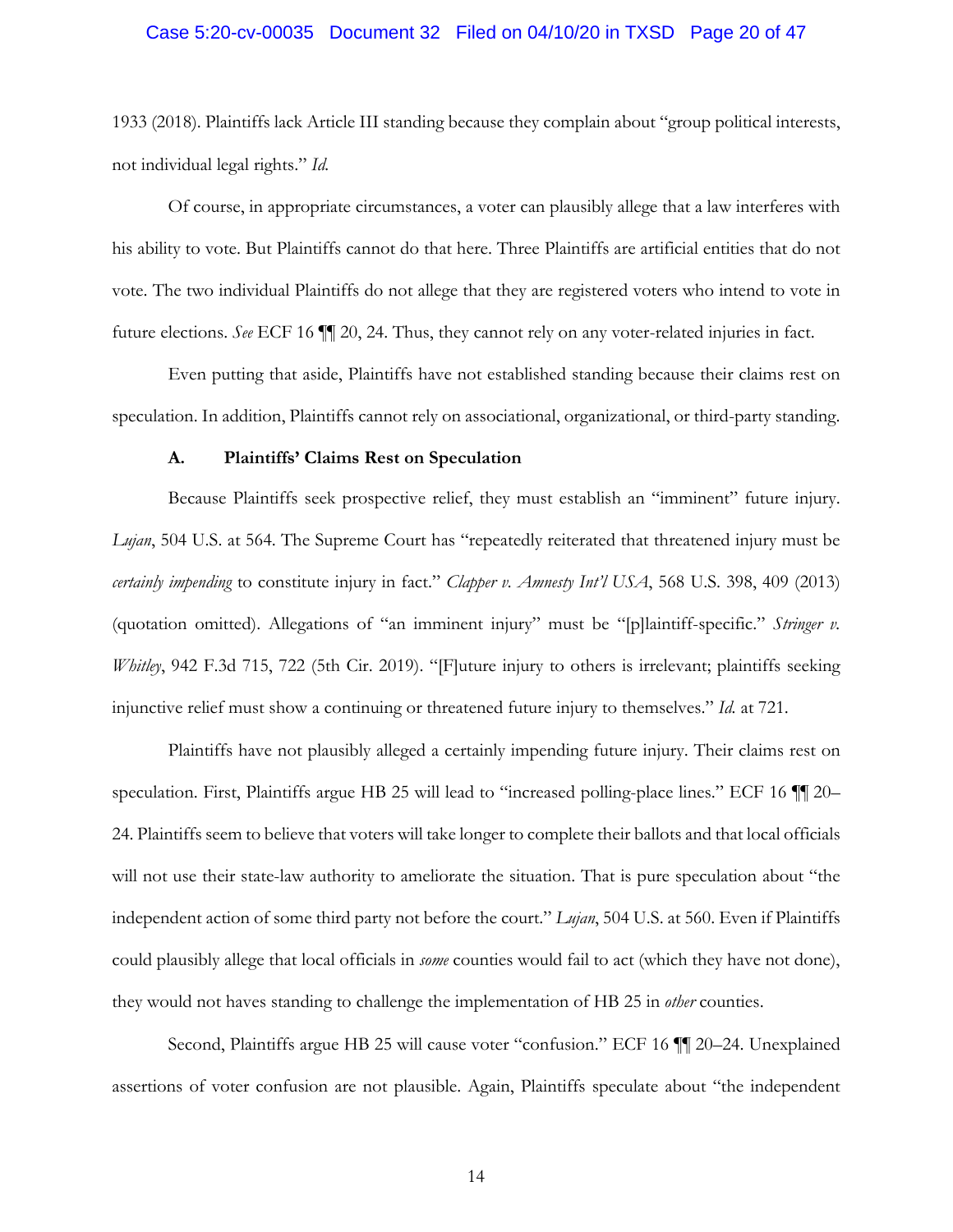## Case 5:20-cv-00035 Document 32 Filed on 04/10/20 in TXSD Page 20 of 47

1933 (2018). Plaintiffs lack Article III standing because they complain about "group political interests, not individual legal rights." *Id.*

Of course, in appropriate circumstances, a voter can plausibly allege that a law interferes with his ability to vote. But Plaintiffs cannot do that here. Three Plaintiffs are artificial entities that do not vote. The two individual Plaintiffs do not allege that they are registered voters who intend to vote in future elections. *See* ECF 16 ¶¶ 20, 24. Thus, they cannot rely on any voter-related injuries in fact.

Even putting that aside, Plaintiffs have not established standing because their claims rest on speculation. In addition, Plaintiffs cannot rely on associational, organizational, or third-party standing.

#### **A. Plaintiffs' Claims Rest on Speculation**

Because Plaintiffs seek prospective relief, they must establish an "imminent" future injury. *Lujan*, 504 U.S. at 564. The Supreme Court has "repeatedly reiterated that threatened injury must be *certainly impending* to constitute injury in fact." *Clapper v. Amnesty Int'l USA*, 568 U.S. 398, 409 (2013) (quotation omitted). Allegations of "an imminent injury" must be "[p]laintiff-specific." *Stringer v. Whitley*, 942 F.3d 715, 722 (5th Cir. 2019). "[F]uture injury to others is irrelevant; plaintiffs seeking injunctive relief must show a continuing or threatened future injury to themselves." *Id.* at 721.

Plaintiffs have not plausibly alleged a certainly impending future injury. Their claims rest on speculation. First, Plaintiffs argue HB 25 will lead to "increased polling-place lines." ECF 16 ¶¶ 20– 24. Plaintiffs seem to believe that voters will take longer to complete their ballots and that local officials will not use their state-law authority to ameliorate the situation. That is pure speculation about "the independent action of some third party not before the court." *Lujan*, 504 U.S. at 560. Even if Plaintiffs could plausibly allege that local officials in *some* counties would fail to act (which they have not done), they would not haves standing to challenge the implementation of HB 25 in *other* counties.

Second, Plaintiffs argue HB 25 will cause voter "confusion." ECF 16 ¶¶ 20–24. Unexplained assertions of voter confusion are not plausible. Again, Plaintiffs speculate about "the independent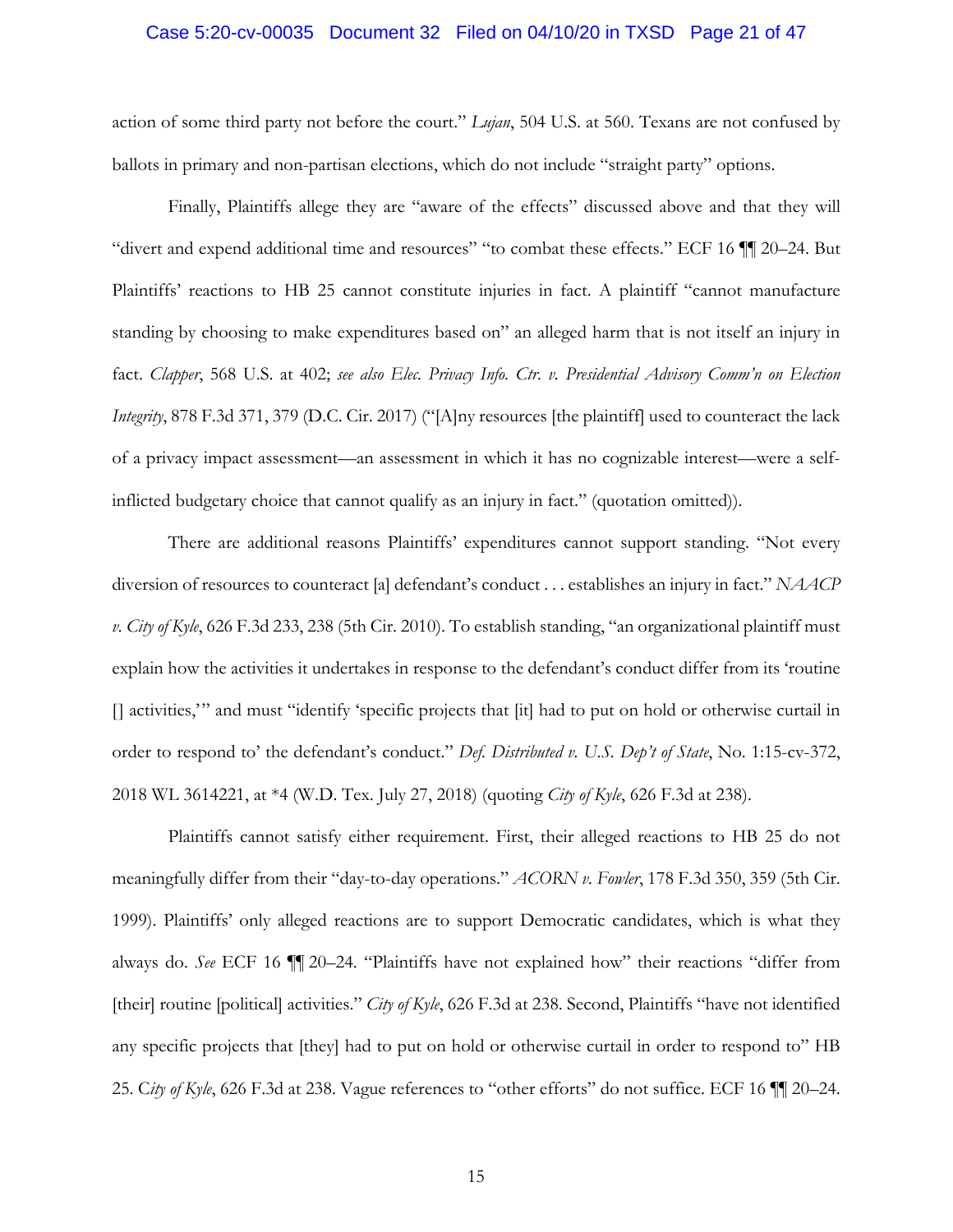#### Case 5:20-cv-00035 Document 32 Filed on 04/10/20 in TXSD Page 21 of 47

action of some third party not before the court." *Lujan*, 504 U.S. at 560. Texans are not confused by ballots in primary and non-partisan elections, which do not include "straight party" options.

Finally, Plaintiffs allege they are "aware of the effects" discussed above and that they will "divert and expend additional time and resources" "to combat these effects." ECF 16 ¶¶ 20–24. But Plaintiffs' reactions to HB 25 cannot constitute injuries in fact. A plaintiff "cannot manufacture standing by choosing to make expenditures based on" an alleged harm that is not itself an injury in fact. *Clapper*, 568 U.S. at 402; *see also Elec. Privacy Info. Ctr. v. Presidential Advisory Comm'n on Election Integrity*, 878 F.3d 371, 379 (D.C. Cir. 2017) ("[A]ny resources [the plaintiff] used to counteract the lack of a privacy impact assessment—an assessment in which it has no cognizable interest—were a selfinflicted budgetary choice that cannot qualify as an injury in fact." (quotation omitted)).

There are additional reasons Plaintiffs' expenditures cannot support standing. "Not every diversion of resources to counteract [a] defendant's conduct . . . establishes an injury in fact." *NAACP v. City of Kyle*, 626 F.3d 233, 238 (5th Cir. 2010). To establish standing, "an organizational plaintiff must explain how the activities it undertakes in response to the defendant's conduct differ from its 'routine [] activities,'" and must "identify 'specific projects that [it] had to put on hold or otherwise curtail in order to respond to' the defendant's conduct." *Def. Distributed v. U.S. Dep't of State*, No. 1:15-cv-372, 2018 WL 3614221, at \*4 (W.D. Tex. July 27, 2018) (quoting *City of Kyle*, 626 F.3d at 238).

Plaintiffs cannot satisfy either requirement. First, their alleged reactions to HB 25 do not meaningfully differ from their "day-to-day operations." *ACORN v. Fowler*, 178 F.3d 350, 359 (5th Cir. 1999). Plaintiffs' only alleged reactions are to support Democratic candidates, which is what they always do. *See* ECF 16 ¶¶ 20–24. "Plaintiffs have not explained how" their reactions "differ from [their] routine [political] activities." *City of Kyle*, 626 F.3d at 238. Second, Plaintiffs "have not identified any specific projects that [they] had to put on hold or otherwise curtail in order to respond to" HB 25. C*ity of Kyle*, 626 F.3d at 238. Vague references to "other efforts" do not suffice. ECF 16 ¶¶ 20–24.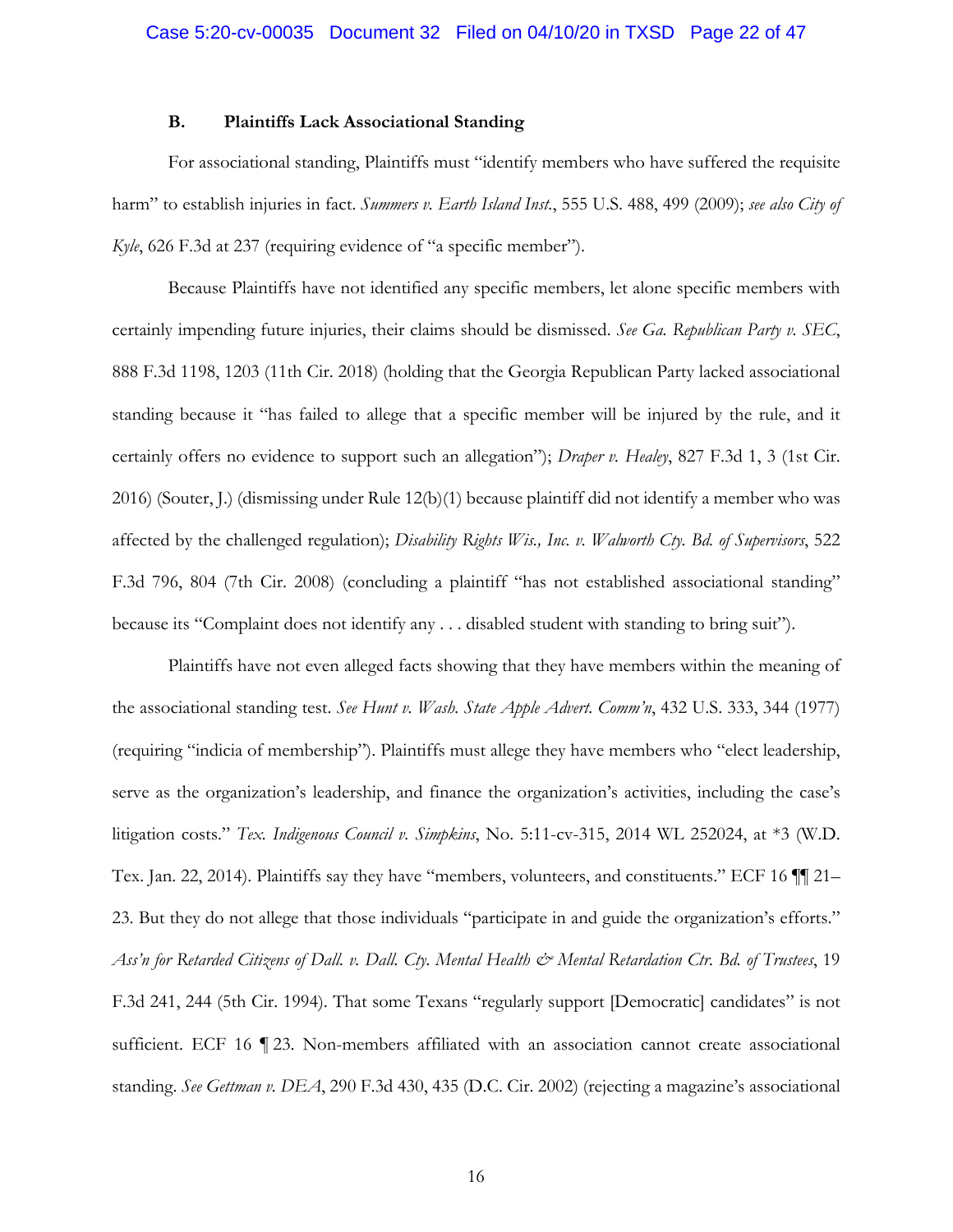## **B. Plaintiffs Lack Associational Standing**

For associational standing, Plaintiffs must "identify members who have suffered the requisite harm" to establish injuries in fact. *Summers v. Earth Island Inst.*, 555 U.S. 488, 499 (2009); *see also City of Kyle*, 626 F.3d at 237 (requiring evidence of "a specific member").

Because Plaintiffs have not identified any specific members, let alone specific members with certainly impending future injuries, their claims should be dismissed. *See Ga. Republican Party v. SEC*, 888 F.3d 1198, 1203 (11th Cir. 2018) (holding that the Georgia Republican Party lacked associational standing because it "has failed to allege that a specific member will be injured by the rule, and it certainly offers no evidence to support such an allegation"); *Draper v. Healey*, 827 F.3d 1, 3 (1st Cir. 2016) (Souter, J.) (dismissing under Rule 12(b)(1) because plaintiff did not identify a member who was affected by the challenged regulation); *Disability Rights Wis., Inc. v. Walworth Cty. Bd. of Supervisors*, 522 F.3d 796, 804 (7th Cir. 2008) (concluding a plaintiff "has not established associational standing" because its "Complaint does not identify any . . . disabled student with standing to bring suit").

Plaintiffs have not even alleged facts showing that they have members within the meaning of the associational standing test. *See Hunt v. Wash. State Apple Advert. Comm'n*, 432 U.S. 333, 344 (1977) (requiring "indicia of membership"). Plaintiffs must allege they have members who "elect leadership, serve as the organization's leadership, and finance the organization's activities, including the case's litigation costs." *Tex. Indigenous Council v. Simpkins*, No. 5:11-cv-315, 2014 WL 252024, at \*3 (W.D. Tex. Jan. 22, 2014). Plaintiffs say they have "members, volunteers, and constituents." ECF 16 ¶¶ 21– 23. But they do not allege that those individuals "participate in and guide the organization's efforts." *Ass'n for Retarded Citizens of Dall. v. Dall. Cty. Mental Health & Mental Retardation Ctr. Bd. of Trustees*, 19 F.3d 241, 244 (5th Cir. 1994). That some Texans "regularly support [Democratic] candidates" is not sufficient. ECF 16 ¶ 23. Non-members affiliated with an association cannot create associational standing. *See Gettman v. DEA*, 290 F.3d 430, 435 (D.C. Cir. 2002) (rejecting a magazine's associational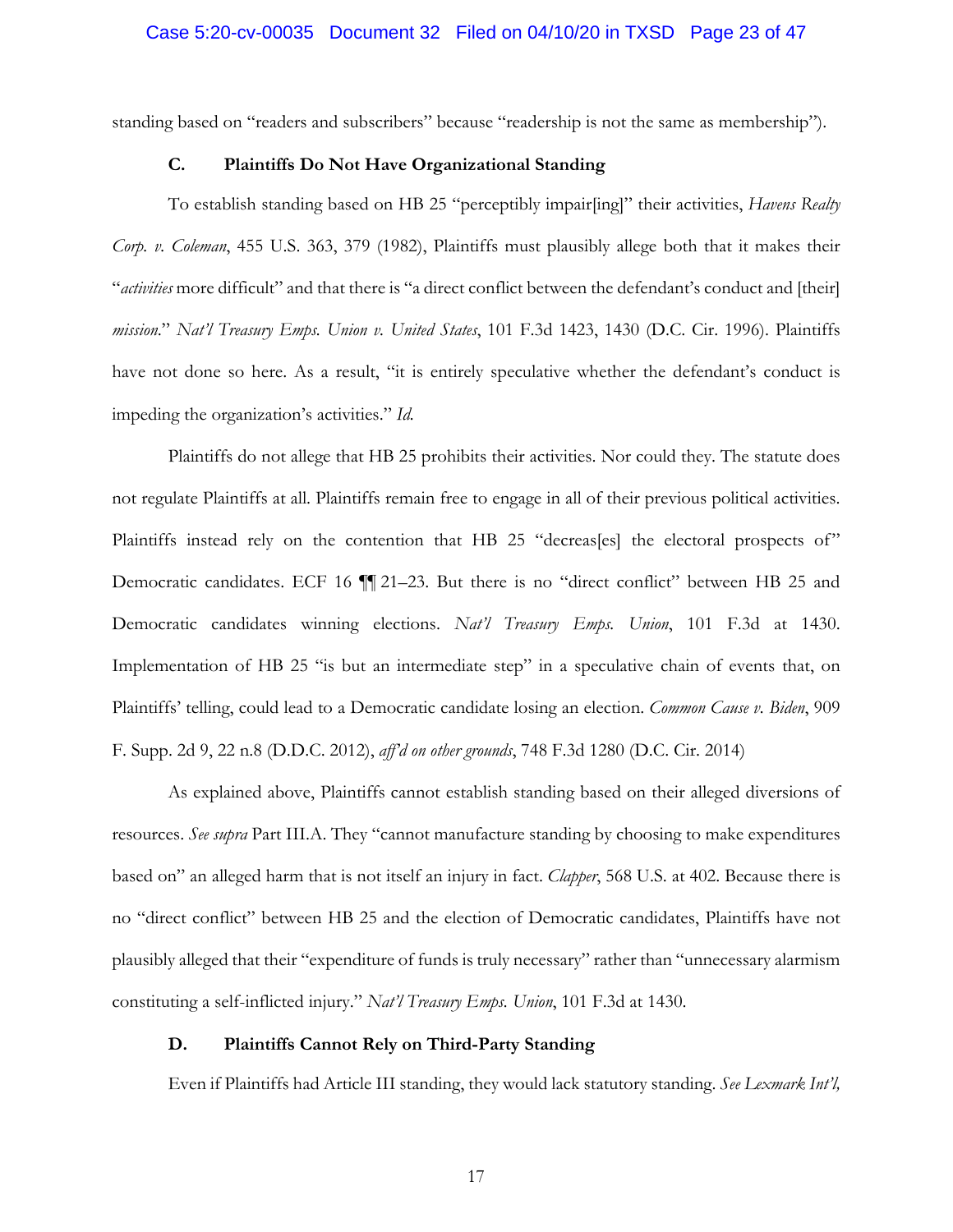standing based on "readers and subscribers" because "readership is not the same as membership").

## **C. Plaintiffs Do Not Have Organizational Standing**

To establish standing based on HB 25 "perceptibly impair[ing]" their activities, *Havens Realty Corp. v. Coleman*, 455 U.S. 363, 379 (1982), Plaintiffs must plausibly allege both that it makes their "*activities* more difficult" and that there is "a direct conflict between the defendant's conduct and [their] *mission*." *Nat'l Treasury Emps. Union v. United States*, 101 F.3d 1423, 1430 (D.C. Cir. 1996). Plaintiffs have not done so here. As a result, "it is entirely speculative whether the defendant's conduct is impeding the organization's activities." *Id.*

Plaintiffs do not allege that HB 25 prohibits their activities. Nor could they. The statute does not regulate Plaintiffs at all. Plaintiffs remain free to engage in all of their previous political activities. Plaintiffs instead rely on the contention that HB 25 "decreas[es] the electoral prospects of" Democratic candidates. ECF 16  $\P$  21–23. But there is no "direct conflict" between HB 25 and Democratic candidates winning elections. *Nat'l Treasury Emps. Union*, 101 F.3d at 1430. Implementation of HB 25 "is but an intermediate step" in a speculative chain of events that, on Plaintiffs' telling, could lead to a Democratic candidate losing an election. *Common Cause v. Biden*, 909 F. Supp. 2d 9, 22 n.8 (D.D.C. 2012), *aff'd on other grounds*, 748 F.3d 1280 (D.C. Cir. 2014)

As explained above, Plaintiffs cannot establish standing based on their alleged diversions of resources. *See supra* Part III.A. They "cannot manufacture standing by choosing to make expenditures based on" an alleged harm that is not itself an injury in fact. *Clapper*, 568 U.S. at 402. Because there is no "direct conflict" between HB 25 and the election of Democratic candidates, Plaintiffs have not plausibly alleged that their "expenditure of funds is truly necessary" rather than "unnecessary alarmism constituting a self-inflicted injury." *Nat'l Treasury Emps. Union*, 101 F.3d at 1430.

## **D. Plaintiffs Cannot Rely on Third-Party Standing**

Even if Plaintiffs had Article III standing, they would lack statutory standing. *See Lexmark Int'l,*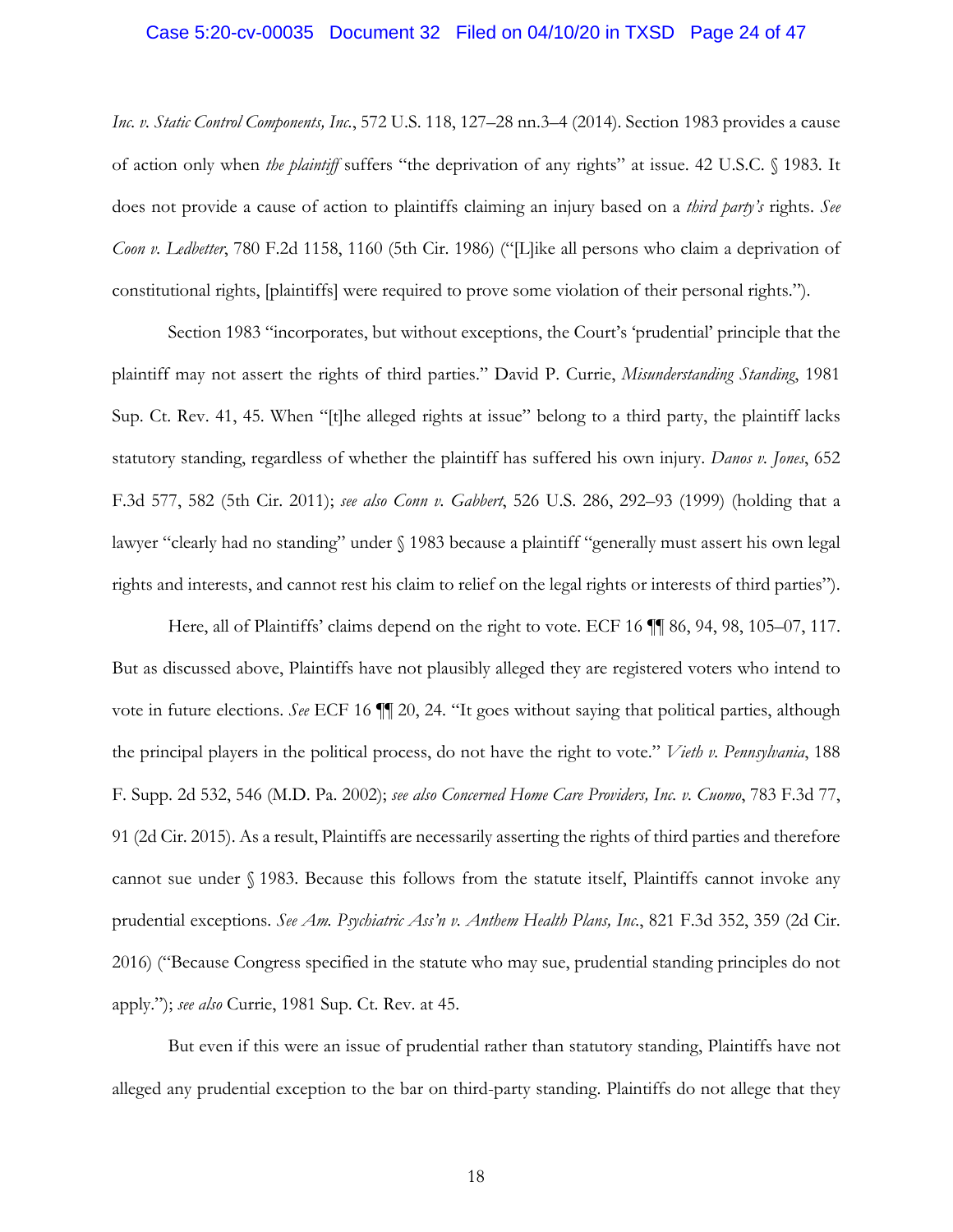#### Case 5:20-cv-00035 Document 32 Filed on 04/10/20 in TXSD Page 24 of 47

*Inc. v. Static Control Components, Inc.*, 572 U.S. 118, 127–28 nn.3–4 (2014). Section 1983 provides a cause of action only when *the plaintiff* suffers "the deprivation of any rights" at issue. 42 U.S.C. § 1983. It does not provide a cause of action to plaintiffs claiming an injury based on a *third party's* rights. *See Coon v. Ledbetter*, 780 F.2d 1158, 1160 (5th Cir. 1986) ("[L]ike all persons who claim a deprivation of constitutional rights, [plaintiffs] were required to prove some violation of their personal rights.").

Section 1983 "incorporates, but without exceptions, the Court's 'prudential' principle that the plaintiff may not assert the rights of third parties." David P. Currie, *Misunderstanding Standing*, 1981 Sup. Ct. Rev. 41, 45. When "[t]he alleged rights at issue" belong to a third party, the plaintiff lacks statutory standing, regardless of whether the plaintiff has suffered his own injury. *Danos v. Jones*, 652 F.3d 577, 582 (5th Cir. 2011); *see also Conn v. Gabbert*, 526 U.S. 286, 292–93 (1999) (holding that a lawyer "clearly had no standing" under § 1983 because a plaintiff "generally must assert his own legal rights and interests, and cannot rest his claim to relief on the legal rights or interests of third parties").

Here, all of Plaintiffs' claims depend on the right to vote. ECF 16  $\P$  86, 94, 98, 105–07, 117. But as discussed above, Plaintiffs have not plausibly alleged they are registered voters who intend to vote in future elections. *See* ECF 16 ¶¶ 20, 24. "It goes without saying that political parties, although the principal players in the political process, do not have the right to vote." *Vieth v. Pennsylvania*, 188 F. Supp. 2d 532, 546 (M.D. Pa. 2002); *see also Concerned Home Care Providers, Inc. v. Cuomo*, 783 F.3d 77, 91 (2d Cir. 2015). As a result, Plaintiffs are necessarily asserting the rights of third parties and therefore cannot sue under § 1983. Because this follows from the statute itself, Plaintiffs cannot invoke any prudential exceptions. *See Am. Psychiatric Ass'n v. Anthem Health Plans, Inc.*, 821 F.3d 352, 359 (2d Cir. 2016) ("Because Congress specified in the statute who may sue, prudential standing principles do not apply."); *see also* Currie, 1981 Sup. Ct. Rev. at 45.

But even if this were an issue of prudential rather than statutory standing, Plaintiffs have not alleged any prudential exception to the bar on third-party standing. Plaintiffs do not allege that they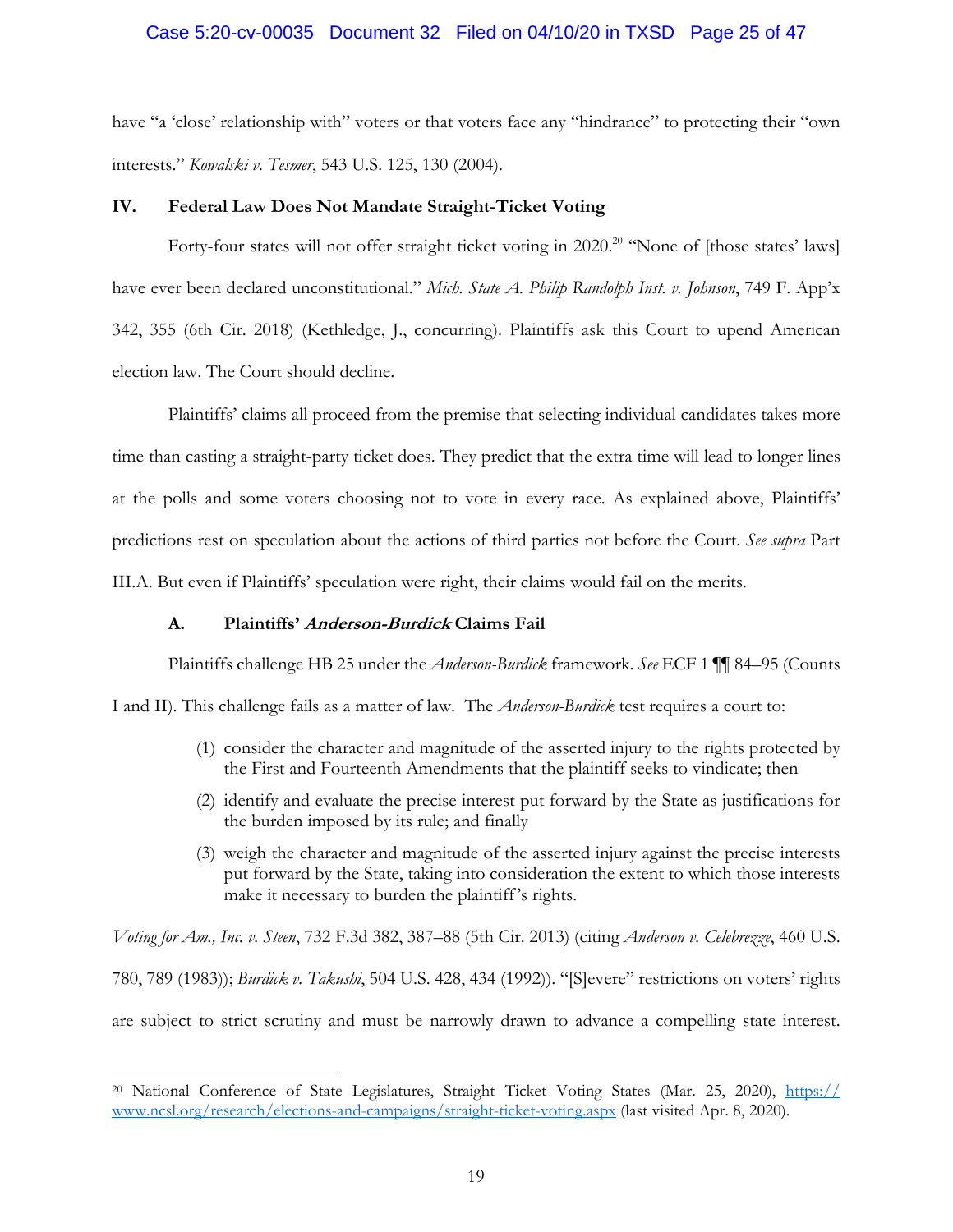## Case 5:20-cv-00035 Document 32 Filed on 04/10/20 in TXSD Page 25 of 47

have "a 'close' relationship with" voters or that voters face any "hindrance" to protecting their "own interests." *Kowalski v. Tesmer*, 543 U.S. 125, 130 (2004).

## **IV. Federal Law Does Not Mandate Straight-Ticket Voting**

Forty-four states will not offer straight ticket voting in 2020.<sup>20</sup> "None of [those states' laws] have ever been declared unconstitutional." *Mich. State A. Philip Randolph Inst. v. Johnson*, 749 F. App'x 342, 355 (6th Cir. 2018) (Kethledge, J., concurring). Plaintiffs ask this Court to upend American election law. The Court should decline.

Plaintiffs' claims all proceed from the premise that selecting individual candidates takes more time than casting a straight-party ticket does. They predict that the extra time will lead to longer lines at the polls and some voters choosing not to vote in every race. As explained above, Plaintiffs' predictions rest on speculation about the actions of third parties not before the Court. *See supra* Part III.A. But even if Plaintiffs' speculation were right, their claims would fail on the merits.

## **A. Plaintiffs' Anderson-Burdick Claims Fail**

1

Plaintiffs challenge HB 25 under the *Anderson-Burdick* framework. *See* ECF 1 ¶¶ 84–95 (Counts

I and II). This challenge fails as a matter of law. The *Anderson-Burdick* test requires a court to:

- (1) consider the character and magnitude of the asserted injury to the rights protected by the First and Fourteenth Amendments that the plaintiff seeks to vindicate; then
- (2) identify and evaluate the precise interest put forward by the State as justifications for the burden imposed by its rule; and finally
- (3) weigh the character and magnitude of the asserted injury against the precise interests put forward by the State, taking into consideration the extent to which those interests make it necessary to burden the plaintiff's rights.

*Voting for Am., Inc. v. Steen*, 732 F.3d 382, 387–88 (5th Cir. 2013) (citing *Anderson v. Celebrezze*, 460 U.S. 780, 789 (1983)); *Burdick v. Takushi*, 504 U.S. 428, 434 (1992)). "[S]evere" restrictions on voters' rights are subject to strict scrutiny and must be narrowly drawn to advance a compelling state interest.

<sup>&</sup>lt;sup>20</sup> National Conference of State Legislatures, Straight Ticket Voting States (Mar. 25, 2020), https:// www.ncsl.org/research/elections-and-campaigns/straight-ticket-voting.aspx (last visited Apr. 8, 2020).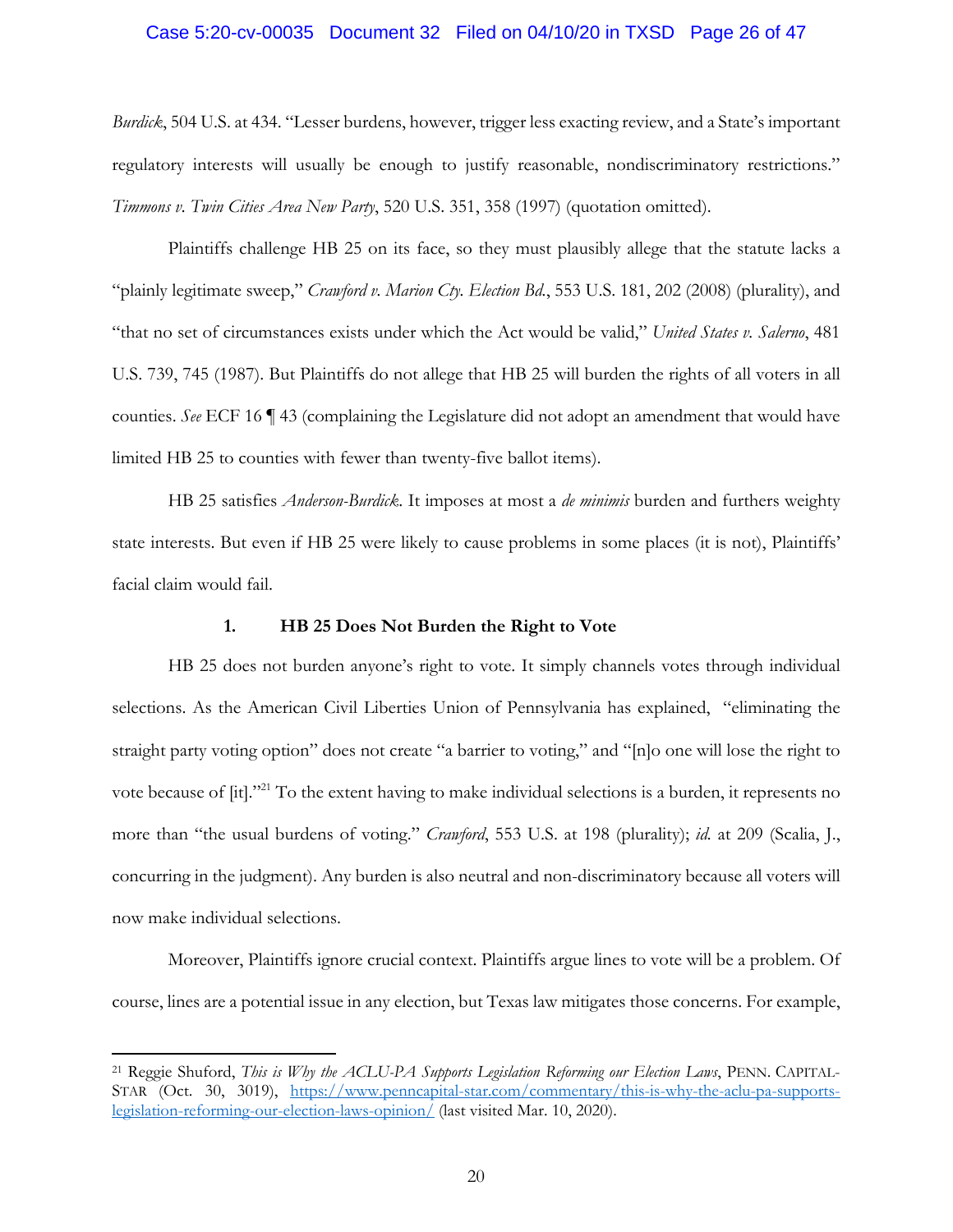## Case 5:20-cv-00035 Document 32 Filed on 04/10/20 in TXSD Page 26 of 47

*Burdick*, 504 U.S. at 434. "Lesser burdens, however, trigger less exacting review, and a State's important regulatory interests will usually be enough to justify reasonable, nondiscriminatory restrictions." *Timmons v. Twin Cities Area New Party*, 520 U.S. 351, 358 (1997) (quotation omitted).

Plaintiffs challenge HB 25 on its face, so they must plausibly allege that the statute lacks a "plainly legitimate sweep," *Crawford v. Marion Cty. Election Bd.*, 553 U.S. 181, 202 (2008) (plurality), and "that no set of circumstances exists under which the Act would be valid," *United States v. Salerno*, 481 U.S. 739, 745 (1987). But Plaintiffs do not allege that HB 25 will burden the rights of all voters in all counties. *See* ECF 16 ¶ 43 (complaining the Legislature did not adopt an amendment that would have limited HB 25 to counties with fewer than twenty-five ballot items).

HB 25 satisfies *Anderson-Burdick*. It imposes at most a *de minimis* burden and furthers weighty state interests. But even if HB 25 were likely to cause problems in some places (it is not), Plaintiffs' facial claim would fail.

## **1. HB 25 Does Not Burden the Right to Vote**

HB 25 does not burden anyone's right to vote. It simply channels votes through individual selections. As the American Civil Liberties Union of Pennsylvania has explained, "eliminating the straight party voting option" does not create "a barrier to voting," and "[n]o one will lose the right to vote because of [it]."21 To the extent having to make individual selections is a burden, it represents no more than "the usual burdens of voting." *Crawford*, 553 U.S. at 198 (plurality); *id.* at 209 (Scalia, J., concurring in the judgment). Any burden is also neutral and non-discriminatory because all voters will now make individual selections.

Moreover, Plaintiffs ignore crucial context. Plaintiffs argue lines to vote will be a problem. Of course, lines are a potential issue in any election, but Texas law mitigates those concerns. For example,

1

<sup>21</sup> Reggie Shuford, *This is Why the ACLU-PA Supports Legislation Reforming our Election Laws*, PENN. CAPITAL-STAR (Oct. 30, 3019), https://www.penncapital-star.com/commentary/this-is-why-the-aclu-pa-supportslegislation-reforming-our-election-laws-opinion/ (last visited Mar. 10, 2020).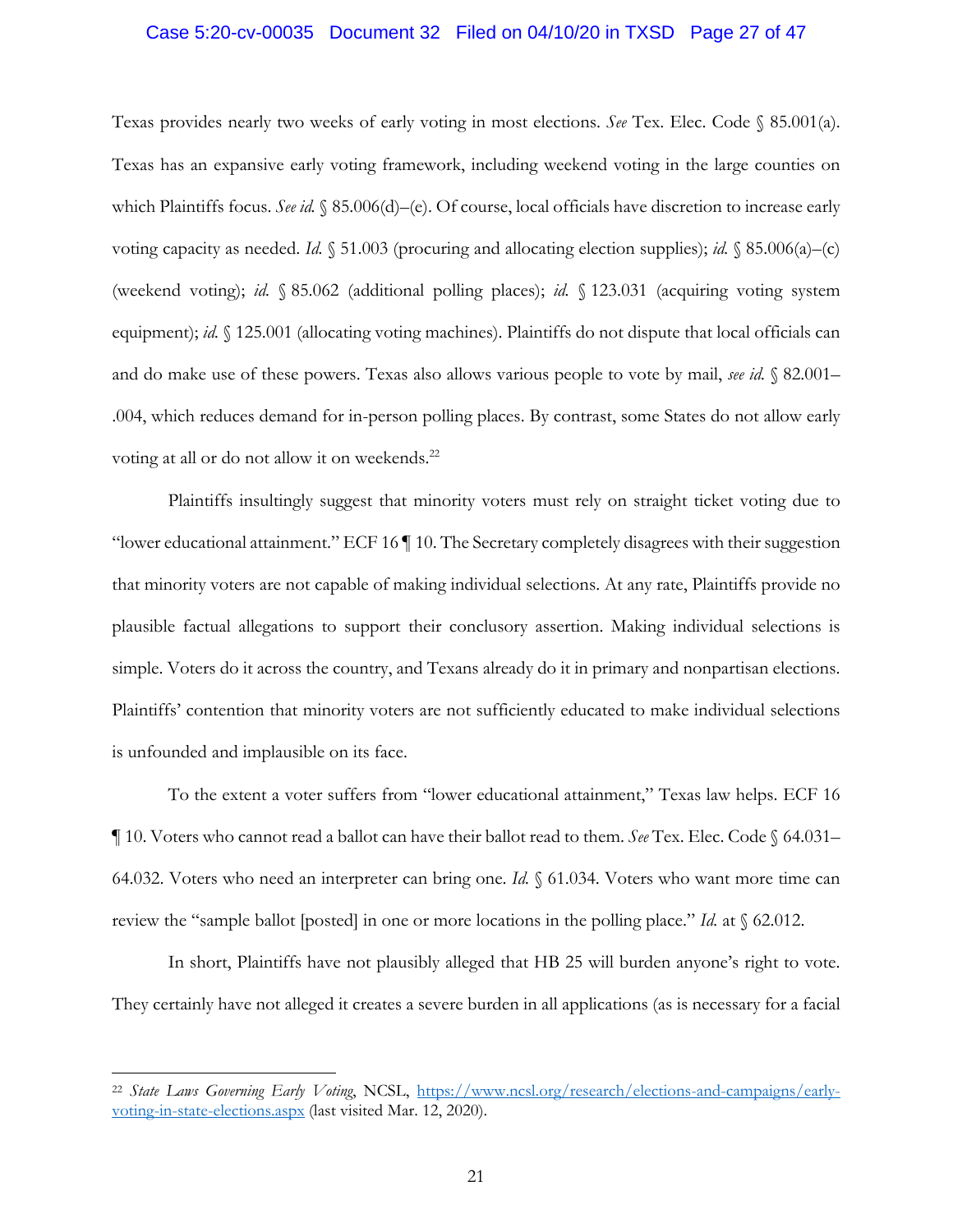#### Case 5:20-cv-00035 Document 32 Filed on 04/10/20 in TXSD Page 27 of 47

Texas provides nearly two weeks of early voting in most elections. *See* Tex. Elec. Code § 85.001(a). Texas has an expansive early voting framework, including weekend voting in the large counties on which Plaintiffs focus. *See id.* § 85.006(d)–(e). Of course, local officials have discretion to increase early voting capacity as needed. *Id.* § 51.003 (procuring and allocating election supplies); *id.* § 85.006(a)–(c) (weekend voting); *id.* § 85.062 (additional polling places); *id.* § 123.031 (acquiring voting system equipment); *id.* § 125.001 (allocating voting machines). Plaintiffs do not dispute that local officials can and do make use of these powers. Texas also allows various people to vote by mail, *see id.* § 82.001– .004, which reduces demand for in-person polling places. By contrast, some States do not allow early voting at all or do not allow it on weekends.<sup>22</sup>

Plaintiffs insultingly suggest that minority voters must rely on straight ticket voting due to "lower educational attainment." ECF 16 ¶ 10. The Secretary completely disagrees with their suggestion that minority voters are not capable of making individual selections. At any rate, Plaintiffs provide no plausible factual allegations to support their conclusory assertion. Making individual selections is simple. Voters do it across the country, and Texans already do it in primary and nonpartisan elections. Plaintiffs' contention that minority voters are not sufficiently educated to make individual selections is unfounded and implausible on its face.

To the extent a voter suffers from "lower educational attainment," Texas law helps. ECF 16 ¶ 10. Voters who cannot read a ballot can have their ballot read to them. *See* Tex. Elec. Code § 64.031– 64.032. Voters who need an interpreter can bring one. *Id.* § 61.034. Voters who want more time can review the "sample ballot [posted] in one or more locations in the polling place." *Id.* at § 62.012.

In short, Plaintiffs have not plausibly alleged that HB 25 will burden anyone's right to vote. They certainly have not alleged it creates a severe burden in all applications (as is necessary for a facial

<sup>22</sup> *State Laws Governing Early Voting*, NCSL, https://www.ncsl.org/research/elections-and-campaigns/earlyvoting-in-state-elections.aspx (last visited Mar. 12, 2020).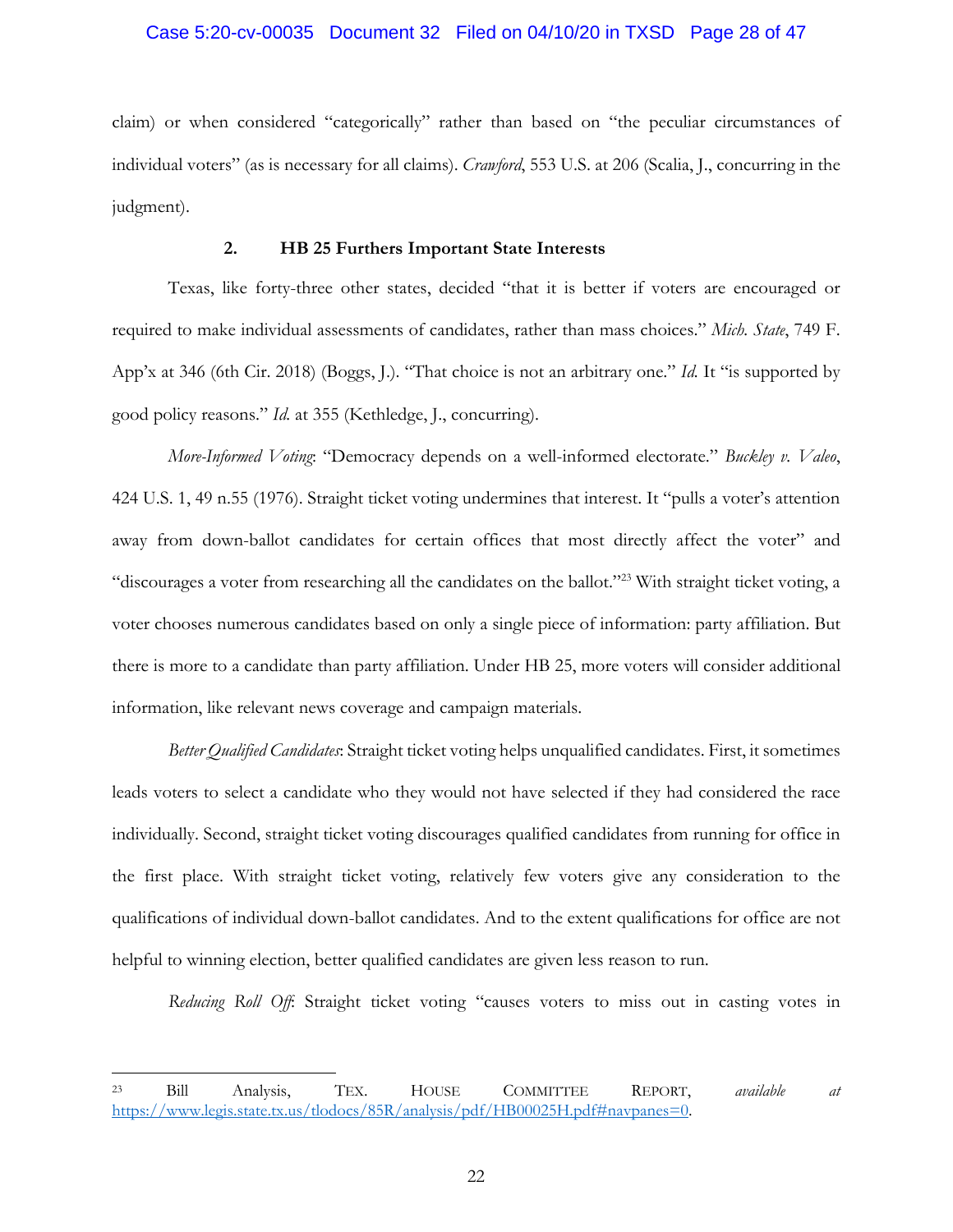## Case 5:20-cv-00035 Document 32 Filed on 04/10/20 in TXSD Page 28 of 47

claim) or when considered "categorically" rather than based on "the peculiar circumstances of individual voters" (as is necessary for all claims). *Crawford*, 553 U.S. at 206 (Scalia, J., concurring in the judgment).

## **2. HB 25 Furthers Important State Interests**

Texas, like forty-three other states, decided "that it is better if voters are encouraged or required to make individual assessments of candidates, rather than mass choices." *Mich. State*, 749 F. App'x at 346 (6th Cir. 2018) (Boggs, J.). "That choice is not an arbitrary one." *Id.* It "is supported by good policy reasons." *Id.* at 355 (Kethledge, J., concurring).

*More-Informed Voting*: "Democracy depends on a well-informed electorate." *Buckley v. Valeo*, 424 U.S. 1, 49 n.55 (1976). Straight ticket voting undermines that interest. It "pulls a voter's attention away from down-ballot candidates for certain offices that most directly affect the voter" and "discourages a voter from researching all the candidates on the ballot."23 With straight ticket voting, a voter chooses numerous candidates based on only a single piece of information: party affiliation. But there is more to a candidate than party affiliation. Under HB 25, more voters will consider additional information, like relevant news coverage and campaign materials.

*Better Qualified Candidates*: Straight ticket voting helps unqualified candidates. First, it sometimes leads voters to select a candidate who they would not have selected if they had considered the race individually. Second, straight ticket voting discourages qualified candidates from running for office in the first place. With straight ticket voting, relatively few voters give any consideration to the qualifications of individual down-ballot candidates. And to the extent qualifications for office are not helpful to winning election, better qualified candidates are given less reason to run.

*Reducing Roll Off*: Straight ticket voting "causes voters to miss out in casting votes in

<sup>23</sup> Bill Analysis, TEX. HOUSE COMMITTEE REPORT, *available at*  https://www.legis.state.tx.us/tlodocs/85R/analysis/pdf/HB00025H.pdf#navpanes=0.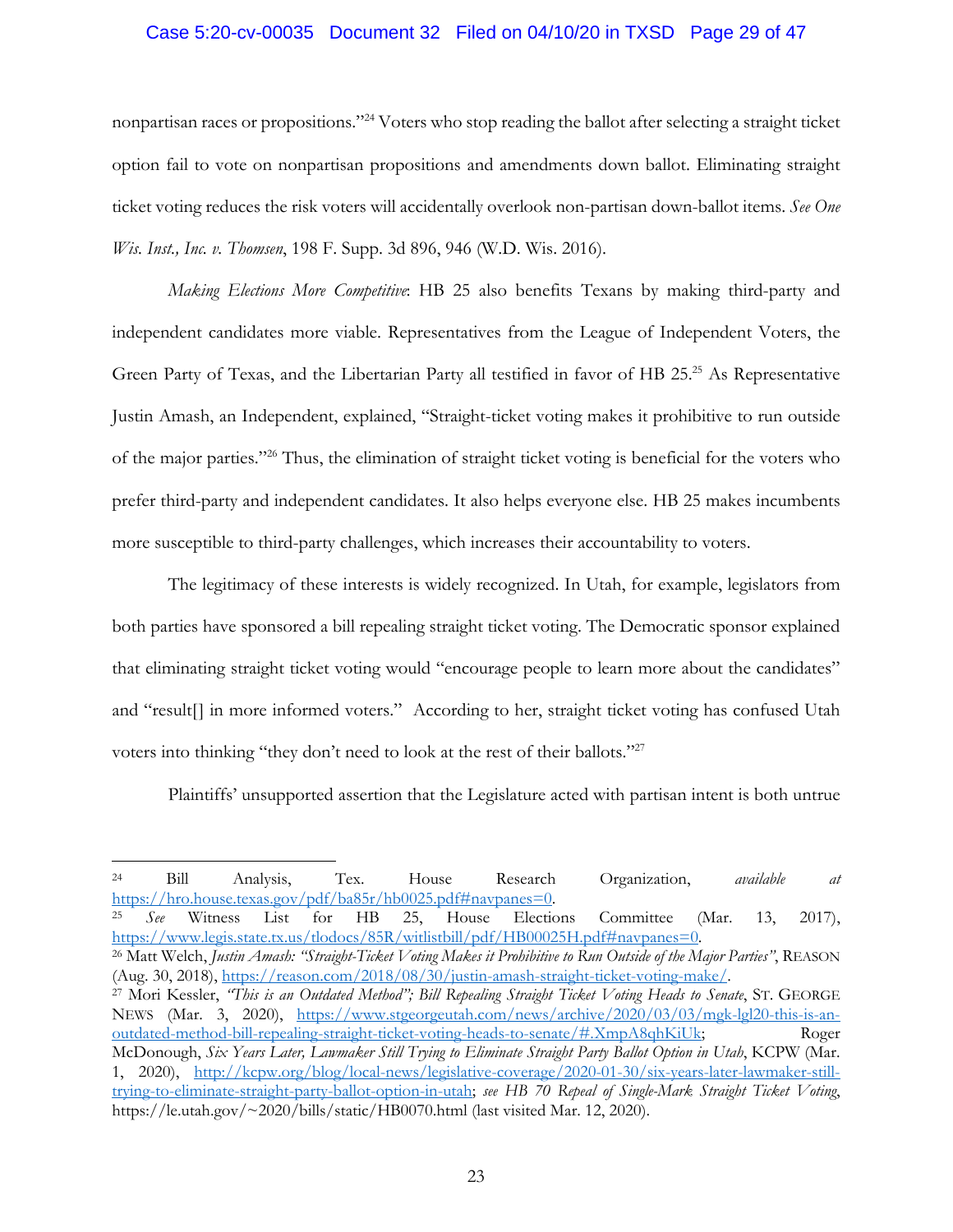#### Case 5:20-cv-00035 Document 32 Filed on 04/10/20 in TXSD Page 29 of 47

nonpartisan races or propositions."24 Voters who stop reading the ballot after selecting a straight ticket option fail to vote on nonpartisan propositions and amendments down ballot. Eliminating straight ticket voting reduces the risk voters will accidentally overlook non-partisan down-ballot items. *See One Wis. Inst., Inc. v. Thomsen*, 198 F. Supp. 3d 896, 946 (W.D. Wis. 2016).

*Making Elections More Competitive*: HB 25 also benefits Texans by making third-party and independent candidates more viable. Representatives from the League of Independent Voters, the Green Party of Texas, and the Libertarian Party all testified in favor of HB 25.25 As Representative Justin Amash, an Independent, explained, "Straight-ticket voting makes it prohibitive to run outside of the major parties."26 Thus, the elimination of straight ticket voting is beneficial for the voters who prefer third-party and independent candidates. It also helps everyone else. HB 25 makes incumbents more susceptible to third-party challenges, which increases their accountability to voters.

The legitimacy of these interests is widely recognized. In Utah, for example, legislators from both parties have sponsored a bill repealing straight ticket voting. The Democratic sponsor explained that eliminating straight ticket voting would "encourage people to learn more about the candidates" and "result[] in more informed voters." According to her, straight ticket voting has confused Utah voters into thinking "they don't need to look at the rest of their ballots."<sup>27</sup>

Plaintiffs' unsupported assertion that the Legislature acted with partisan intent is both untrue

 $\overline{a}$ 

https://www.legis.state.tx.us/tlodocs/85R/witlistbill/pdf/HB00025H.pdf#navpanes=0. 26 Matt Welch, *Justin Amash: "Straight-Ticket Voting Makes it Prohibitive to Run Outside of the Major Parties"*, REASON

(Aug. 30, 2018), https://reason.com/2018/08/30/justin-amash-straight-ticket-voting-make/. 27 Mori Kessler, *"This is an Outdated Method"; Bill Repealing Straight Ticket Voting Heads to Senate*, ST. GEORGE

NEWS (Mar. 3, 2020), https://www.stgeorgeutah.com/news/archive/2020/03/03/mgk-lgl20-this-is-anoutdated-method-bill-repealing-straight-ticket-voting-heads-to-senate/#.XmpA8qhKiUk; Roger McDonough, *Six Years Later, Lawmaker Still Trying to Eliminate Straight Party Ballot Option in Utah*, KCPW (Mar. 1, 2020), http://kcpw.org/blog/local-news/legislative-coverage/2020-01-30/six-years-later-lawmaker-stilltrying-to-eliminate-straight-party-ballot-option-in-utah; *see HB 70 Repeal of Single-Mark Straight Ticket Voting*, https://le.utah.gov/~2020/bills/static/HB0070.html (last visited Mar. 12, 2020).

<sup>24</sup> Bill Analysis, Tex. House Research Organization, *available at*  https://hro.house.texas.gov/pdf/ba85r/hb0025.pdf#navpanes=0. 25 *See* Witness List for HB 25, House Elections Committee (Mar. 13, 2017),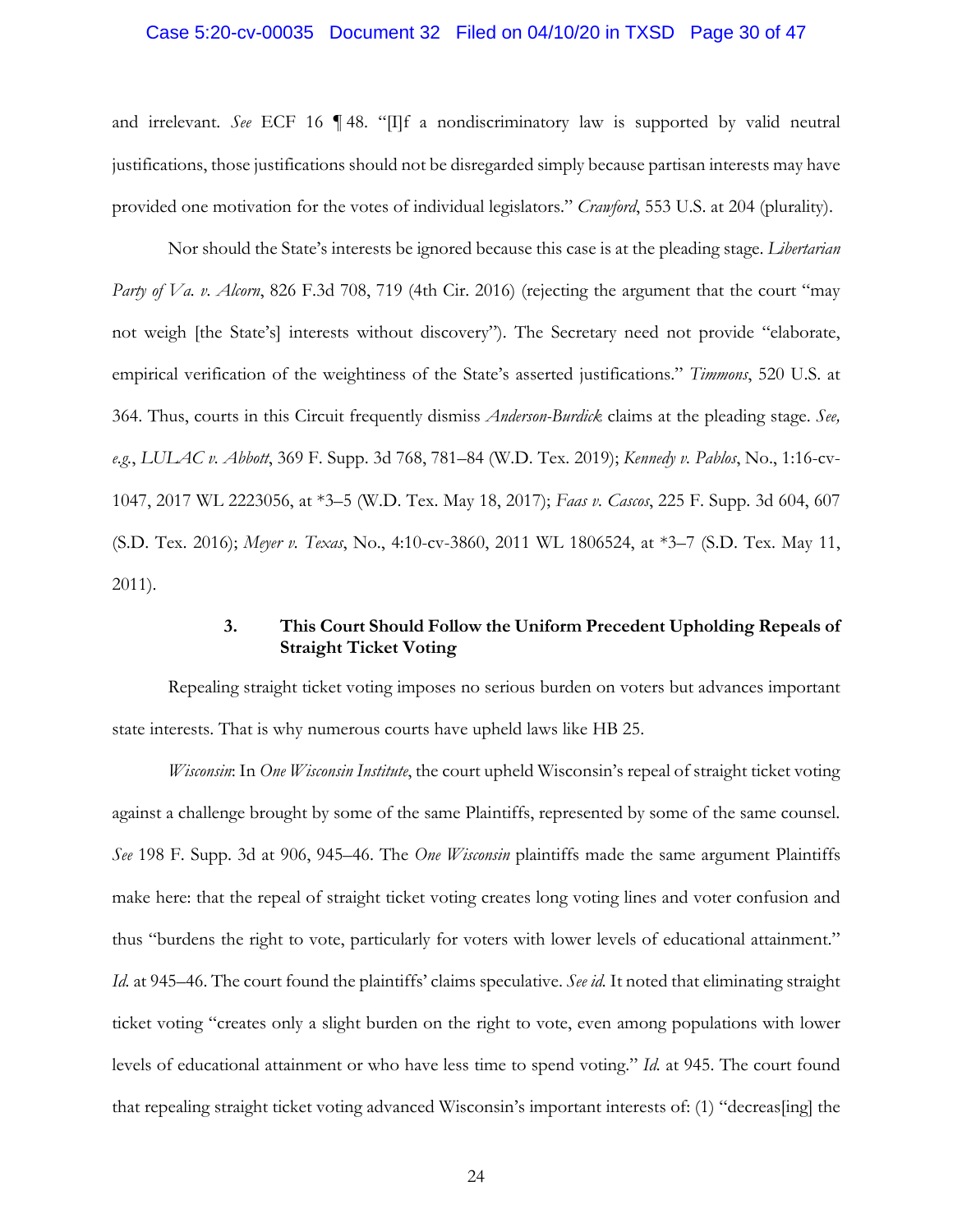#### Case 5:20-cv-00035 Document 32 Filed on 04/10/20 in TXSD Page 30 of 47

and irrelevant. *See* ECF 16 ¶ 48. "[I]f a nondiscriminatory law is supported by valid neutral justifications, those justifications should not be disregarded simply because partisan interests may have provided one motivation for the votes of individual legislators." *Crawford*, 553 U.S. at 204 (plurality).

Nor should the State's interests be ignored because this case is at the pleading stage. *Libertarian Party of Va. v. Alcorn*, 826 F.3d 708, 719 (4th Cir. 2016) (rejecting the argument that the court "may not weigh [the State's] interests without discovery"). The Secretary need not provide "elaborate, empirical verification of the weightiness of the State's asserted justifications." *Timmons*, 520 U.S. at 364. Thus, courts in this Circuit frequently dismiss *Anderson-Burdick* claims at the pleading stage. *See, e.g.*, *LULAC v. Abbott*, 369 F. Supp. 3d 768, 781–84 (W.D. Tex. 2019); *Kennedy v. Pablos*, No., 1:16-cv-1047, 2017 WL 2223056, at \*3–5 (W.D. Tex. May 18, 2017); *Faas v. Cascos*, 225 F. Supp. 3d 604, 607 (S.D. Tex. 2016); *Meyer v. Texas*, No., 4:10-cv-3860, 2011 WL 1806524, at \*3–7 (S.D. Tex. May 11, 2011).

## **3. This Court Should Follow the Uniform Precedent Upholding Repeals of Straight Ticket Voting**

Repealing straight ticket voting imposes no serious burden on voters but advances important state interests. That is why numerous courts have upheld laws like HB 25.

*Wisconsin*: In *One Wisconsin Institute*, the court upheld Wisconsin's repeal of straight ticket voting against a challenge brought by some of the same Plaintiffs, represented by some of the same counsel. *See* 198 F. Supp. 3d at 906, 945–46. The *One Wisconsin* plaintiffs made the same argument Plaintiffs make here: that the repeal of straight ticket voting creates long voting lines and voter confusion and thus "burdens the right to vote, particularly for voters with lower levels of educational attainment." *Id.* at 945–46. The court found the plaintiffs' claims speculative. *See id.* It noted that eliminating straight ticket voting "creates only a slight burden on the right to vote, even among populations with lower levels of educational attainment or who have less time to spend voting." *Id.* at 945. The court found that repealing straight ticket voting advanced Wisconsin's important interests of: (1) "decreas[ing] the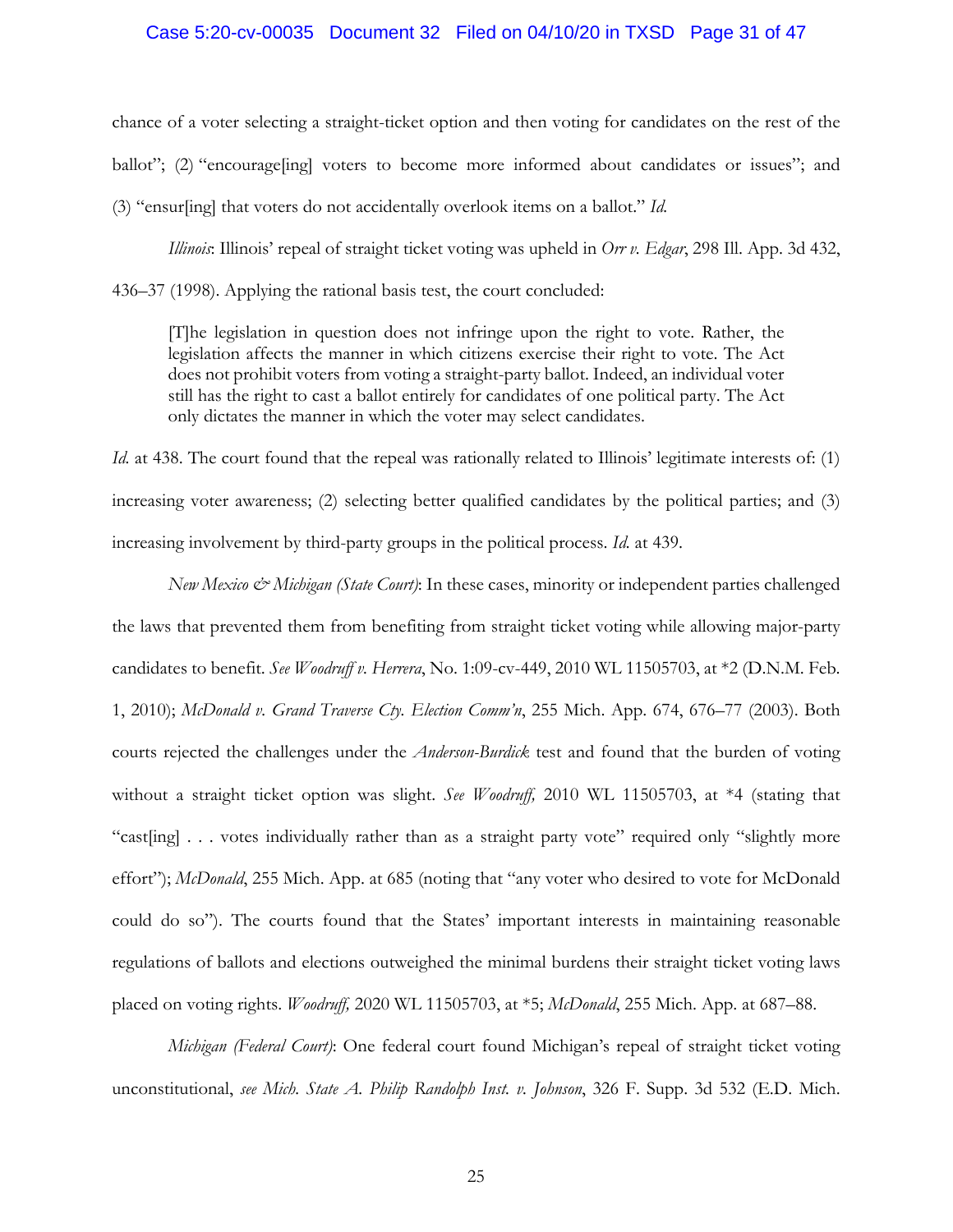### Case 5:20-cv-00035 Document 32 Filed on 04/10/20 in TXSD Page 31 of 47

chance of a voter selecting a straight-ticket option and then voting for candidates on the rest of the ballot"; (2) "encourage[ing] voters to become more informed about candidates or issues"; and (3) "ensur[ing] that voters do not accidentally overlook items on a ballot." *Id.*

 *Illinois*: Illinois' repeal of straight ticket voting was upheld in *Orr v. Edgar*, 298 Ill. App. 3d 432, 436–37 (1998). Applying the rational basis test, the court concluded:

[T]he legislation in question does not infringe upon the right to vote. Rather, the legislation affects the manner in which citizens exercise their right to vote. The Act does not prohibit voters from voting a straight-party ballot. Indeed, an individual voter still has the right to cast a ballot entirely for candidates of one political party. The Act only dictates the manner in which the voter may select candidates.

*Id.* at 438. The court found that the repeal was rationally related to Illinois' legitimate interests of: (1) increasing voter awareness; (2) selecting better qualified candidates by the political parties; and (3) increasing involvement by third-party groups in the political process. *Id.* at 439.

*New Mexico & Michigan (State Court)*: In these cases, minority or independent parties challenged the laws that prevented them from benefiting from straight ticket voting while allowing major-party candidates to benefit. *See Woodruff v. Herrera*, No. 1:09-cv-449, 2010 WL 11505703, at \*2 (D.N.M. Feb. 1, 2010); *McDonald v. Grand Traverse Cty. Election Comm'n*, 255 Mich. App. 674, 676–77 (2003). Both courts rejected the challenges under the *Anderson-Burdick* test and found that the burden of voting without a straight ticket option was slight. *See Woodruff,* 2010 WL 11505703, at \*4 (stating that "cast[ing] . . . votes individually rather than as a straight party vote" required only "slightly more effort"); *McDonald*, 255 Mich. App. at 685 (noting that "any voter who desired to vote for McDonald could do so"). The courts found that the States' important interests in maintaining reasonable regulations of ballots and elections outweighed the minimal burdens their straight ticket voting laws placed on voting rights. *Woodruff,* 2020 WL 11505703, at \*5; *McDonald*, 255 Mich. App. at 687–88.

*Michigan (Federal Court)*: One federal court found Michigan's repeal of straight ticket voting unconstitutional, *see Mich. State A. Philip Randolph Inst. v. Johnson*, 326 F. Supp. 3d 532 (E.D. Mich.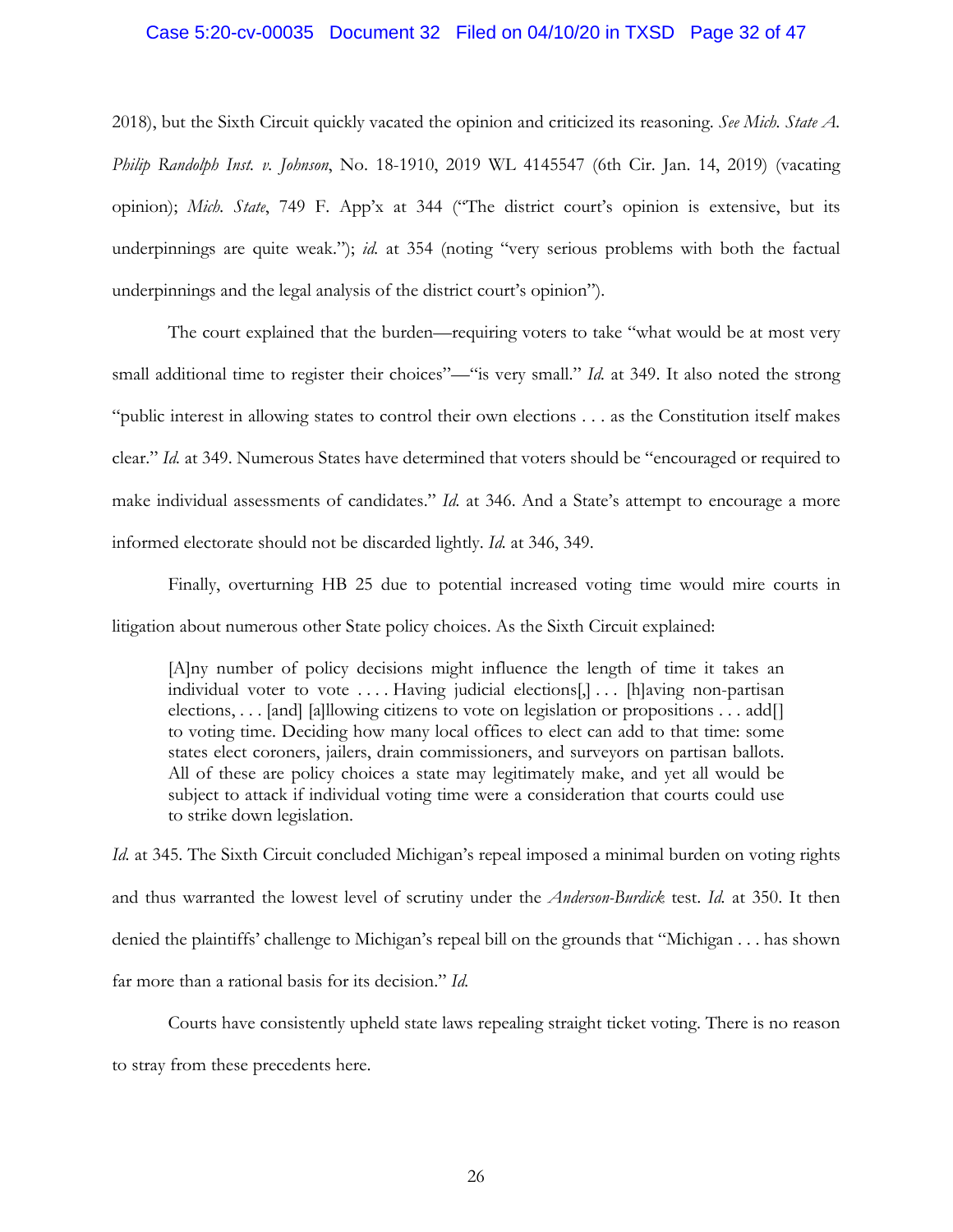### Case 5:20-cv-00035 Document 32 Filed on 04/10/20 in TXSD Page 32 of 47

2018), but the Sixth Circuit quickly vacated the opinion and criticized its reasoning. *See Mich. State A. Philip Randolph Inst. v. Johnson*, No. 18-1910, 2019 WL 4145547 (6th Cir. Jan. 14, 2019) (vacating opinion); *Mich. State*, 749 F. App'x at 344 ("The district court's opinion is extensive, but its underpinnings are quite weak."); *id.* at 354 (noting "very serious problems with both the factual underpinnings and the legal analysis of the district court's opinion").

The court explained that the burden—requiring voters to take "what would be at most very small additional time to register their choices"—"is very small." *Id.* at 349. It also noted the strong "public interest in allowing states to control their own elections . . . as the Constitution itself makes clear." *Id.* at 349. Numerous States have determined that voters should be "encouraged or required to make individual assessments of candidates." *Id.* at 346. And a State's attempt to encourage a more informed electorate should not be discarded lightly. *Id.* at 346, 349.

Finally, overturning HB 25 due to potential increased voting time would mire courts in litigation about numerous other State policy choices. As the Sixth Circuit explained:

[A]ny number of policy decisions might influence the length of time it takes an individual voter to vote .... Having judicial elections[,]... [h]aving non-partisan elections, . . . [and] [a]llowing citizens to vote on legislation or propositions . . . add[] to voting time. Deciding how many local offices to elect can add to that time: some states elect coroners, jailers, drain commissioners, and surveyors on partisan ballots. All of these are policy choices a state may legitimately make, and yet all would be subject to attack if individual voting time were a consideration that courts could use to strike down legislation.

*Id.* at 345. The Sixth Circuit concluded Michigan's repeal imposed a minimal burden on voting rights and thus warranted the lowest level of scrutiny under the *Anderson-Burdick* test. *Id.* at 350. It then denied the plaintiffs' challenge to Michigan's repeal bill on the grounds that "Michigan . . . has shown far more than a rational basis for its decision." *Id.*

Courts have consistently upheld state laws repealing straight ticket voting. There is no reason to stray from these precedents here.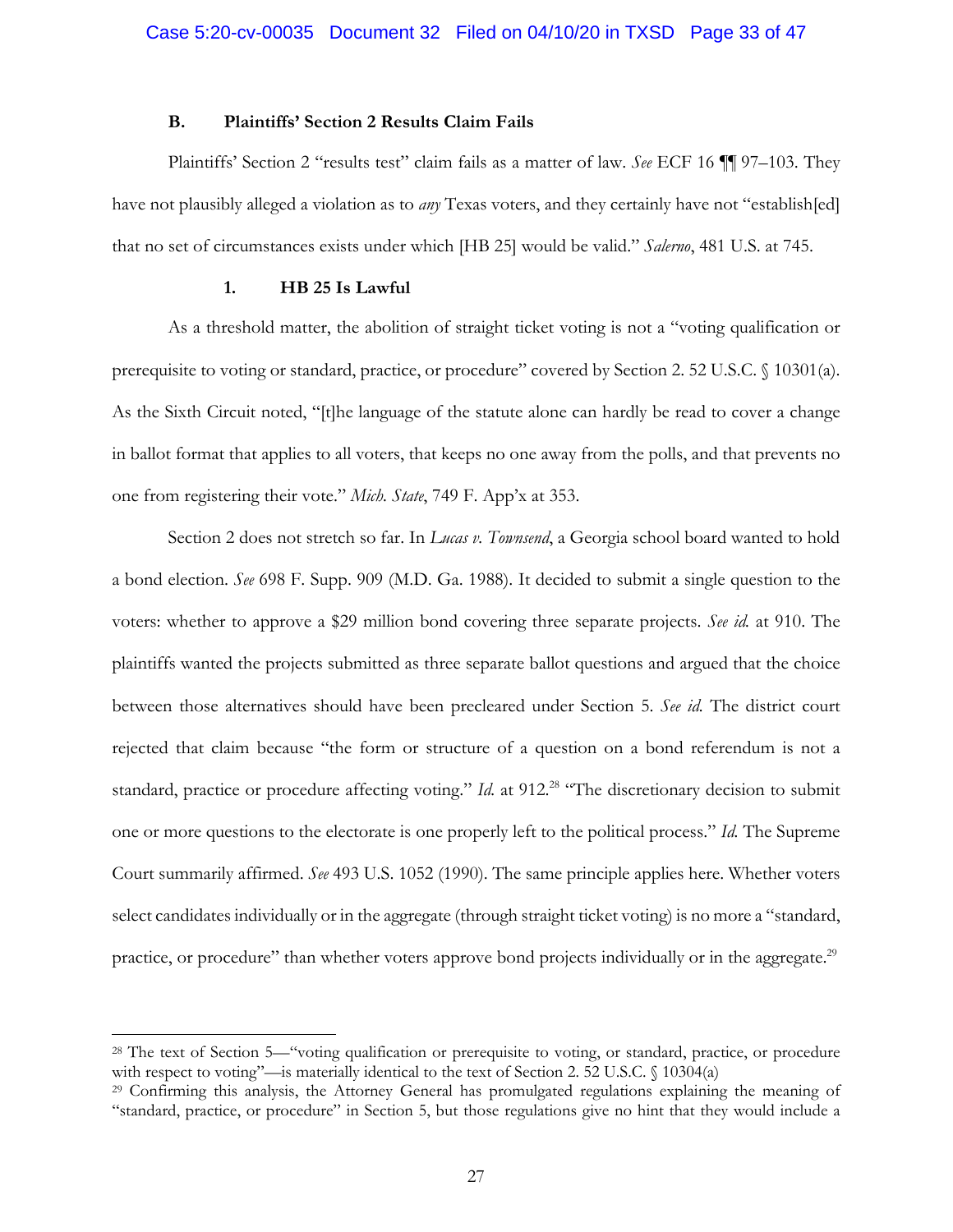### **B. Plaintiffs' Section 2 Results Claim Fails**

Plaintiffs' Section 2 "results test" claim fails as a matter of law. *See* ECF 16 ¶¶ 97–103. They have not plausibly alleged a violation as to *any* Texas voters, and they certainly have not "establish[ed] that no set of circumstances exists under which [HB 25] would be valid." *Salerno*, 481 U.S. at 745.

#### **1. HB 25 Is Lawful**

 $\overline{a}$ 

As a threshold matter, the abolition of straight ticket voting is not a "voting qualification or prerequisite to voting or standard, practice, or procedure" covered by Section 2. 52 U.S.C. § 10301(a). As the Sixth Circuit noted, "[t]he language of the statute alone can hardly be read to cover a change in ballot format that applies to all voters, that keeps no one away from the polls, and that prevents no one from registering their vote." *Mich. State*, 749 F. App'x at 353.

Section 2 does not stretch so far. In *Lucas v. Townsend*, a Georgia school board wanted to hold a bond election. *See* 698 F. Supp. 909 (M.D. Ga. 1988). It decided to submit a single question to the voters: whether to approve a \$29 million bond covering three separate projects. *See id.* at 910. The plaintiffs wanted the projects submitted as three separate ballot questions and argued that the choice between those alternatives should have been precleared under Section 5. *See id.* The district court rejected that claim because "the form or structure of a question on a bond referendum is not a standard, practice or procedure affecting voting." *Id.* at 912.<sup>28</sup> "The discretionary decision to submit one or more questions to the electorate is one properly left to the political process." *Id.* The Supreme Court summarily affirmed. *See* 493 U.S. 1052 (1990). The same principle applies here. Whether voters select candidates individually or in the aggregate (through straight ticket voting) is no more a "standard, practice, or procedure" than whether voters approve bond projects individually or in the aggregate.<sup>29</sup>

<sup>28</sup> The text of Section 5—"voting qualification or prerequisite to voting, or standard, practice, or procedure with respect to voting"—is materially identical to the text of Section 2. 52 U.S.C. § 10304(a)

<sup>29</sup> Confirming this analysis, the Attorney General has promulgated regulations explaining the meaning of "standard, practice, or procedure" in Section 5, but those regulations give no hint that they would include a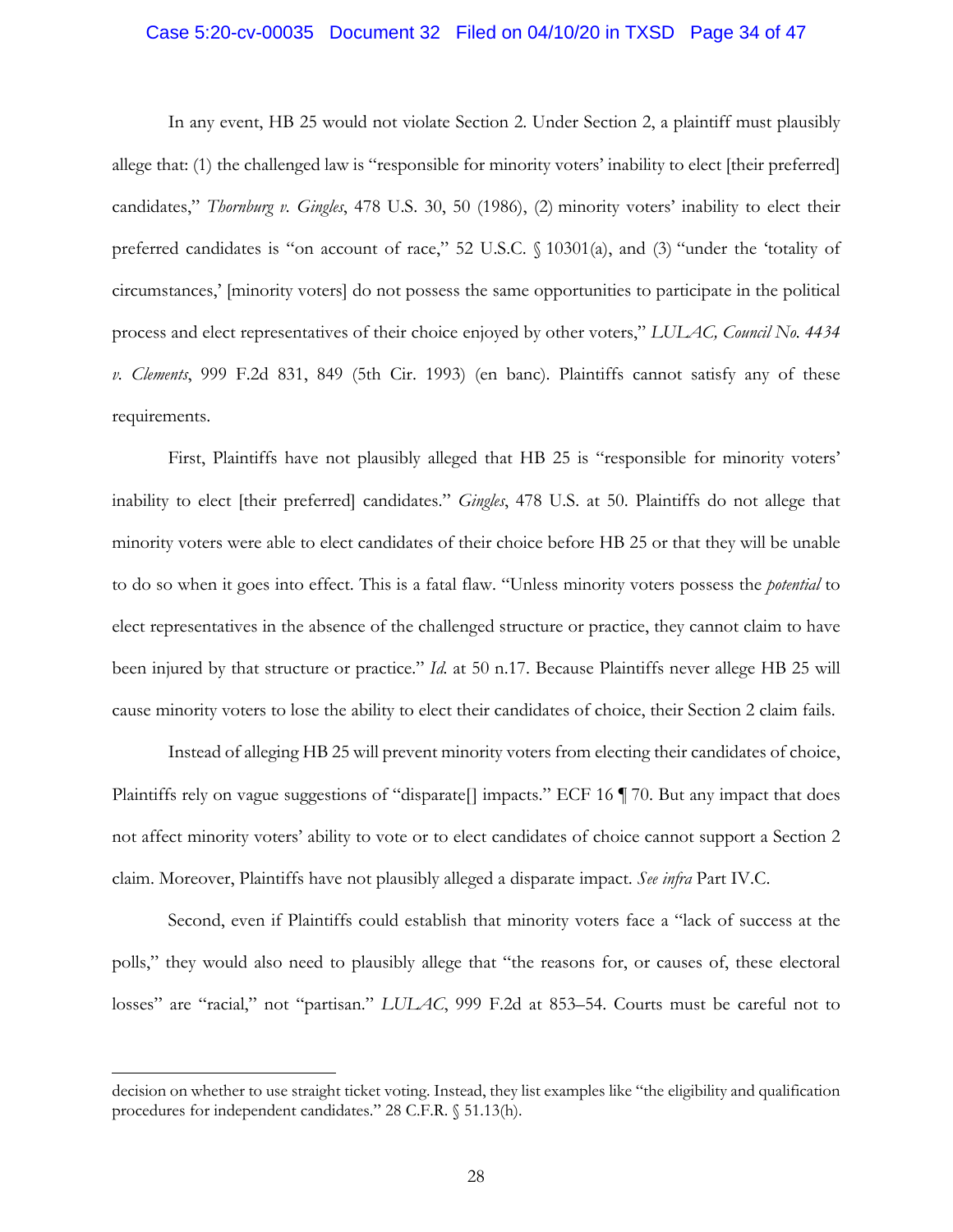#### Case 5:20-cv-00035 Document 32 Filed on 04/10/20 in TXSD Page 34 of 47

In any event, HB 25 would not violate Section 2. Under Section 2, a plaintiff must plausibly allege that: (1) the challenged law is "responsible for minority voters' inability to elect [their preferred] candidates," *Thornburg v. Gingles*, 478 U.S. 30, 50 (1986), (2) minority voters' inability to elect their preferred candidates is "on account of race," 52 U.S.C. § 10301(a), and (3) "under the 'totality of circumstances,' [minority voters] do not possess the same opportunities to participate in the political process and elect representatives of their choice enjoyed by other voters," *LULAC, Council No. 4434 v. Clements*, 999 F.2d 831, 849 (5th Cir. 1993) (en banc). Plaintiffs cannot satisfy any of these requirements.

First, Plaintiffs have not plausibly alleged that HB 25 is "responsible for minority voters' inability to elect [their preferred] candidates." *Gingles*, 478 U.S. at 50. Plaintiffs do not allege that minority voters were able to elect candidates of their choice before HB 25 or that they will be unable to do so when it goes into effect. This is a fatal flaw. "Unless minority voters possess the *potential* to elect representatives in the absence of the challenged structure or practice, they cannot claim to have been injured by that structure or practice." *Id.* at 50 n.17. Because Plaintiffs never allege HB 25 will cause minority voters to lose the ability to elect their candidates of choice, their Section 2 claim fails.

Instead of alleging HB 25 will prevent minority voters from electing their candidates of choice, Plaintiffs rely on vague suggestions of "disparate<sup>[]</sup> impacts." ECF 16 ¶ 70. But any impact that does not affect minority voters' ability to vote or to elect candidates of choice cannot support a Section 2 claim. Moreover, Plaintiffs have not plausibly alleged a disparate impact. *See infra* Part IV.C.

Second, even if Plaintiffs could establish that minority voters face a "lack of success at the polls," they would also need to plausibly allege that "the reasons for, or causes of, these electoral losses" are "racial," not "partisan." *LULAC*, 999 F.2d at 853–54. Courts must be careful not to

decision on whether to use straight ticket voting. Instead, they list examples like "the eligibility and qualification procedures for independent candidates." 28 C.F.R. § 51.13(h).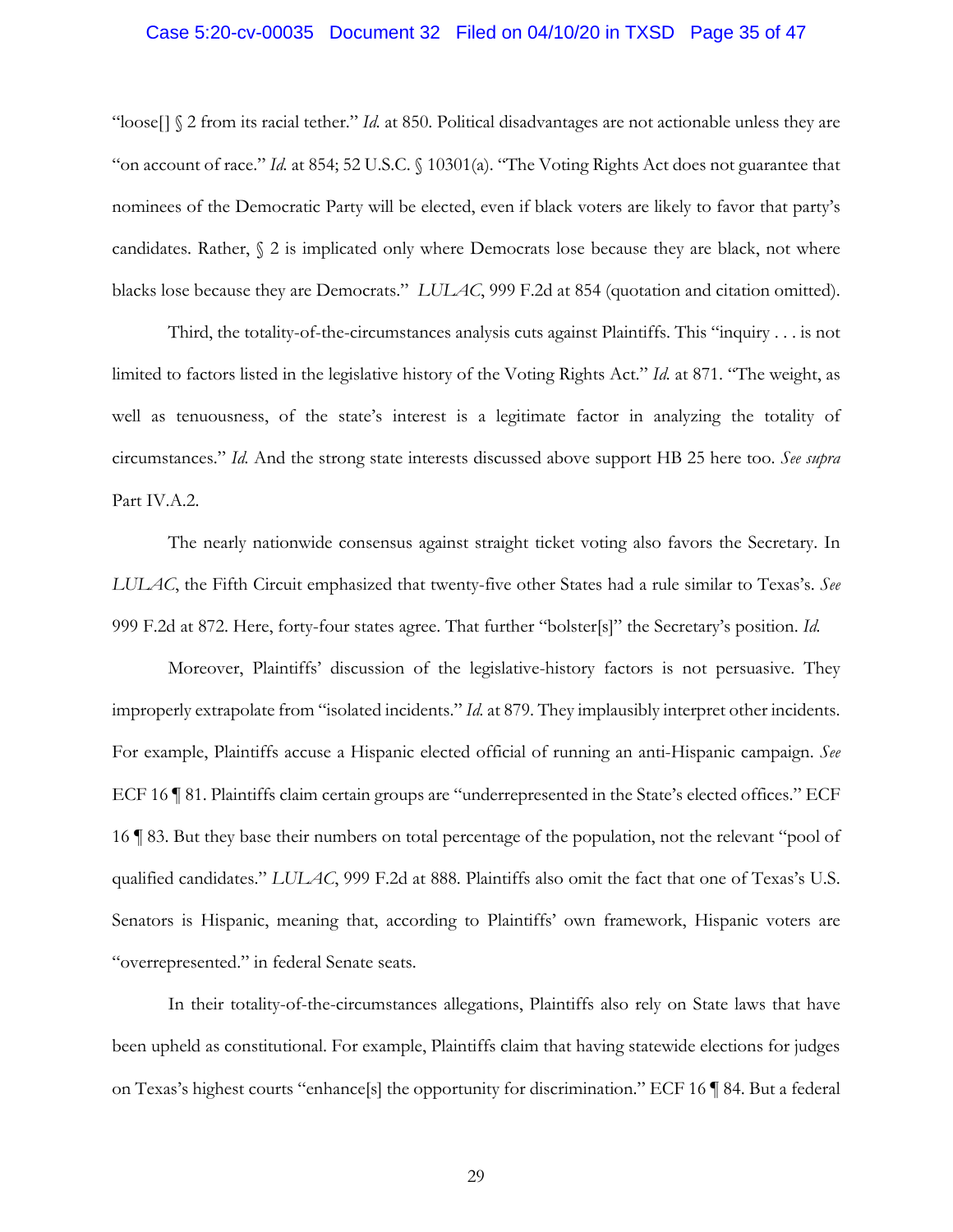## Case 5:20-cv-00035 Document 32 Filed on 04/10/20 in TXSD Page 35 of 47

"loose<sup>[]</sup>  $\Omega$  from its racial tether." *Id.* at 850. Political disadvantages are not actionable unless they are "on account of race." *Id.* at 854; 52 U.S.C. § 10301(a). "The Voting Rights Act does not guarantee that nominees of the Democratic Party will be elected, even if black voters are likely to favor that party's candidates. Rather, § 2 is implicated only where Democrats lose because they are black, not where blacks lose because they are Democrats." *LULAC*, 999 F.2d at 854 (quotation and citation omitted).

Third, the totality-of-the-circumstances analysis cuts against Plaintiffs. This "inquiry . . . is not limited to factors listed in the legislative history of the Voting Rights Act." *Id.* at 871. "The weight, as well as tenuousness, of the state's interest is a legitimate factor in analyzing the totality of circumstances." *Id.* And the strong state interests discussed above support HB 25 here too. *See supra* Part IV.A.2.

The nearly nationwide consensus against straight ticket voting also favors the Secretary. In *LULAC*, the Fifth Circuit emphasized that twenty-five other States had a rule similar to Texas's. *See* 999 F.2d at 872. Here, forty-four states agree. That further "bolster[s]" the Secretary's position. *Id.* 

Moreover, Plaintiffs' discussion of the legislative-history factors is not persuasive. They improperly extrapolate from "isolated incidents." *Id.* at 879. They implausibly interpret other incidents. For example, Plaintiffs accuse a Hispanic elected official of running an anti-Hispanic campaign. *See* ECF 16 ¶ 81. Plaintiffs claim certain groups are "underrepresented in the State's elected offices." ECF 16 ¶ 83. But they base their numbers on total percentage of the population, not the relevant "pool of qualified candidates." *LULAC*, 999 F.2d at 888. Plaintiffs also omit the fact that one of Texas's U.S. Senators is Hispanic, meaning that, according to Plaintiffs' own framework, Hispanic voters are "overrepresented." in federal Senate seats.

In their totality-of-the-circumstances allegations, Plaintiffs also rely on State laws that have been upheld as constitutional. For example, Plaintiffs claim that having statewide elections for judges on Texas's highest courts "enhance[s] the opportunity for discrimination." ECF 16 ¶ 84. But a federal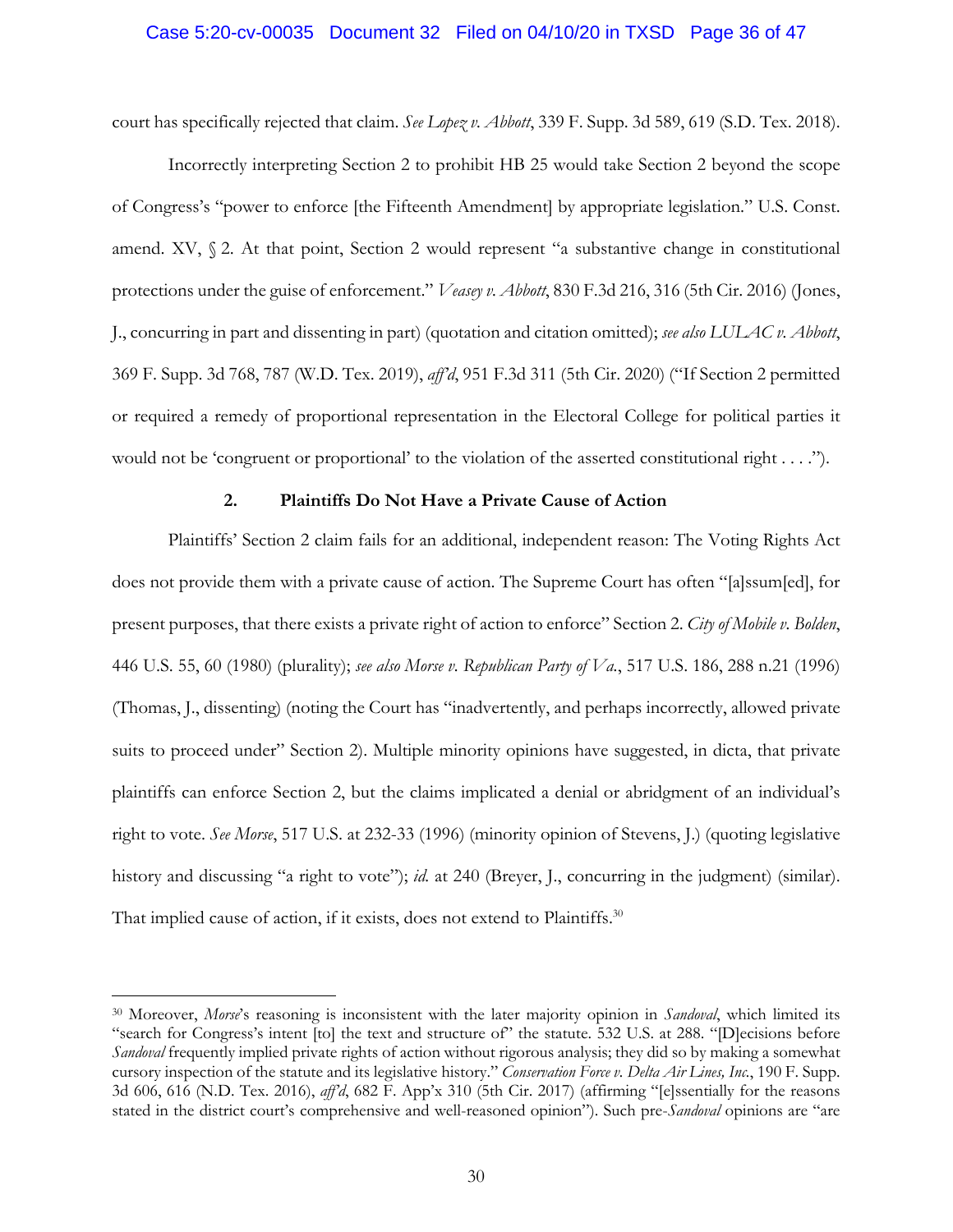#### Case 5:20-cv-00035 Document 32 Filed on 04/10/20 in TXSD Page 36 of 47

court has specifically rejected that claim. *See Lopez v. Abbott*, 339 F. Supp. 3d 589, 619 (S.D. Tex. 2018).

Incorrectly interpreting Section 2 to prohibit HB 25 would take Section 2 beyond the scope of Congress's "power to enforce [the Fifteenth Amendment] by appropriate legislation." U.S. Const. amend. XV,  $\S$  2. At that point, Section 2 would represent "a substantive change in constitutional protections under the guise of enforcement." *Veasey v. Abbott*, 830 F.3d 216, 316 (5th Cir. 2016) (Jones, J., concurring in part and dissenting in part) (quotation and citation omitted); *see also LULAC v. Abbott*, 369 F. Supp. 3d 768, 787 (W.D. Tex. 2019), *aff'd*, 951 F.3d 311 (5th Cir. 2020) ("If Section 2 permitted or required a remedy of proportional representation in the Electoral College for political parties it would not be 'congruent or proportional' to the violation of the asserted constitutional right . . . .").

## **2. Plaintiffs Do Not Have a Private Cause of Action**

Plaintiffs' Section 2 claim fails for an additional, independent reason: The Voting Rights Act does not provide them with a private cause of action. The Supreme Court has often "[a]ssum[ed], for present purposes, that there exists a private right of action to enforce" Section 2. *City of Mobile v. Bolden*, 446 U.S. 55, 60 (1980) (plurality); *see also Morse v. Republican Party of Va.*, 517 U.S. 186, 288 n.21 (1996) (Thomas, J., dissenting) (noting the Court has "inadvertently, and perhaps incorrectly, allowed private suits to proceed under" Section 2). Multiple minority opinions have suggested, in dicta, that private plaintiffs can enforce Section 2, but the claims implicated a denial or abridgment of an individual's right to vote. *See Morse*, 517 U.S. at 232-33 (1996) (minority opinion of Stevens, J.) (quoting legislative history and discussing "a right to vote"); *id.* at 240 (Breyer, J., concurring in the judgment) (similar). That implied cause of action, if it exists, does not extend to Plaintiffs.<sup>30</sup>

<sup>30</sup> Moreover, *Morse*'s reasoning is inconsistent with the later majority opinion in *Sandoval*, which limited its "search for Congress's intent [to] the text and structure of" the statute. 532 U.S. at 288. "[D]ecisions before *Sandoval* frequently implied private rights of action without rigorous analysis; they did so by making a somewhat cursory inspection of the statute and its legislative history." *Conservation Force v. Delta Air Lines, Inc.*, 190 F. Supp. 3d 606, 616 (N.D. Tex. 2016), *aff'd*, 682 F. App'x 310 (5th Cir. 2017) (affirming "[e]ssentially for the reasons stated in the district court's comprehensive and well-reasoned opinion"). Such pre-*Sandoval* opinions are "are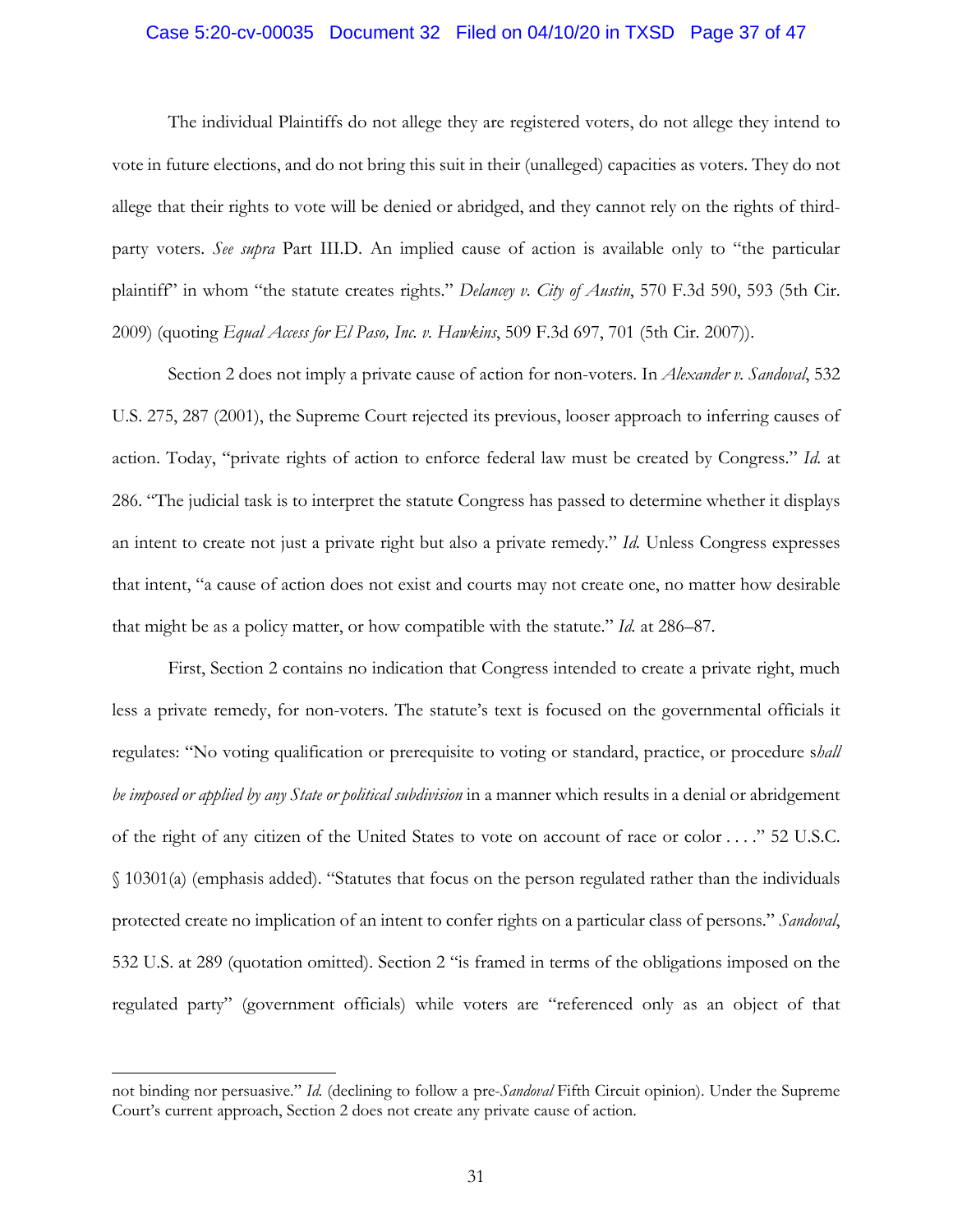#### Case 5:20-cv-00035 Document 32 Filed on 04/10/20 in TXSD Page 37 of 47

The individual Plaintiffs do not allege they are registered voters, do not allege they intend to vote in future elections, and do not bring this suit in their (unalleged) capacities as voters. They do not allege that their rights to vote will be denied or abridged, and they cannot rely on the rights of thirdparty voters. *See supra* Part III.D. An implied cause of action is available only to "the particular plaintiff" in whom "the statute creates rights." *Delancey v. City of Austin*, 570 F.3d 590, 593 (5th Cir. 2009) (quoting *Equal Access for El Paso, Inc. v. Hawkins*, 509 F.3d 697, 701 (5th Cir. 2007)).

Section 2 does not imply a private cause of action for non-voters. In *Alexander v. Sandoval*, 532 U.S. 275, 287 (2001), the Supreme Court rejected its previous, looser approach to inferring causes of action. Today, "private rights of action to enforce federal law must be created by Congress." *Id.* at 286. "The judicial task is to interpret the statute Congress has passed to determine whether it displays an intent to create not just a private right but also a private remedy." *Id.* Unless Congress expresses that intent, "a cause of action does not exist and courts may not create one, no matter how desirable that might be as a policy matter, or how compatible with the statute." *Id.* at 286–87.

First, Section 2 contains no indication that Congress intended to create a private right, much less a private remedy, for non-voters. The statute's text is focused on the governmental officials it regulates: "No voting qualification or prerequisite to voting or standard, practice, or procedure s*hall be imposed or applied by any State or political subdivision* in a manner which results in a denial or abridgement of the right of any citizen of the United States to vote on account of race or color . . . ." 52 U.S.C. § 10301(a) (emphasis added). "Statutes that focus on the person regulated rather than the individuals protected create no implication of an intent to confer rights on a particular class of persons." *Sandoval*, 532 U.S. at 289 (quotation omitted). Section 2 "is framed in terms of the obligations imposed on the regulated party" (government officials) while voters are "referenced only as an object of that

1

not binding nor persuasive." *Id.* (declining to follow a pre-*Sandoval* Fifth Circuit opinion). Under the Supreme Court's current approach, Section 2 does not create any private cause of action.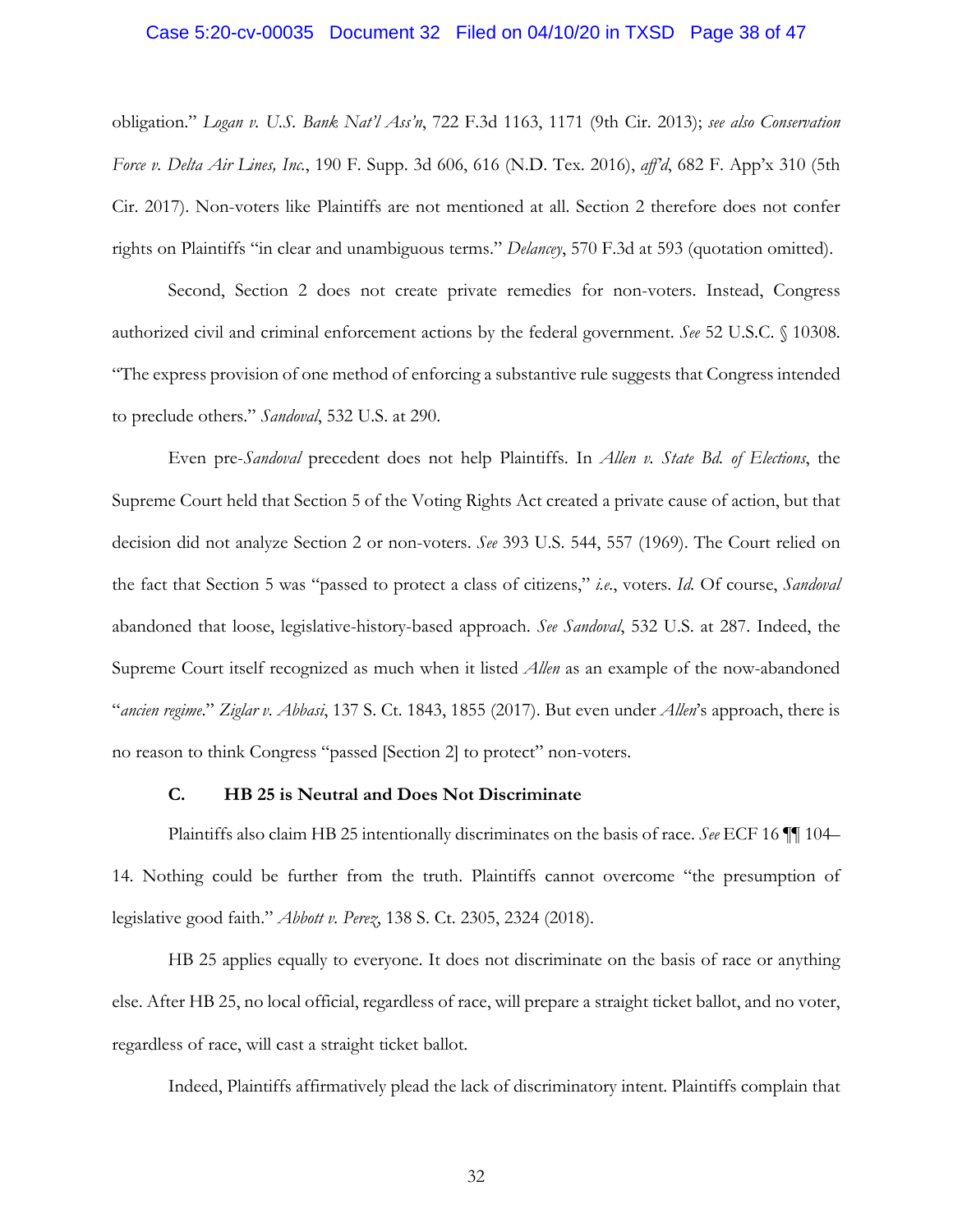## Case 5:20-cv-00035 Document 32 Filed on 04/10/20 in TXSD Page 38 of 47

obligation." *Logan v. U.S. Bank Nat'l Ass'n*, 722 F.3d 1163, 1171 (9th Cir. 2013); *see also Conservation Force v. Delta Air Lines, Inc.*, 190 F. Supp. 3d 606, 616 (N.D. Tex. 2016), *aff'd*, 682 F. App'x 310 (5th Cir. 2017). Non-voters like Plaintiffs are not mentioned at all. Section 2 therefore does not confer rights on Plaintiffs "in clear and unambiguous terms." *Delancey*, 570 F.3d at 593 (quotation omitted).

Second, Section 2 does not create private remedies for non-voters. Instead, Congress authorized civil and criminal enforcement actions by the federal government. *See* 52 U.S.C. § 10308. "The express provision of one method of enforcing a substantive rule suggests that Congress intended to preclude others." *Sandoval*, 532 U.S. at 290.

Even pre-*Sandoval* precedent does not help Plaintiffs. In *Allen v. State Bd. of Elections*, the Supreme Court held that Section 5 of the Voting Rights Act created a private cause of action, but that decision did not analyze Section 2 or non-voters. *See* 393 U.S. 544, 557 (1969). The Court relied on the fact that Section 5 was "passed to protect a class of citizens," *i.e.*, voters. *Id.* Of course, *Sandoval* abandoned that loose, legislative-history-based approach. *See Sandoval*, 532 U.S. at 287. Indeed, the Supreme Court itself recognized as much when it listed *Allen* as an example of the now-abandoned "*ancien regime*." *Ziglar v. Abbasi*, 137 S. Ct. 1843, 1855 (2017). But even under *Allen*'s approach, there is no reason to think Congress "passed [Section 2] to protect" non-voters.

### **C. HB 25 is Neutral and Does Not Discriminate**

Plaintiffs also claim HB 25 intentionally discriminates on the basis of race. *See* ECF 16 ¶¶ 104– 14. Nothing could be further from the truth. Plaintiffs cannot overcome "the presumption of legislative good faith." *Abbott v. Perez*, 138 S. Ct. 2305, 2324 (2018).

HB 25 applies equally to everyone. It does not discriminate on the basis of race or anything else. After HB 25, no local official, regardless of race, will prepare a straight ticket ballot, and no voter, regardless of race, will cast a straight ticket ballot.

Indeed, Plaintiffs affirmatively plead the lack of discriminatory intent. Plaintiffs complain that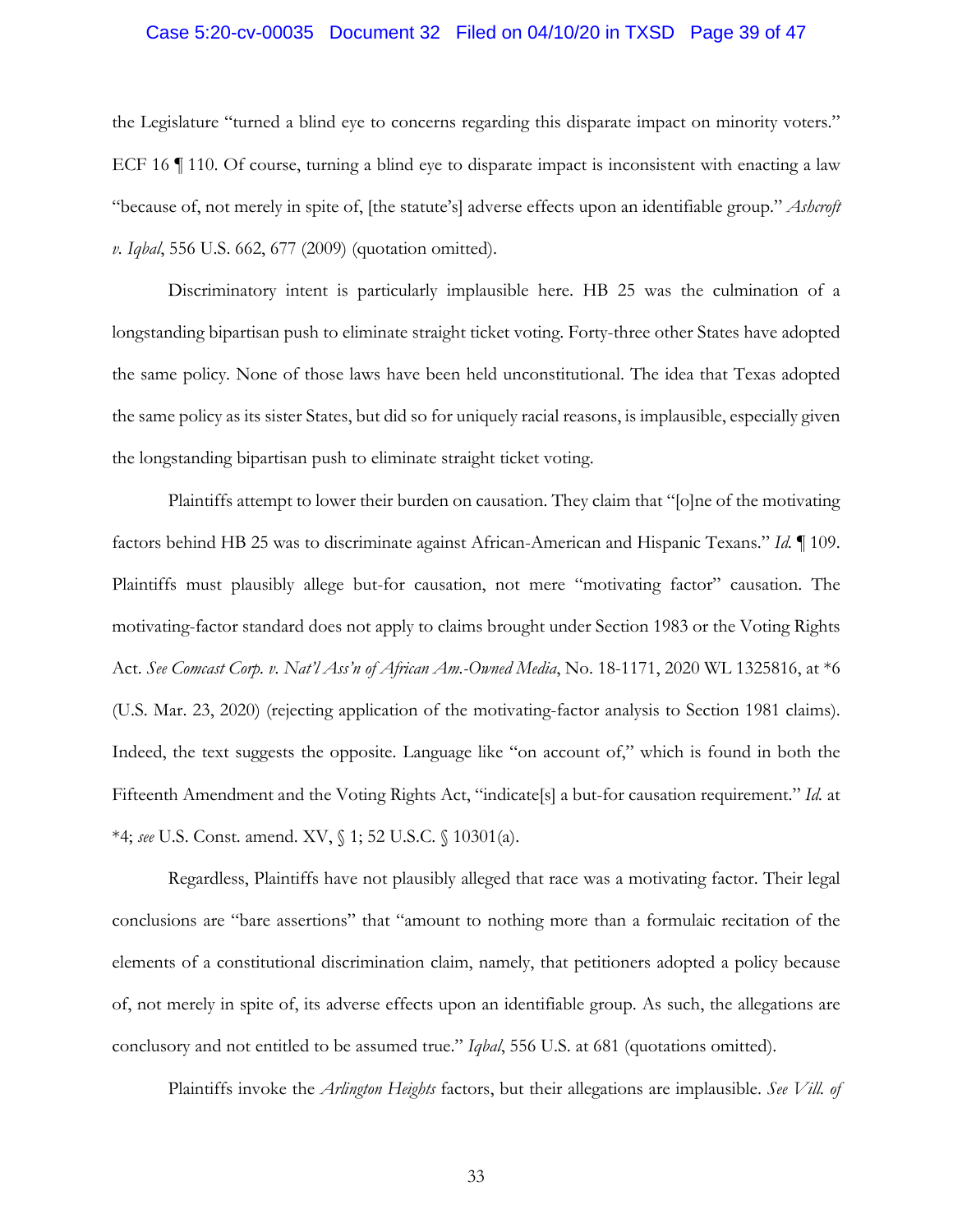#### Case 5:20-cv-00035 Document 32 Filed on 04/10/20 in TXSD Page 39 of 47

the Legislature "turned a blind eye to concerns regarding this disparate impact on minority voters." ECF 16  $\parallel$  110. Of course, turning a blind eye to disparate impact is inconsistent with enacting a law "because of, not merely in spite of, [the statute's] adverse effects upon an identifiable group." *Ashcroft v. Iqbal*, 556 U.S. 662, 677 (2009) (quotation omitted).

Discriminatory intent is particularly implausible here. HB 25 was the culmination of a longstanding bipartisan push to eliminate straight ticket voting. Forty-three other States have adopted the same policy. None of those laws have been held unconstitutional. The idea that Texas adopted the same policy as its sister States, but did so for uniquely racial reasons, is implausible, especially given the longstanding bipartisan push to eliminate straight ticket voting.

Plaintiffs attempt to lower their burden on causation. They claim that "[o]ne of the motivating factors behind HB 25 was to discriminate against African-American and Hispanic Texans." *Id.* ¶ 109. Plaintiffs must plausibly allege but-for causation, not mere "motivating factor" causation. The motivating-factor standard does not apply to claims brought under Section 1983 or the Voting Rights Act. *See Comcast Corp. v. Nat'l Ass'n of African Am.-Owned Media*, No. 18-1171, 2020 WL 1325816, at \*6 (U.S. Mar. 23, 2020) (rejecting application of the motivating-factor analysis to Section 1981 claims). Indeed, the text suggests the opposite. Language like "on account of," which is found in both the Fifteenth Amendment and the Voting Rights Act, "indicate[s] a but-for causation requirement." *Id.* at \*4; *see* U.S. Const. amend. XV, § 1; 52 U.S.C. § 10301(a).

Regardless, Plaintiffs have not plausibly alleged that race was a motivating factor. Their legal conclusions are "bare assertions" that "amount to nothing more than a formulaic recitation of the elements of a constitutional discrimination claim, namely, that petitioners adopted a policy because of, not merely in spite of, its adverse effects upon an identifiable group. As such, the allegations are conclusory and not entitled to be assumed true." *Iqbal*, 556 U.S. at 681 (quotations omitted).

Plaintiffs invoke the *Arlington Heights* factors, but their allegations are implausible. *See Vill. of*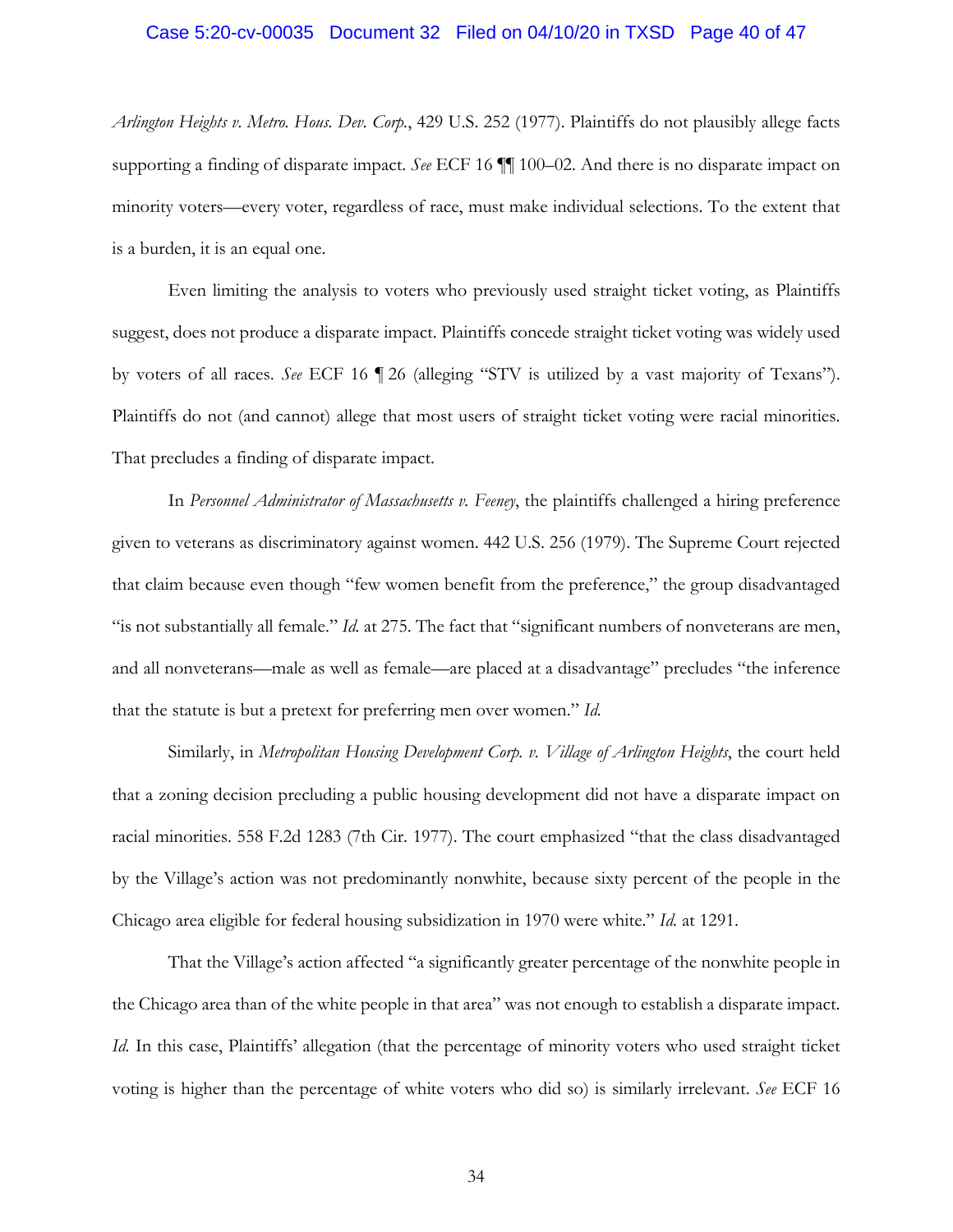#### Case 5:20-cv-00035 Document 32 Filed on 04/10/20 in TXSD Page 40 of 47

*Arlington Heights v. Metro. Hous. Dev. Corp.*, 429 U.S. 252 (1977). Plaintiffs do not plausibly allege facts supporting a finding of disparate impact. *See* ECF 16 ¶¶ 100–02. And there is no disparate impact on minority voters—every voter, regardless of race, must make individual selections. To the extent that is a burden, it is an equal one.

Even limiting the analysis to voters who previously used straight ticket voting, as Plaintiffs suggest, does not produce a disparate impact. Plaintiffs concede straight ticket voting was widely used by voters of all races. *See* ECF 16 ¶ 26 (alleging "STV is utilized by a vast majority of Texans"). Plaintiffs do not (and cannot) allege that most users of straight ticket voting were racial minorities. That precludes a finding of disparate impact.

In *Personnel Administrator of Massachusetts v. Feeney*, the plaintiffs challenged a hiring preference given to veterans as discriminatory against women. 442 U.S. 256 (1979). The Supreme Court rejected that claim because even though "few women benefit from the preference," the group disadvantaged "is not substantially all female." *Id.* at 275. The fact that "significant numbers of nonveterans are men, and all nonveterans—male as well as female—are placed at a disadvantage" precludes "the inference that the statute is but a pretext for preferring men over women." *Id.*

Similarly, in *Metropolitan Housing Development Corp. v. Village of Arlington Heights*, the court held that a zoning decision precluding a public housing development did not have a disparate impact on racial minorities. 558 F.2d 1283 (7th Cir. 1977). The court emphasized "that the class disadvantaged by the Village's action was not predominantly nonwhite, because sixty percent of the people in the Chicago area eligible for federal housing subsidization in 1970 were white." *Id.* at 1291.

That the Village's action affected "a significantly greater percentage of the nonwhite people in the Chicago area than of the white people in that area" was not enough to establish a disparate impact. *Id.* In this case, Plaintiffs' allegation (that the percentage of minority voters who used straight ticket voting is higher than the percentage of white voters who did so) is similarly irrelevant. *See* ECF 16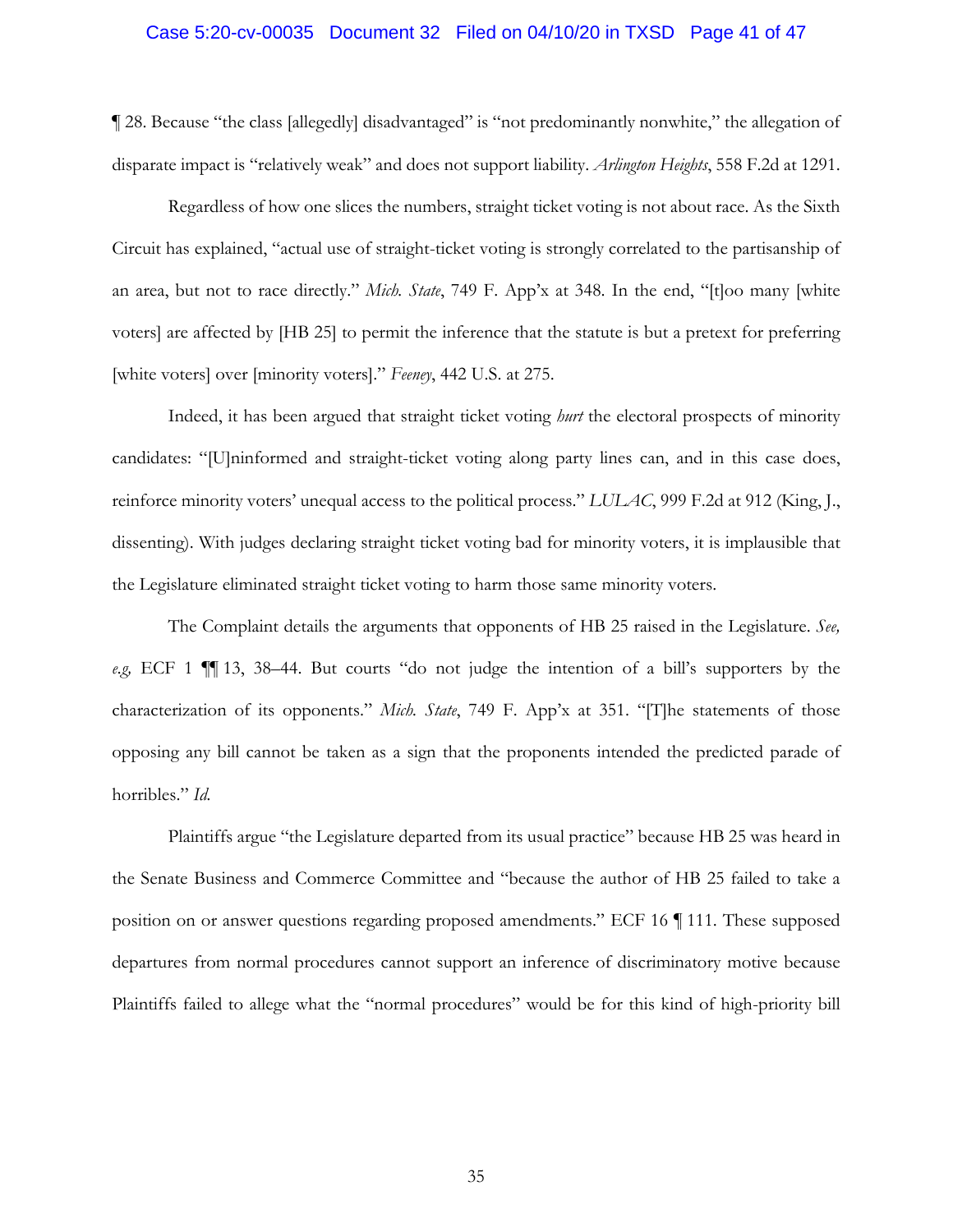#### Case 5:20-cv-00035 Document 32 Filed on 04/10/20 in TXSD Page 41 of 47

¶ 28. Because "the class [allegedly] disadvantaged" is "not predominantly nonwhite," the allegation of disparate impact is "relatively weak" and does not support liability. *Arlington Heights*, 558 F.2d at 1291.

Regardless of how one slices the numbers, straight ticket voting is not about race. As the Sixth Circuit has explained, "actual use of straight-ticket voting is strongly correlated to the partisanship of an area, but not to race directly." *Mich. State*, 749 F. App'x at 348. In the end, "[t]oo many [white voters] are affected by [HB 25] to permit the inference that the statute is but a pretext for preferring [white voters] over [minority voters]." *Feeney*, 442 U.S. at 275.

Indeed, it has been argued that straight ticket voting *hurt* the electoral prospects of minority candidates: "[U]ninformed and straight-ticket voting along party lines can, and in this case does, reinforce minority voters' unequal access to the political process." *LULAC*, 999 F.2d at 912 (King, J., dissenting). With judges declaring straight ticket voting bad for minority voters, it is implausible that the Legislature eliminated straight ticket voting to harm those same minority voters.

The Complaint details the arguments that opponents of HB 25 raised in the Legislature. *See, e.g,* ECF 1 ¶¶ 13, 38–44. But courts "do not judge the intention of a bill's supporters by the characterization of its opponents." *Mich. State*, 749 F. App'x at 351. "[T]he statements of those opposing any bill cannot be taken as a sign that the proponents intended the predicted parade of horribles." *Id.*

Plaintiffs argue "the Legislature departed from its usual practice" because HB 25 was heard in the Senate Business and Commerce Committee and "because the author of HB 25 failed to take a position on or answer questions regarding proposed amendments." ECF 16 ¶ 111. These supposed departures from normal procedures cannot support an inference of discriminatory motive because Plaintiffs failed to allege what the "normal procedures" would be for this kind of high-priority bill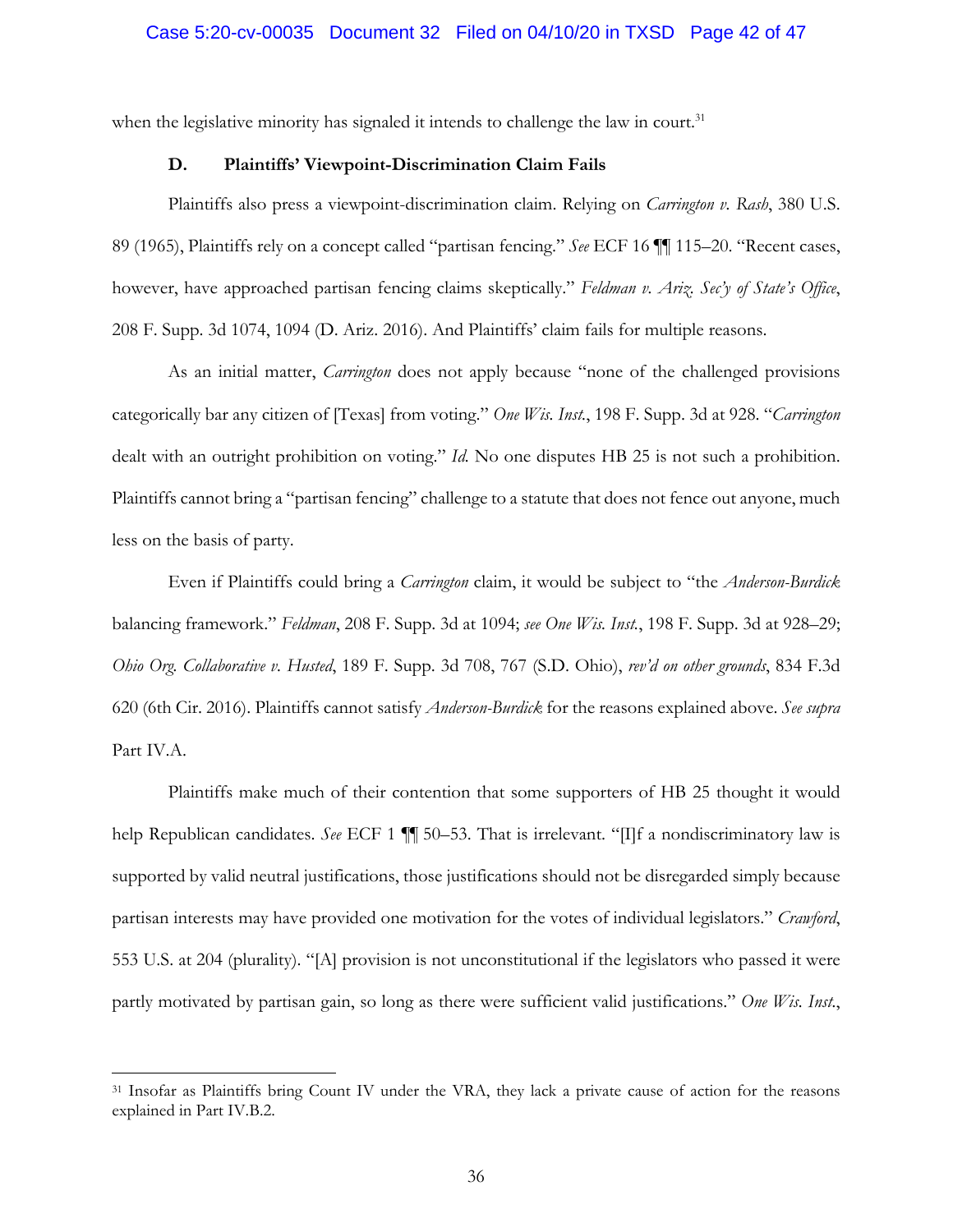when the legislative minority has signaled it intends to challenge the law in court.<sup>31</sup>

## **D. Plaintiffs' Viewpoint-Discrimination Claim Fails**

Plaintiffs also press a viewpoint-discrimination claim. Relying on *Carrington v. Rash*, 380 U.S. 89 (1965), Plaintiffs rely on a concept called "partisan fencing." *See* ECF 16 ¶¶ 115–20. "Recent cases, however, have approached partisan fencing claims skeptically." *Feldman v. Ariz. Sec'y of State's Office*, 208 F. Supp. 3d 1074, 1094 (D. Ariz. 2016). And Plaintiffs' claim fails for multiple reasons.

As an initial matter, *Carrington* does not apply because "none of the challenged provisions categorically bar any citizen of [Texas] from voting." *One Wis. Inst.*, 198 F. Supp. 3d at 928. "*Carrington* dealt with an outright prohibition on voting." *Id.* No one disputes HB 25 is not such a prohibition. Plaintiffs cannot bring a "partisan fencing" challenge to a statute that does not fence out anyone, much less on the basis of party.

Even if Plaintiffs could bring a *Carrington* claim, it would be subject to "the *Anderson-Burdick* balancing framework." *Feldman*, 208 F. Supp. 3d at 1094; *see One Wis. Inst.*, 198 F. Supp. 3d at 928–29; *Ohio Org. Collaborative v. Husted*, 189 F. Supp. 3d 708, 767 (S.D. Ohio), *rev'd on other grounds*, 834 F.3d 620 (6th Cir. 2016). Plaintiffs cannot satisfy *Anderson-Burdick* for the reasons explained above. *See supra* Part IV.A.

Plaintiffs make much of their contention that some supporters of HB 25 thought it would help Republican candidates. *See* ECF 1 ¶¶ 50–53. That is irrelevant. "[I]f a nondiscriminatory law is supported by valid neutral justifications, those justifications should not be disregarded simply because partisan interests may have provided one motivation for the votes of individual legislators." *Crawford*, 553 U.S. at 204 (plurality). "[A] provision is not unconstitutional if the legislators who passed it were partly motivated by partisan gain, so long as there were sufficient valid justifications." *One Wis. Inst.*,

1

<sup>&</sup>lt;sup>31</sup> Insofar as Plaintiffs bring Count IV under the VRA, they lack a private cause of action for the reasons explained in Part IV.B.2.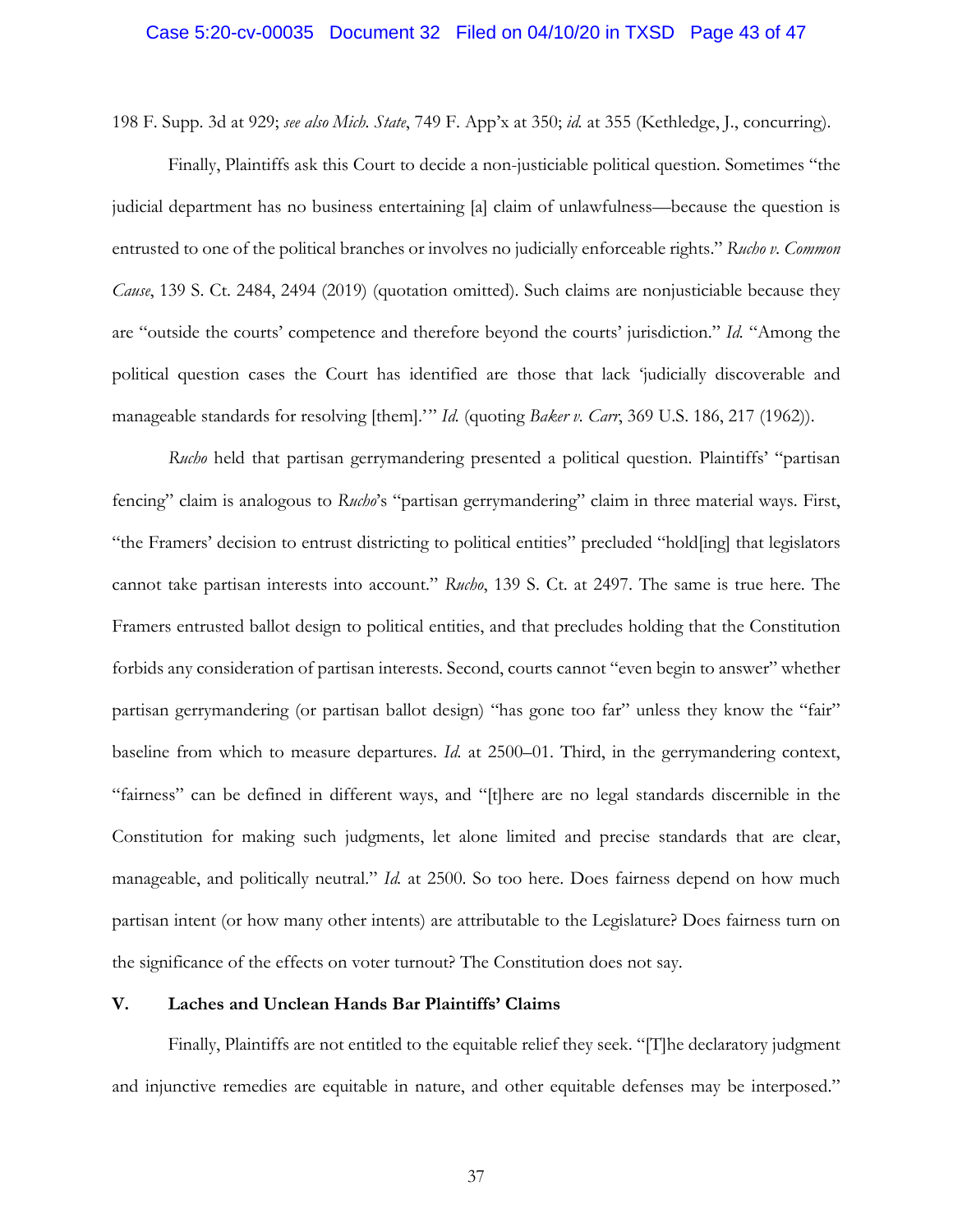## Case 5:20-cv-00035 Document 32 Filed on 04/10/20 in TXSD Page 43 of 47

198 F. Supp. 3d at 929; *see also Mich. State*, 749 F. App'x at 350; *id.* at 355 (Kethledge, J., concurring).

Finally, Plaintiffs ask this Court to decide a non-justiciable political question. Sometimes "the judicial department has no business entertaining [a] claim of unlawfulness—because the question is entrusted to one of the political branches or involves no judicially enforceable rights." *Rucho v. Common Cause*, 139 S. Ct. 2484, 2494 (2019) (quotation omitted). Such claims are nonjusticiable because they are "outside the courts' competence and therefore beyond the courts' jurisdiction." *Id.* "Among the political question cases the Court has identified are those that lack 'judicially discoverable and manageable standards for resolving [them].'" *Id.* (quoting *Baker v. Carr*, 369 U.S. 186, 217 (1962)).

*Rucho* held that partisan gerrymandering presented a political question. Plaintiffs' "partisan fencing" claim is analogous to *Rucho*'s "partisan gerrymandering" claim in three material ways. First, "the Framers' decision to entrust districting to political entities" precluded "hold[ing] that legislators cannot take partisan interests into account." *Rucho*, 139 S. Ct. at 2497. The same is true here. The Framers entrusted ballot design to political entities, and that precludes holding that the Constitution forbids any consideration of partisan interests. Second, courts cannot "even begin to answer" whether partisan gerrymandering (or partisan ballot design) "has gone too far" unless they know the "fair" baseline from which to measure departures. *Id.* at 2500–01. Third, in the gerrymandering context, "fairness" can be defined in different ways, and "[t]here are no legal standards discernible in the Constitution for making such judgments, let alone limited and precise standards that are clear, manageable, and politically neutral." *Id.* at 2500. So too here. Does fairness depend on how much partisan intent (or how many other intents) are attributable to the Legislature? Does fairness turn on the significance of the effects on voter turnout? The Constitution does not say.

## **V. Laches and Unclean Hands Bar Plaintiffs' Claims**

Finally, Plaintiffs are not entitled to the equitable relief they seek. "[T]he declaratory judgment and injunctive remedies are equitable in nature, and other equitable defenses may be interposed."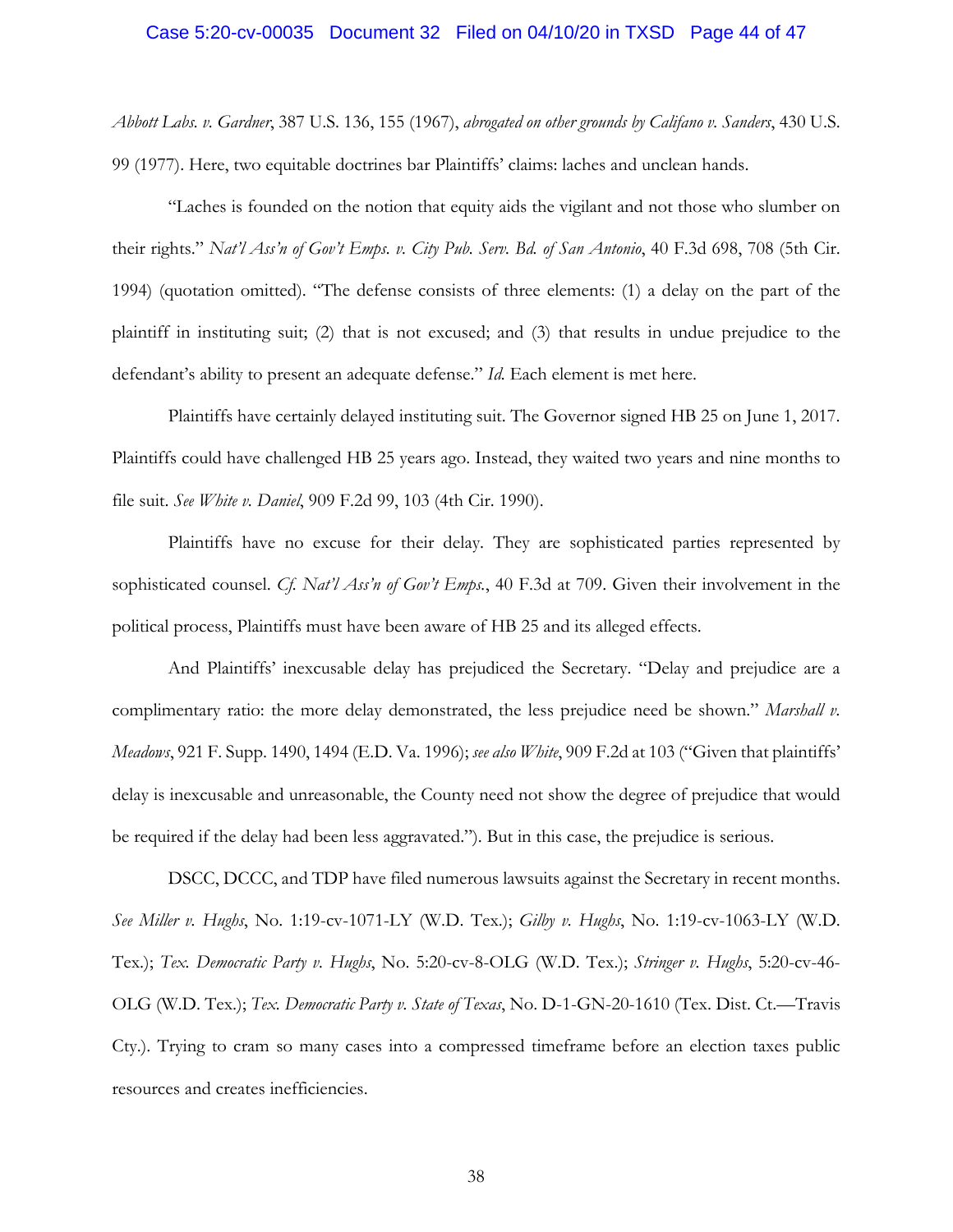#### Case 5:20-cv-00035 Document 32 Filed on 04/10/20 in TXSD Page 44 of 47

*Abbott Labs. v. Gardner*, 387 U.S. 136, 155 (1967), *abrogated on other grounds by Califano v. Sanders*, 430 U.S. 99 (1977). Here, two equitable doctrines bar Plaintiffs' claims: laches and unclean hands.

"Laches is founded on the notion that equity aids the vigilant and not those who slumber on their rights." *Nat'l Ass'n of Gov't Emps. v. City Pub. Serv. Bd. of San Antonio*, 40 F.3d 698, 708 (5th Cir. 1994) (quotation omitted). "The defense consists of three elements: (1) a delay on the part of the plaintiff in instituting suit; (2) that is not excused; and (3) that results in undue prejudice to the defendant's ability to present an adequate defense." *Id.* Each element is met here.

Plaintiffs have certainly delayed instituting suit. The Governor signed HB 25 on June 1, 2017. Plaintiffs could have challenged HB 25 years ago. Instead, they waited two years and nine months to file suit. *See White v. Daniel*, 909 F.2d 99, 103 (4th Cir. 1990).

Plaintiffs have no excuse for their delay. They are sophisticated parties represented by sophisticated counsel. *Cf. Nat'l Ass'n of Gov't Emps.*, 40 F.3d at 709. Given their involvement in the political process, Plaintiffs must have been aware of HB 25 and its alleged effects.

And Plaintiffs' inexcusable delay has prejudiced the Secretary. "Delay and prejudice are a complimentary ratio: the more delay demonstrated, the less prejudice need be shown." *Marshall v. Meadows*, 921 F. Supp. 1490, 1494 (E.D. Va. 1996); *see also White*, 909 F.2d at 103 ("Given that plaintiffs' delay is inexcusable and unreasonable, the County need not show the degree of prejudice that would be required if the delay had been less aggravated."). But in this case, the prejudice is serious.

DSCC, DCCC, and TDP have filed numerous lawsuits against the Secretary in recent months. *See Miller v. Hughs*, No. 1:19-cv-1071-LY (W.D. Tex.); *Gilby v. Hughs*, No. 1:19-cv-1063-LY (W.D. Tex.); *Tex. Democratic Party v. Hughs*, No. 5:20-cv-8-OLG (W.D. Tex.); *Stringer v. Hughs*, 5:20-cv-46- OLG (W.D. Tex.); *Tex. Democratic Party v. State of Texas*, No. D-1-GN-20-1610 (Tex. Dist. Ct.—Travis Cty.). Trying to cram so many cases into a compressed timeframe before an election taxes public resources and creates inefficiencies.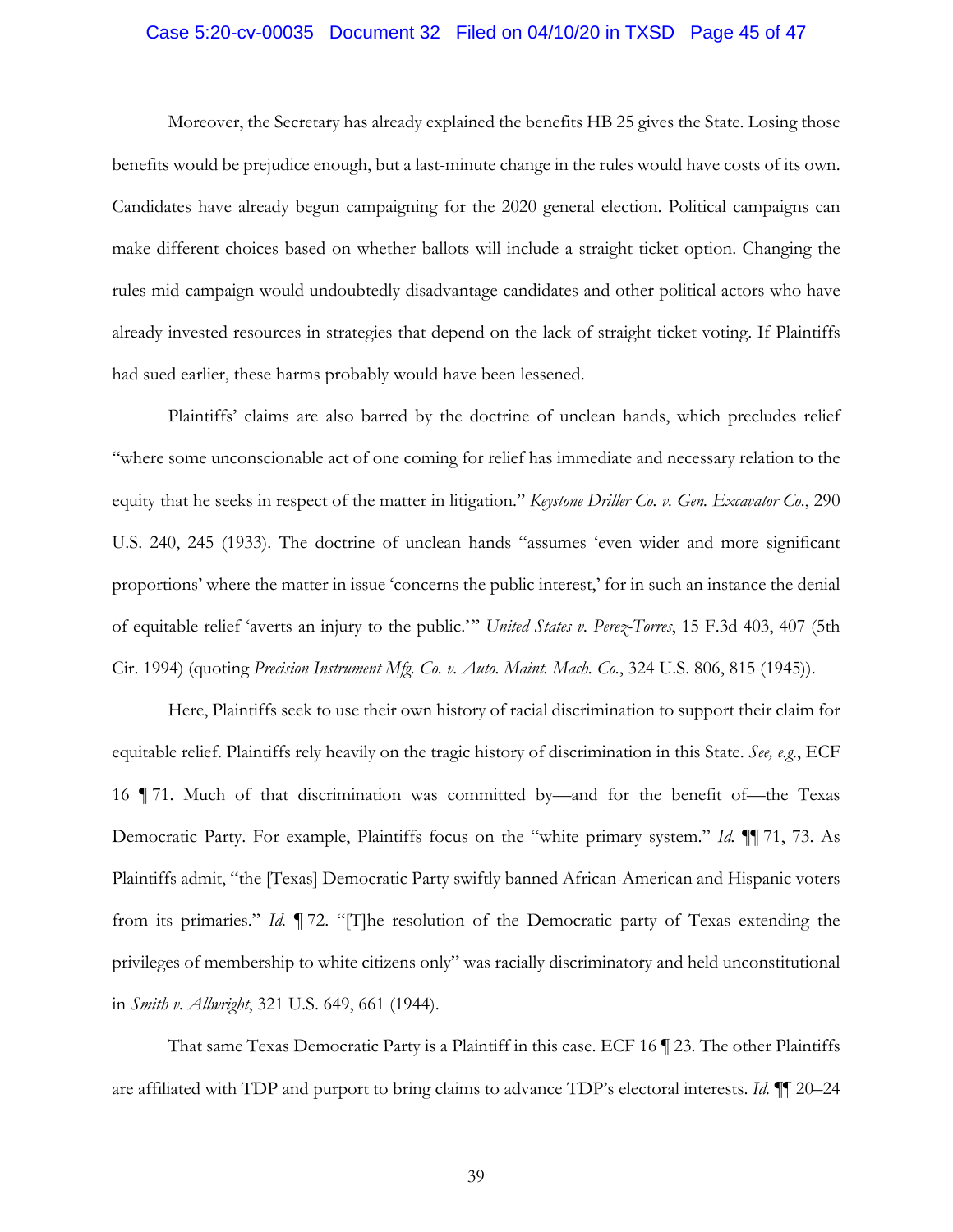#### Case 5:20-cv-00035 Document 32 Filed on 04/10/20 in TXSD Page 45 of 47

Moreover, the Secretary has already explained the benefits HB 25 gives the State. Losing those benefits would be prejudice enough, but a last-minute change in the rules would have costs of its own. Candidates have already begun campaigning for the 2020 general election. Political campaigns can make different choices based on whether ballots will include a straight ticket option. Changing the rules mid-campaign would undoubtedly disadvantage candidates and other political actors who have already invested resources in strategies that depend on the lack of straight ticket voting. If Plaintiffs had sued earlier, these harms probably would have been lessened.

Plaintiffs' claims are also barred by the doctrine of unclean hands, which precludes relief "where some unconscionable act of one coming for relief has immediate and necessary relation to the equity that he seeks in respect of the matter in litigation." *Keystone Driller Co. v. Gen. Excavator Co.*, 290 U.S. 240, 245 (1933). The doctrine of unclean hands "assumes 'even wider and more significant proportions' where the matter in issue 'concerns the public interest,' for in such an instance the denial of equitable relief 'averts an injury to the public.'" *United States v. Perez-Torres*, 15 F.3d 403, 407 (5th Cir. 1994) (quoting *Precision Instrument Mfg. Co. v. Auto. Maint. Mach. Co.*, 324 U.S. 806, 815 (1945)).

Here, Plaintiffs seek to use their own history of racial discrimination to support their claim for equitable relief. Plaintiffs rely heavily on the tragic history of discrimination in this State. *See, e.g.*, ECF 16 ¶ 71. Much of that discrimination was committed by—and for the benefit of—the Texas Democratic Party. For example, Plaintiffs focus on the "white primary system." *Id.* ¶¶ 71, 73. As Plaintiffs admit, "the [Texas] Democratic Party swiftly banned African-American and Hispanic voters from its primaries." *Id.* ¶ 72. "[T]he resolution of the Democratic party of Texas extending the privileges of membership to white citizens only" was racially discriminatory and held unconstitutional in *Smith v. Allwright*, 321 U.S. 649, 661 (1944).

That same Texas Democratic Party is a Plaintiff in this case. ECF 16 ¶ 23. The other Plaintiffs are affiliated with TDP and purport to bring claims to advance TDP's electoral interests. *Id.* ¶¶ 20–24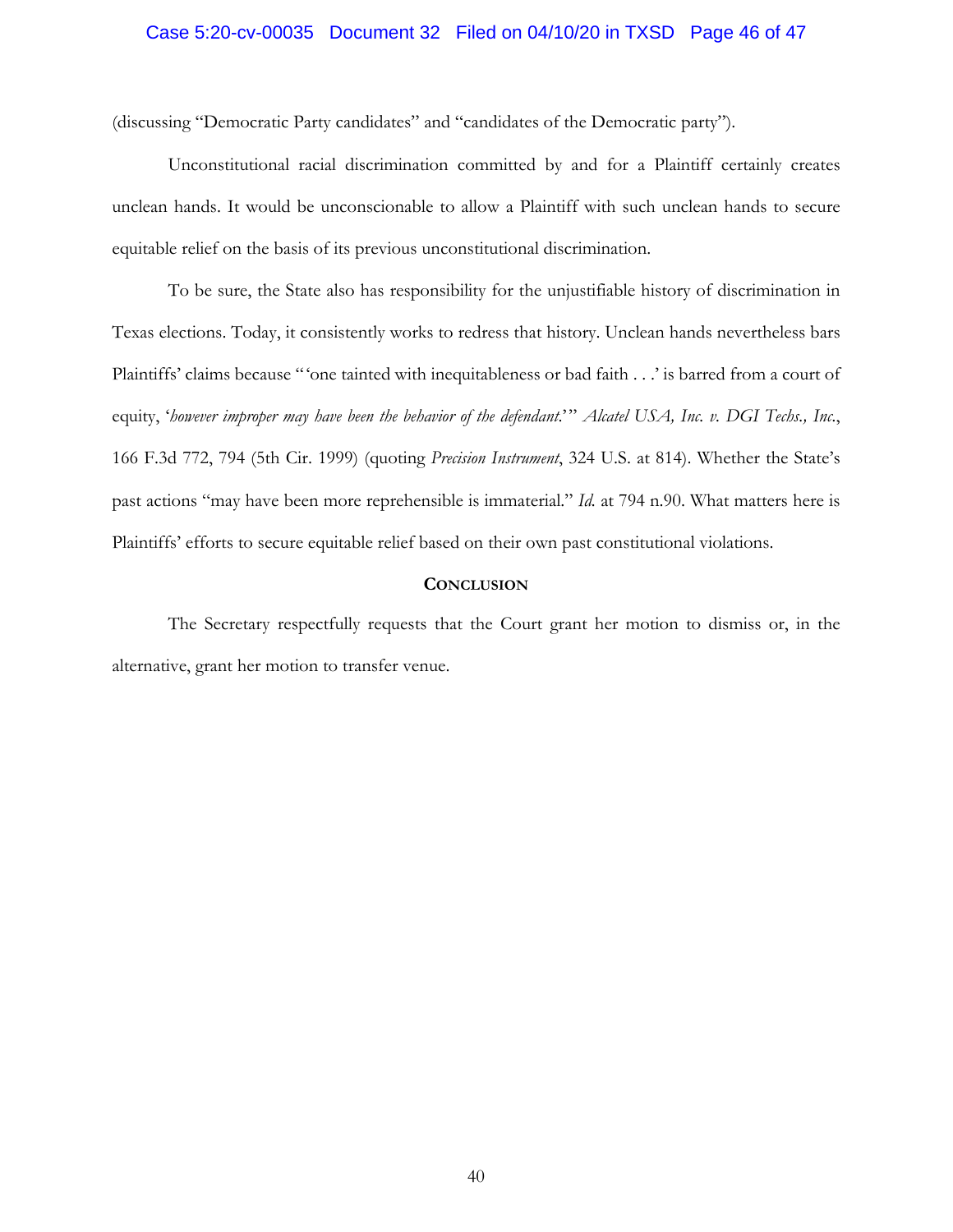## Case 5:20-cv-00035 Document 32 Filed on 04/10/20 in TXSD Page 46 of 47

(discussing "Democratic Party candidates" and "candidates of the Democratic party").

Unconstitutional racial discrimination committed by and for a Plaintiff certainly creates unclean hands. It would be unconscionable to allow a Plaintiff with such unclean hands to secure equitable relief on the basis of its previous unconstitutional discrimination.

To be sure, the State also has responsibility for the unjustifiable history of discrimination in Texas elections. Today, it consistently works to redress that history. Unclean hands nevertheless bars Plaintiffs' claims because "'one tainted with inequitableness or bad faith . . .' is barred from a court of equity, '*however improper may have been the behavior of the defendant*.'" *Alcatel USA, Inc. v. DGI Techs., Inc.*, 166 F.3d 772, 794 (5th Cir. 1999) (quoting *Precision Instrument*, 324 U.S. at 814). Whether the State's past actions "may have been more reprehensible is immaterial." *Id.* at 794 n.90. What matters here is Plaintiffs' efforts to secure equitable relief based on their own past constitutional violations.

#### **CONCLUSION**

The Secretary respectfully requests that the Court grant her motion to dismiss or, in the alternative, grant her motion to transfer venue.